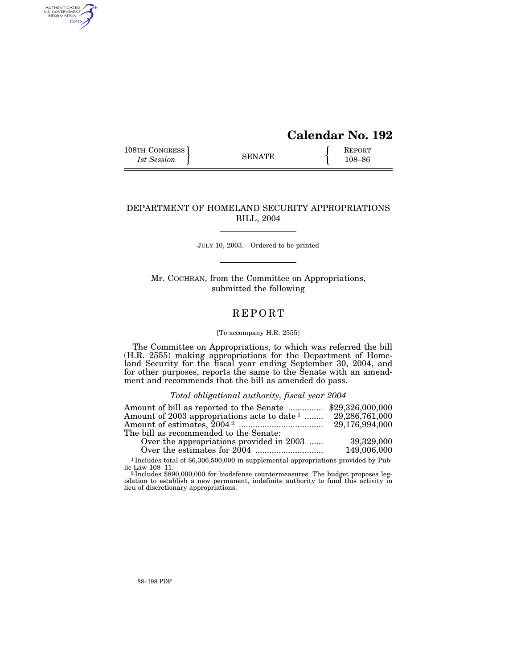# **Calendar No. 192**

108TH CONGRESS REPORT SENATE  $\left\{\begin{array}{c} \text{REPORT} \\ \text{108-86} \end{array}\right\}$ 1st Session  $\left\{\n \begin{array}{ccc}\n 1 & 108-86 \\
1 & 108-86\n \end{array}\n \right.$ 

AUTHENTICATED<br>U.S. GOVERNMENT<br>INFORMATION GPO

# DEPARTMENT OF HOMELAND SECURITY APPROPRIATIONS BILL, 2004

JULY 10, 2003.—Ordered to be printed

Mr. COCHRAN, from the Committee on Appropriations, submitted the following

# REPORT

# [To accompany H.R. 2555]

The Committee on Appropriations, to which was referred the bill (H.R. 2555) making appropriations for the Department of Homeland Security for the fiscal year ending September 30, 2004, and for other purposes, reports the same to the Senate with an amendment and recommends that the bill as amended do pass.

# *Total obligational authority, fiscal year 2004*

| 29,286,761,000                                                                             |
|--------------------------------------------------------------------------------------------|
| 29,176,994,000                                                                             |
|                                                                                            |
| 39,329,000                                                                                 |
| 149,006,000                                                                                |
| Amount of 2003 appropriations acts to date $1$<br>Over the appropriations provided in 2003 |

<sup>1</sup> Includes total of \$6,306,500,000 in supplemental appropriations provided by Public Law 108–11.<br><sup>2</sup> Includes \$890,000,000 for biodefense countermeasures. The budget proposes leg-

islation to establish a new permanent, indefinite authority to fund this activity in lieu of discretionary appropriations.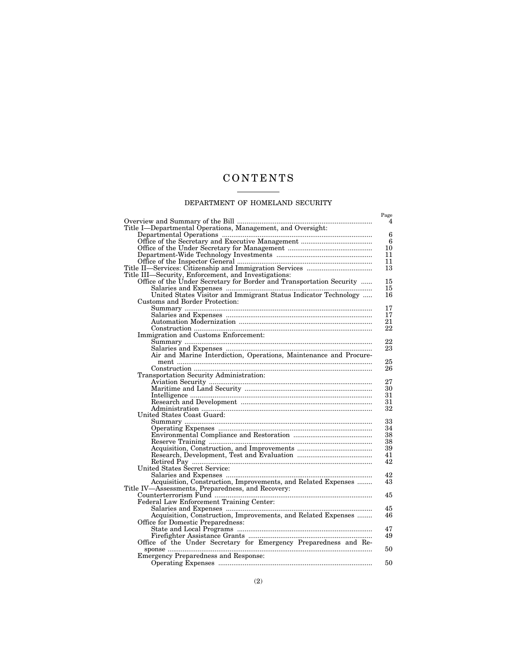# CONTENTS

# DEPARTMENT OF HOMELAND SECURITY

|                                                                                                                                                                     | Page<br>4       |
|---------------------------------------------------------------------------------------------------------------------------------------------------------------------|-----------------|
| Title I-Departmental Operations, Management, and Oversight:                                                                                                         |                 |
|                                                                                                                                                                     | $6\phantom{1}6$ |
|                                                                                                                                                                     | 6               |
|                                                                                                                                                                     | 10              |
|                                                                                                                                                                     | 11              |
|                                                                                                                                                                     | 11              |
|                                                                                                                                                                     | 13              |
| Title III—Security, Enforcement, and Investigations:                                                                                                                |                 |
| Office of the Under Secretary for Border and Transportation Security                                                                                                | 15              |
|                                                                                                                                                                     | 15              |
|                                                                                                                                                                     | 16              |
|                                                                                                                                                                     |                 |
| Customs and Border Protection:                                                                                                                                      |                 |
|                                                                                                                                                                     | 17              |
|                                                                                                                                                                     | 17              |
|                                                                                                                                                                     | 21              |
| $\begin{minipage}{0.9\linewidth} \textbf{Construction} \begin{minipage}{0.9\linewidth} \textbf{Immigration and Customs Enforcement:} \end{minipage} \end{minipage}$ | 22              |
|                                                                                                                                                                     |                 |
|                                                                                                                                                                     | 22              |
|                                                                                                                                                                     | 23              |
|                                                                                                                                                                     |                 |
|                                                                                                                                                                     | 25              |
|                                                                                                                                                                     | 26              |
| Transportation Security Administration:                                                                                                                             |                 |
|                                                                                                                                                                     | 27              |
|                                                                                                                                                                     | 30              |
|                                                                                                                                                                     | 31              |
|                                                                                                                                                                     | 31              |
|                                                                                                                                                                     | 32              |
| United States Coast Guard:                                                                                                                                          |                 |
|                                                                                                                                                                     | 33              |
|                                                                                                                                                                     | 34              |
|                                                                                                                                                                     | 38              |
|                                                                                                                                                                     | 38              |
|                                                                                                                                                                     | 39              |
|                                                                                                                                                                     | 41              |
|                                                                                                                                                                     |                 |
|                                                                                                                                                                     | 42              |
| United States Šecret Service:                                                                                                                                       |                 |
|                                                                                                                                                                     | 42              |
| Acquisition, Construction, Improvements, and Related Expenses                                                                                                       | 43              |
| Title IV—Assessments, Preparedness, and Recovery:                                                                                                                   |                 |
|                                                                                                                                                                     | 45              |
|                                                                                                                                                                     |                 |
|                                                                                                                                                                     | 45              |
| Acquisition, Construction, Improvements, and Related Expenses                                                                                                       | 46              |
| Office for Domestic Preparedness:                                                                                                                                   |                 |
|                                                                                                                                                                     | 47              |
|                                                                                                                                                                     | 49              |
| Office of the Under Secretary for Emergency Preparedness and Re-                                                                                                    |                 |
|                                                                                                                                                                     | 50              |
| Emergency Preparedness and Response:                                                                                                                                |                 |
|                                                                                                                                                                     | 50              |
|                                                                                                                                                                     |                 |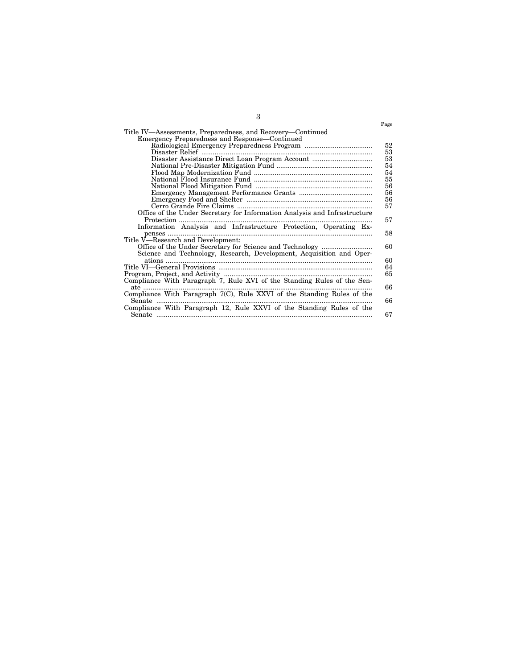|                                                                           | Page |
|---------------------------------------------------------------------------|------|
| Title IV—Assessments, Preparedness, and Recovery—Continued                |      |
| Emergency Preparedness and Response—Continued                             |      |
|                                                                           | 52   |
| Disaster Relief                                                           | 53   |
| Disaster Assistance Direct Loan Program Account                           | 53   |
|                                                                           | 54   |
|                                                                           | 54   |
|                                                                           | 55   |
|                                                                           | 56   |
|                                                                           | 56   |
|                                                                           | 56   |
|                                                                           | 57   |
| Office of the Under Secretary for Information Analysis and Infrastructure |      |
| Protection                                                                | 57   |
| Information Analysis and Infrastructure Protection, Operating Ex-         |      |
| penses                                                                    | 58   |
| Title V-Research and Development:                                         |      |
|                                                                           | 60   |
| Science and Technology, Research, Development, Acquisition and Oper-      |      |
|                                                                           | 60   |
|                                                                           | 64   |
|                                                                           | 65   |
| Compliance With Paragraph 7, Rule XVI of the Standing Rules of the Sen-   |      |
| ate                                                                       | 66   |
| Compliance With Paragraph $7(C)$ , Rule XXVI of the Standing Rules of the |      |
| Senate                                                                    | 66   |
| Compliance With Paragraph 12, Rule XXVI of the Standing Rules of the      |      |
|                                                                           | 67   |
|                                                                           |      |

3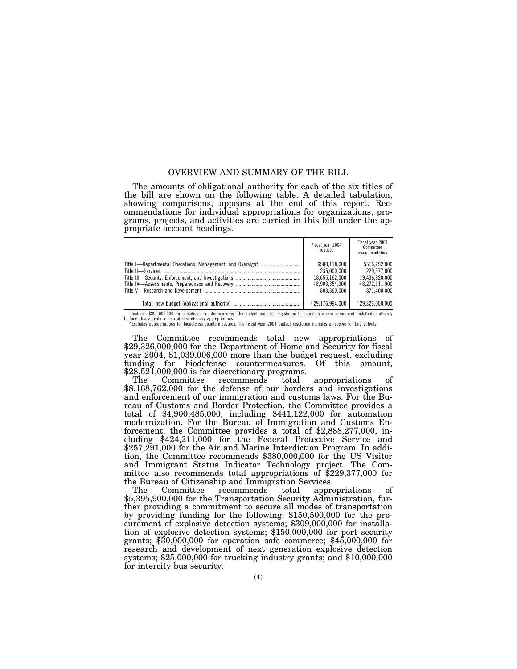# OVERVIEW AND SUMMARY OF THE BILL

The amounts of obligational authority for each of the six titles of the bill are shown on the following table. A detailed tabulation, showing comparisons, appears at the end of this report. Recommendations for individual appropriations for organizations, programs, projects, and activities are carried in this bill under the appropriate account headings.

| Fiscal year 2004<br>request                                                     | Fiscal year 2004<br>Committee<br>recommendation                                 |
|---------------------------------------------------------------------------------|---------------------------------------------------------------------------------|
| \$580.118.000<br>235.000.000<br>18,655,162,000<br>18.903.354.000<br>803.360.000 | \$516.292.000<br>229.377.000<br>19.436.820.000<br>28.272.111.000<br>871.400.000 |
| 129,176,994,000                                                                 | 229.326.000.000                                                                 |

1 Includes \$890,000,000 for biodefense countermeasures. The budget proposes legislation to establish a new permanent, indefinite authority to fund this activity in lieu of discretionary appropriations.<br>2 Excludes appropriations for biodefense countermeasures. The fiscal year 2004 budget resolution includes a reserve for this activity.

The Committee recommends total new appropriations of \$29,326,000,000 for the Department of Homeland Security for fiscal year 2004, \$1,039,006,000 more than the budget request, excluding funding for biodefense countermeasures. Of this amount, \$28,521,000,000 is for discretionary programs.<br>The Committee recommends total

The Committee recommends total appropriations of \$8,168,762,000 for the defense of our borders and investigations and enforcement of our immigration and customs laws. For the Bureau of Customs and Border Protection, the Committee provides a total of \$4,900,485,000, including \$441,122,000 for automation modernization. For the Bureau of Immigration and Customs Enforcement, the Committee provides a total of \$2,888,277,000, including \$424,211,000 for the Federal Protective Service and \$257,291,000 for the Air and Marine Interdiction Program. In addition, the Committee recommends \$380,000,000 for the US Visitor and Immigrant Status Indicator Technology project. The Committee also recommends total appropriations of \$229,377,000 for the Bureau of Citizenship and Immigration Services.

The Committee recommends total appropriations of \$5,395,900,000 for the Transportation Security Administration, further providing a commitment to secure all modes of transportation by providing funding for the following: \$150,500,000 for the procurement of explosive detection systems; \$309,000,000 for installation of explosive detection systems; \$150,000,000 for port security grants; \$30,000,000 for operation safe commerce; \$45,000,000 for research and development of next generation explosive detection systems; \$25,000,000 for trucking industry grants; and \$10,000,000 for intercity bus security.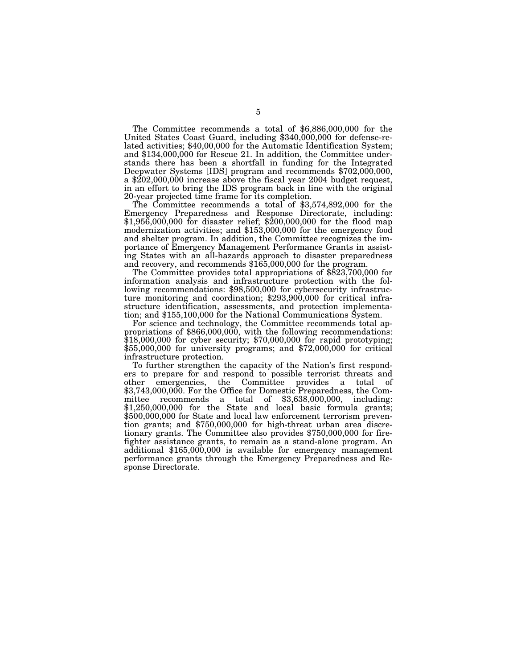The Committee recommends a total of \$6,886,000,000 for the United States Coast Guard, including \$340,000,000 for defense-related activities; \$40,00,000 for the Automatic Identification System; and \$134,000,000 for Rescue 21. In addition, the Committee understands there has been a shortfall in funding for the Integrated Deepwater Systems [IDS] program and recommends \$702,000,000, a \$202,000,000 increase above the fiscal year 2004 budget request, in an effort to bring the IDS program back in line with the original

20-year projected time frame for its completion. The Committee recommends a total of \$3,574,892,000 for the Emergency Preparedness and Response Directorate, including: \$1,956,000,000 for disaster relief; \$200,000,000 for the flood map modernization activities; and \$153,000,000 for the emergency food and shelter program. In addition, the Committee recognizes the importance of Emergency Management Performance Grants in assisting States with an all-hazards approach to disaster preparedness

The Committee provides total appropriations of  $$823,700,000$  for information analysis and infrastructure protection with the following recommendations: \$98,500,000 for cybersecurity infrastructure monitoring and coordination; \$293,900,000 for critical infrastructure identification, assessments, and protection implementation; and \$155,100,000 for the National Communications System.

For science and technology, the Committee recommends total appropriations of \$866,000,000, with the following recommendations: \$18,000,000 for cyber security; \$70,000,000 for rapid prototyping; \$55,000,000 for university programs; and \$72,000,000 for critical infrastructure protection.

To further strengthen the capacity of the Nation's first responders to prepare for and respond to possible terrorist threats and other emergencies, the Committee provides a total of emergencies, the Committee provides a total of \$3,743,000,000. For the Office for Domestic Preparedness, the Committee recommends a total of \$3,638,000,000, including: \$1,250,000,000 for the State and local basic formula grants; \$500,000,000 for State and local law enforcement terrorism prevention grants; and \$750,000,000 for high-threat urban area discretionary grants. The Committee also provides \$750,000,000 for firefighter assistance grants, to remain as a stand-alone program. An additional \$165,000,000 is available for emergency management performance grants through the Emergency Preparedness and Response Directorate.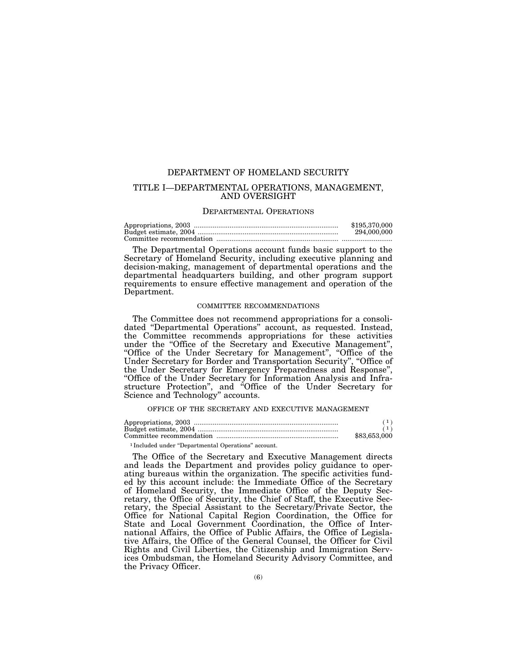# DEPARTMENT OF HOMELAND SECURITY

# TITLE I—DEPARTMENTAL OPERATIONS, MANAGEMENT, AND OVERSIGHT

#### DEPARTMENTAL OPERATIONS

| \$195,370,000 |
|---------------|
| 294,000,000   |
|               |

The Departmental Operations account funds basic support to the Secretary of Homeland Security, including executive planning and decision-making, management of departmental operations and the departmental headquarters building, and other program support requirements to ensure effective management and operation of the Department.

#### COMMITTEE RECOMMENDATIONS

The Committee does not recommend appropriations for a consolidated "Departmental Operations" account, as requested. Instead, the Committee recommends appropriations for these activities under the ''Office of the Secretary and Executive Management'', ''Office of the Under Secretary for Management'', ''Office of the Under Secretary for Border and Transportation Security'', ''Office of the Under Secretary for Emergency Preparedness and Response'', ''Office of the Under Secretary for Information Analysis and Infrastructure Protection'', and ''Office of the Under Secretary for Science and Technology'' accounts.

# OFFICE OF THE SECRETARY AND EXECUTIVE MANAGEMENT

| \$83,653,000 |
|--------------|

#### 1 Included under ''Departmental Operations'' account.

The Office of the Secretary and Executive Management directs and leads the Department and provides policy guidance to operating bureaus within the organization. The specific activities funded by this account include: the Immediate Office of the Secretary of Homeland Security, the Immediate Office of the Deputy Secretary, the Office of Security, the Chief of Staff, the Executive Secretary, the Special Assistant to the Secretary/Private Sector, the Office for National Capital Region Coordination, the Office for State and Local Government Coordination, the Office of International Affairs, the Office of Public Affairs, the Office of Legislative Affairs, the Office of the General Counsel, the Officer for Civil Rights and Civil Liberties, the Citizenship and Immigration Services Ombudsman, the Homeland Security Advisory Committee, and the Privacy Officer.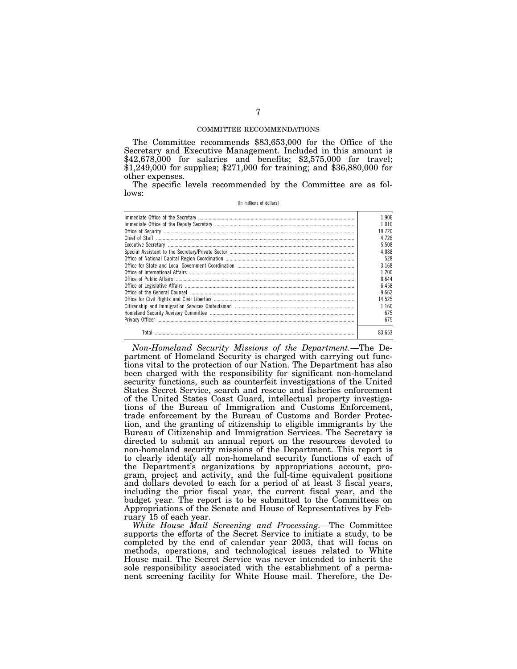### COMMITTEE RECOMMENDATIONS

The Committee recommends \$83,653,000 for the Office of the Secretary and Executive Management. Included in this amount is \$42,678,000 for salaries and benefits; \$2,575,000 for travel;  $$1,249,000$  for supplies; \$271,000 for training; and \$36,880,000 for other expenses.

The specific levels recommended by the Committee are as follows:

[In millions of dollars]

|       | 1.906  |
|-------|--------|
|       | 1.010  |
|       | 19.720 |
|       | 4.726  |
|       | 5.508  |
|       | 4.088  |
|       | 528    |
|       | 3.168  |
|       | 1.200  |
|       | 8.644  |
|       | 6.458  |
|       | 9.662  |
|       | 14.525 |
|       | 1.160  |
|       | 675    |
|       | 675    |
| Total | 83.653 |

*Non-Homeland Security Missions of the Department.*—The Department of Homeland Security is charged with carrying out functions vital to the protection of our Nation. The Department has also been charged with the responsibility for significant non-homeland security functions, such as counterfeit investigations of the United States Secret Service, search and rescue and fisheries enforcement of the United States Coast Guard, intellectual property investigations of the Bureau of Immigration and Customs Enforcement, trade enforcement by the Bureau of Customs and Border Protection, and the granting of citizenship to eligible immigrants by the Bureau of Citizenship and Immigration Services. The Secretary is directed to submit an annual report on the resources devoted to non-homeland security missions of the Department. This report is to clearly identify all non-homeland security functions of each of the Department's organizations by appropriations account, program, project and activity, and the full-time equivalent positions and dollars devoted to each for a period of at least 3 fiscal years, including the prior fiscal year, the current fiscal year, and the budget year. The report is to be submitted to the Committees on Appropriations of the Senate and House of Representatives by February 15 of each year.

*White House Mail Screening and Processing.*—The Committee supports the efforts of the Secret Service to initiate a study, to be completed by the end of calendar year 2003, that will focus on methods, operations, and technological issues related to White House mail. The Secret Service was never intended to inherit the sole responsibility associated with the establishment of a permanent screening facility for White House mail. Therefore, the De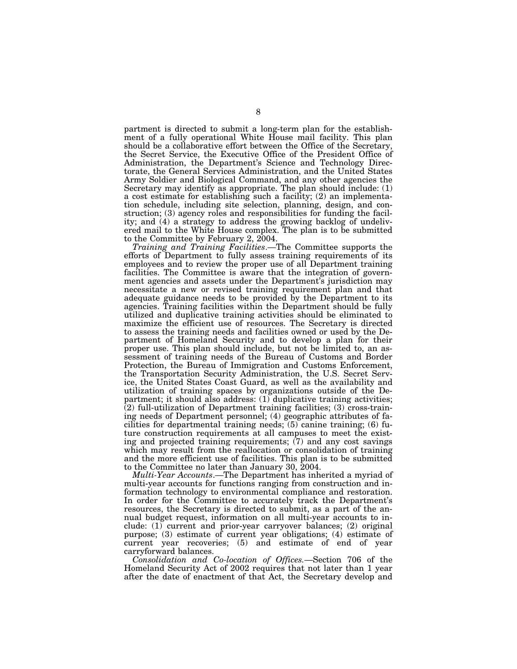partment is directed to submit a long-term plan for the establishment of a fully operational White House mail facility. This plan should be a collaborative effort between the Office of the Secretary, the Secret Service, the Executive Office of the President Office of Administration, the Department's Science and Technology Directorate, the General Services Administration, and the United States Army Soldier and Biological Command, and any other agencies the Secretary may identify as appropriate. The plan should include: (1) a cost estimate for establishing such a facility; (2) an implementation schedule, including site selection, planning, design, and construction; (3) agency roles and responsibilities for funding the facility; and (4) a strategy to address the growing backlog of undelivered mail to the White House complex. The plan is to be submitted to the Committee by February 2, 2004.

*Training and Training Facilities*.—The Committee supports the efforts of Department to fully assess training requirements of its employees and to review the proper use of all Department training facilities. The Committee is aware that the integration of government agencies and assets under the Department's jurisdiction may necessitate a new or revised training requirement plan and that adequate guidance needs to be provided by the Department to its agencies. Training facilities within the Department should be fully utilized and duplicative training activities should be eliminated to maximize the efficient use of resources. The Secretary is directed to assess the training needs and facilities owned or used by the Department of Homeland Security and to develop a plan for their proper use. This plan should include, but not be limited to, an assessment of training needs of the Bureau of Customs and Border Protection, the Bureau of Immigration and Customs Enforcement, the Transportation Security Administration, the U.S. Secret Service, the United States Coast Guard, as well as the availability and utilization of training spaces by organizations outside of the Department; it should also address: (1) duplicative training activities;  $(2)$  full-utilization of Department training facilities; (3) cross-training needs of Department personnel; (4) geographic attributes of facilities for departmental training needs; (5) canine training; (6) future construction requirements at all campuses to meet the existing and projected training requirements; (7) and any cost savings which may result from the reallocation or consolidation of training and the more efficient use of facilities. This plan is to be submitted to the Committee no later than January 30, 2004.

*Multi-Year Accounts*.—The Department has inherited a myriad of multi-year accounts for functions ranging from construction and information technology to environmental compliance and restoration. In order for the Committee to accurately track the Department's resources, the Secretary is directed to submit, as a part of the annual budget request, information on all multi-year accounts to include: (1) current and prior-year carryover balances; (2) original purpose; (3) estimate of current year obligations; (4) estimate of current year recoveries; (5) and estimate of end of year carryforward balances.

*Consolidation and Co-location of Offices.*—Section 706 of the Homeland Security Act of 2002 requires that not later than 1 year after the date of enactment of that Act, the Secretary develop and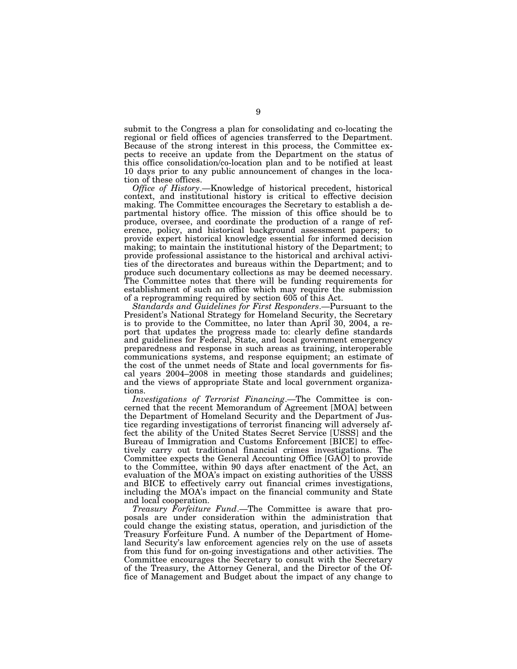submit to the Congress a plan for consolidating and co-locating the regional or field offices of agencies transferred to the Department. Because of the strong interest in this process, the Committee expects to receive an update from the Department on the status of this office consolidation/co-location plan and to be notified at least 10 days prior to any public announcement of changes in the location of these offices.

*Office of History*.—Knowledge of historical precedent, historical context, and institutional history is critical to effective decision making. The Committee encourages the Secretary to establish a departmental history office. The mission of this office should be to produce, oversee, and coordinate the production of a range of reference, policy, and historical background assessment papers; to provide expert historical knowledge essential for informed decision making; to maintain the institutional history of the Department; to provide professional assistance to the historical and archival activities of the directorates and bureaus within the Department; and to produce such documentary collections as may be deemed necessary. The Committee notes that there will be funding requirements for establishment of such an office which may require the submission of a reprogramming required by section 605 of this Act.

*Standards and Guidelines for First Responders*.—Pursuant to the President's National Strategy for Homeland Security, the Secretary is to provide to the Committee, no later than April 30, 2004, a report that updates the progress made to: clearly define standards and guidelines for Federal, State, and local government emergency preparedness and response in such areas as training, interoperable communications systems, and response equipment; an estimate of the cost of the unmet needs of State and local governments for fiscal years 2004–2008 in meeting those standards and guidelines; and the views of appropriate State and local government organizations.

*Investigations of Terrorist Financing*.—The Committee is concerned that the recent Memorandum of Agreement [MOA] between the Department of Homeland Security and the Department of Justice regarding investigations of terrorist financing will adversely affect the ability of the United States Secret Service [USSS] and the Bureau of Immigration and Customs Enforcement [BICE] to effectively carry out traditional financial crimes investigations. The Committee expects the General Accounting Office [GAO] to provide to the Committee, within 90 days after enactment of the Act, an evaluation of the MOA's impact on existing authorities of the USSS and BICE to effectively carry out financial crimes investigations, including the MOA's impact on the financial community and State and local cooperation.

*Treasury Forfeiture Fund*.—The Committee is aware that proposals are under consideration within the administration that could change the existing status, operation, and jurisdiction of the Treasury Forfeiture Fund. A number of the Department of Homeland Security's law enforcement agencies rely on the use of assets from this fund for on-going investigations and other activities. The Committee encourages the Secretary to consult with the Secretary of the Treasury, the Attorney General, and the Director of the Office of Management and Budget about the impact of any change to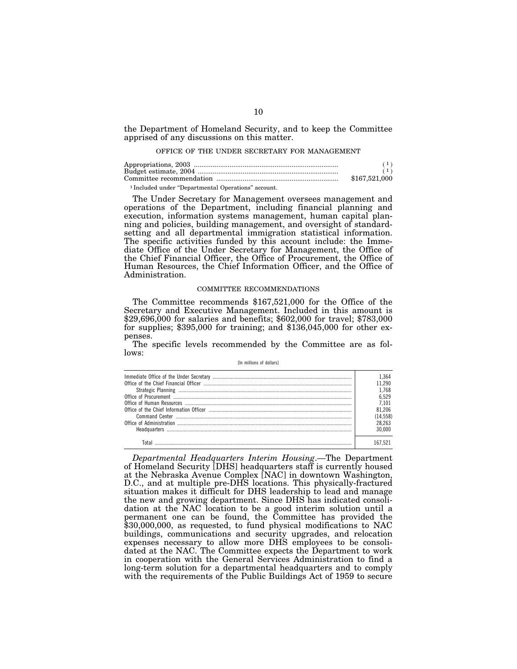the Department of Homeland Security, and to keep the Committee apprised of any discussions on this matter.

#### OFFICE OF THE UNDER SECRETARY FOR MANAGEMENT

|                                                    | (1)           |
|----------------------------------------------------|---------------|
|                                                    | \$167,521,000 |
| 1 Included under "Departmental Operations" account |               |

1 Included under ''Departmental Operations'' account.

The Under Secretary for Management oversees management and operations of the Department, including financial planning and execution, information systems management, human capital planning and policies, building management, and oversight of standardsetting and all departmental immigration statistical information. The specific activities funded by this account include: the Immediate Office of the Under Secretary for Management, the Office of the Chief Financial Officer, the Office of Procurement, the Office of Human Resources, the Chief Information Officer, and the Office of Administration.

#### COMMITTEE RECOMMENDATIONS

The Committee recommends \$167,521,000 for the Office of the Secretary and Executive Management. Included in this amount is \$29,696,000 for salaries and benefits; \$602,000 for travel; \$783,000 for supplies; \$395,000 for training; and \$136,045,000 for other expenses.

The specific levels recommended by the Committee are as follows:

[In millions of dollars]

*Departmental Headquarters Interim Housing*.—The Department of Homeland Security [DHS] headquarters staff is currently housed at the Nebraska Avenue Complex [NAC] in downtown Washington, D.C., and at multiple pre-DHS locations. This physically-fractured situation makes it difficult for DHS leadership to lead and manage the new and growing department. Since DHS has indicated consolidation at the NAC location to be a good interim solution until a permanent one can be found, the Committee has provided the \$30,000,000, as requested, to fund physical modifications to NAC buildings, communications and security upgrades, and relocation expenses necessary to allow more DHS employees to be consolidated at the NAC. The Committee expects the Department to work in cooperation with the General Services Administration to find a long-term solution for a departmental headquarters and to comply with the requirements of the Public Buildings Act of 1959 to secure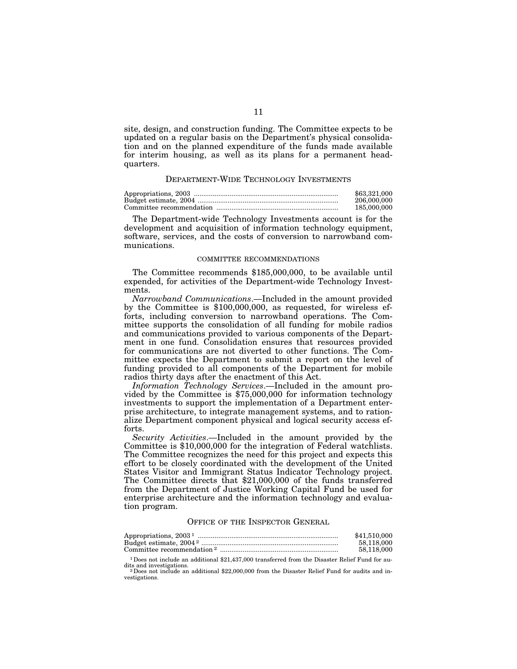site, design, and construction funding. The Committee expects to be updated on a regular basis on the Department's physical consolidation and on the planned expenditure of the funds made available for interim housing, as well as its plans for a permanent headquarters.

# DEPARTMENT-WIDE TECHNOLOGY INVESTMENTS

| \$63,321,000 |
|--------------|
| 206,000,000  |
| 185,000,000  |

The Department-wide Technology Investments account is for the development and acquisition of information technology equipment, software, services, and the costs of conversion to narrowband communications.

# COMMITTEE RECOMMENDATIONS

The Committee recommends \$185,000,000, to be available until expended, for activities of the Department-wide Technology Investments.

*Narrowband Communications*.—Included in the amount provided by the Committee is \$100,000,000, as requested, for wireless efforts, including conversion to narrowband operations. The Committee supports the consolidation of all funding for mobile radios and communications provided to various components of the Department in one fund. Consolidation ensures that resources provided for communications are not diverted to other functions. The Committee expects the Department to submit a report on the level of funding provided to all components of the Department for mobile radios thirty days after the enactment of this Act.

*Information Technology Services*.—Included in the amount provided by the Committee is \$75,000,000 for information technology investments to support the implementation of a Department enterprise architecture, to integrate management systems, and to rationalize Department component physical and logical security access efforts.

*Security Activities*.—Included in the amount provided by the Committee is \$10,000,000 for the integration of Federal watchlists. The Committee recognizes the need for this project and expects this effort to be closely coordinated with the development of the United States Visitor and Immigrant Status Indicator Technology project. The Committee directs that \$21,000,000 of the funds transferred from the Department of Justice Working Capital Fund be used for enterprise architecture and the information technology and evaluation program.

# OFFICE OF THE INSPECTOR GENERAL

| Appropriations, $20031$               | \$41,510,000 |
|---------------------------------------|--------------|
|                                       | 58.118.000   |
| Committee recommendation <sup>2</sup> | 58.118.000   |

 $^{\rm 1\,Des}$  not include an additional \$21,437,000 transferred from the Disaster Relief Fund for au-dits and investigations.

2Does not include an additional \$22,000,000 from the Disaster Relief Fund for audits and investigations.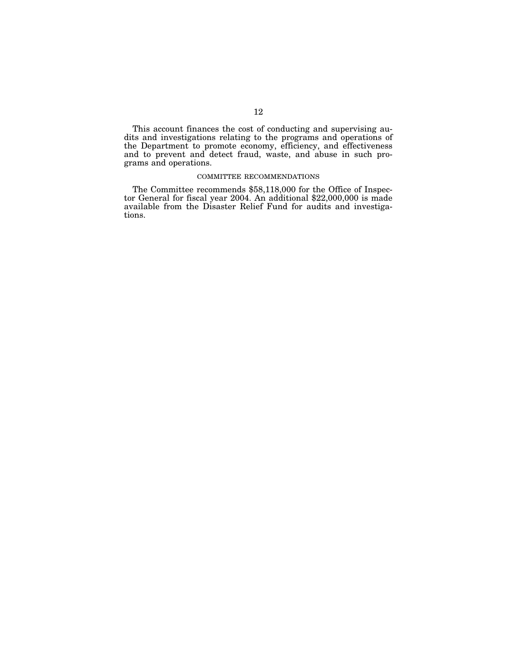This account finances the cost of conducting and supervising audits and investigations relating to the programs and operations of the Department to promote economy, efficiency, and effectiveness and to prevent and detect fraud, waste, and abuse in such programs and operations.

# COMMITTEE RECOMMENDATIONS

The Committee recommends \$58,118,000 for the Office of Inspector General for fiscal year 2004. An additional \$22,000,000 is made available from the Disaster Relief Fund for audits and investigations.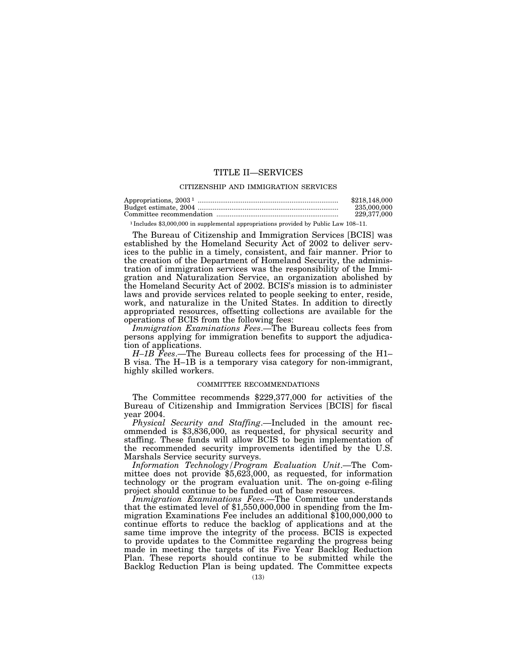# TITLE II—SERVICES

#### CITIZENSHIP AND IMMIGRATION SERVICES

| Appropriations, $20031$ | \$218,148,000 |
|-------------------------|---------------|
|                         | 235,000,000   |
|                         | 229,377,000   |

1 Includes \$3,000,000 in supplemental appropriations provided by Public Law 108–11.

The Bureau of Citizenship and Immigration Services [BCIS] was established by the Homeland Security Act of 2002 to deliver services to the public in a timely, consistent, and fair manner. Prior to the creation of the Department of Homeland Security, the administration of immigration services was the responsibility of the Immigration and Naturalization Service, an organization abolished by the Homeland Security Act of 2002. BCIS's mission is to administer laws and provide services related to people seeking to enter, reside, work, and naturalize in the United States. In addition to directly appropriated resources, offsetting collections are available for the operations of BCIS from the following fees:

*Immigration Examinations Fees*.—The Bureau collects fees from persons applying for immigration benefits to support the adjudication of applications.

*H–1B Fees*.—The Bureau collects fees for processing of the H1– B visa. The H–1B is a temporary visa category for non-immigrant, highly skilled workers.

# COMMITTEE RECOMMENDATIONS

The Committee recommends \$229,377,000 for activities of the Bureau of Citizenship and Immigration Services [BCIS] for fiscal year 2004.

*Physical Security and Staffing*.—Included in the amount recommended is \$3,836,000, as requested, for physical security and staffing. These funds will allow BCIS to begin implementation of the recommended security improvements identified by the U.S. Marshals Service security surveys.

*Information Technology/Program Evaluation Unit*.—The Committee does not provide \$5,623,000, as requested, for information technology or the program evaluation unit. The on-going e-filing project should continue to be funded out of base resources.

*Immigration Examinations Fees*.—The Committee understands that the estimated level of \$1,550,000,000 in spending from the Immigration Examinations Fee includes an additional \$100,000,000 to continue efforts to reduce the backlog of applications and at the same time improve the integrity of the process. BCIS is expected to provide updates to the Committee regarding the progress being made in meeting the targets of its Five Year Backlog Reduction Plan. These reports should continue to be submitted while the Backlog Reduction Plan is being updated. The Committee expects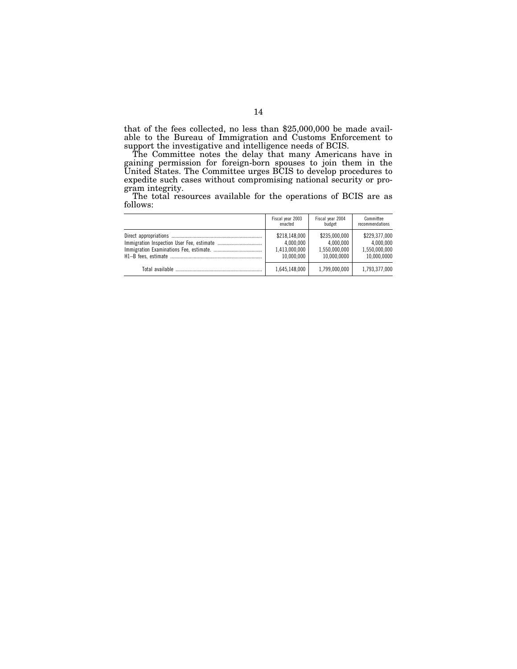that of the fees collected, no less than \$25,000,000 be made available to the Bureau of Immigration and Customs Enforcement to support the investigative and intelligence needs of BCIS.

The Committee notes the delay that many Americans have in gaining permission for foreign-born spouses to join them in the United States. The Committee urges BCIS to develop procedures to expedite such cases without compromising national security or program integrity.

The total resources available for the operations of BCIS are as follows:

| Fiscal year 2003 | Fiscal year 2004 | Committee       |
|------------------|------------------|-----------------|
| enacted          | budget           | recommendations |
| \$218,148,000    | \$235,000,000    | \$229,377,000   |
| 4.000.000        | 4.000.000        | 4.000.000       |
| 1.413.000.000    | 1.550.000.000    | 1.550.000.000   |
| 10.000.000       | 10.000.0000      | 10.000.0000     |
| 1.645.148.000    | 1.799.000.000    |                 |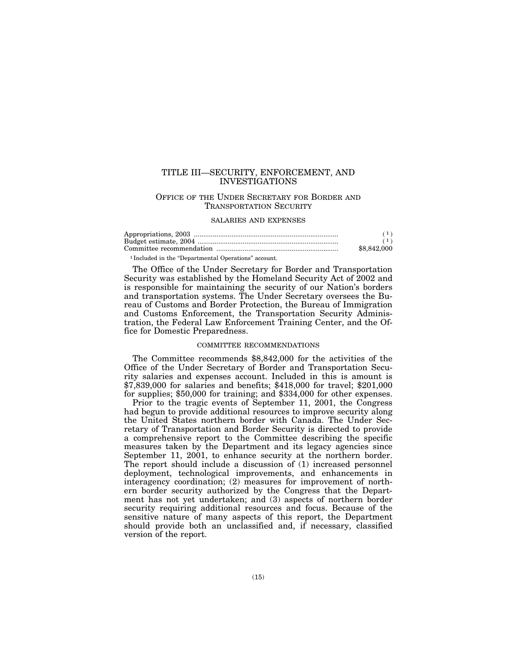# TITLE III—SECURITY, ENFORCEMENT, AND INVESTIGATIONS

# OFFICE OF THE UNDER SECRETARY FOR BORDER AND TRANSPORTATION SECURITY

### SALARIES AND EXPENSES

| \$8,842,000 |
|-------------|

1 Included in the ''Departmental Operations'' account.

The Office of the Under Secretary for Border and Transportation Security was established by the Homeland Security Act of 2002 and is responsible for maintaining the security of our Nation's borders and transportation systems. The Under Secretary oversees the Bureau of Customs and Border Protection, the Bureau of Immigration and Customs Enforcement, the Transportation Security Administration, the Federal Law Enforcement Training Center, and the Office for Domestic Preparedness.

#### COMMITTEE RECOMMENDATIONS

The Committee recommends \$8,842,000 for the activities of the Office of the Under Secretary of Border and Transportation Security salaries and expenses account. Included in this is amount is \$7,839,000 for salaries and benefits; \$418,000 for travel; \$201,000 for supplies; \$50,000 for training; and \$334,000 for other expenses.

Prior to the tragic events of September 11, 2001, the Congress had begun to provide additional resources to improve security along the United States northern border with Canada. The Under Secretary of Transportation and Border Security is directed to provide a comprehensive report to the Committee describing the specific measures taken by the Department and its legacy agencies since September 11, 2001, to enhance security at the northern border. The report should include a discussion of (1) increased personnel deployment, technological improvements, and enhancements in interagency coordination; (2) measures for improvement of northern border security authorized by the Congress that the Department has not yet undertaken; and (3) aspects of northern border security requiring additional resources and focus. Because of the sensitive nature of many aspects of this report, the Department should provide both an unclassified and, if necessary, classified version of the report.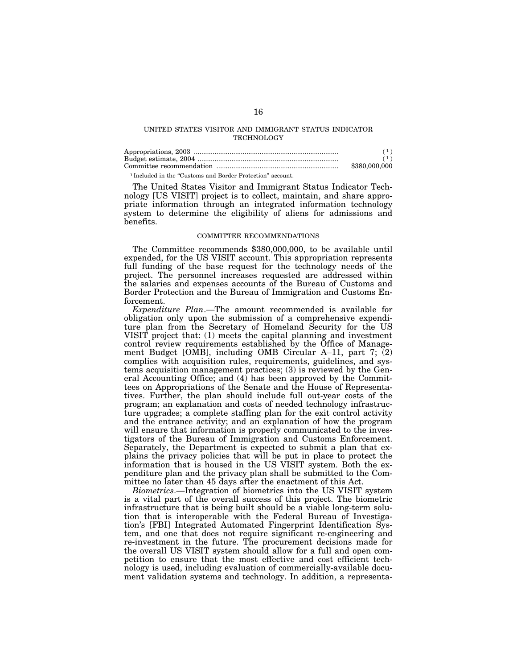# UNITED STATES VISITOR AND IMMIGRANT STATUS INDICATOR **TECHNOLOGY**

|                                                                       | (1)           |
|-----------------------------------------------------------------------|---------------|
|                                                                       | (1)           |
|                                                                       | \$380,000,000 |
| <sup>1</sup> Included in the "Customs and Border Protection" account. |               |

The United States Visitor and Immigrant Status Indicator Technology [US VISIT] project is to collect, maintain, and share appropriate information through an integrated information technology system to determine the eligibility of aliens for admissions and benefits.

## COMMITTEE RECOMMENDATIONS

The Committee recommends \$380,000,000, to be available until expended, for the US VISIT account. This appropriation represents full funding of the base request for the technology needs of the project. The personnel increases requested are addressed within the salaries and expenses accounts of the Bureau of Customs and Border Protection and the Bureau of Immigration and Customs Enforcement.

*Expenditure Plan*.—The amount recommended is available for obligation only upon the submission of a comprehensive expenditure plan from the Secretary of Homeland Security for the US VISIT project that: (1) meets the capital planning and investment control review requirements established by the Office of Management Budget [OMB], including OMB Circular A–11, part 7; (2) complies with acquisition rules, requirements, guidelines, and systems acquisition management practices; (3) is reviewed by the General Accounting Office; and  $(4)$  has been approved by the Committees on Appropriations of the Senate and the House of Representatives. Further, the plan should include full out-year costs of the program; an explanation and costs of needed technology infrastructure upgrades; a complete staffing plan for the exit control activity and the entrance activity; and an explanation of how the program will ensure that information is properly communicated to the investigators of the Bureau of Immigration and Customs Enforcement. Separately, the Department is expected to submit a plan that explains the privacy policies that will be put in place to protect the information that is housed in the US VISIT system. Both the expenditure plan and the privacy plan shall be submitted to the Committee no later than 45 days after the enactment of this Act.

*Biometrics*.—Integration of biometrics into the US VISIT system is a vital part of the overall success of this project. The biometric infrastructure that is being built should be a viable long-term solution that is interoperable with the Federal Bureau of Investigation's [FBI] Integrated Automated Fingerprint Identification System, and one that does not require significant re-engineering and re-investment in the future. The procurement decisions made for the overall US VISIT system should allow for a full and open competition to ensure that the most effective and cost efficient technology is used, including evaluation of commercially-available document validation systems and technology. In addition, a representa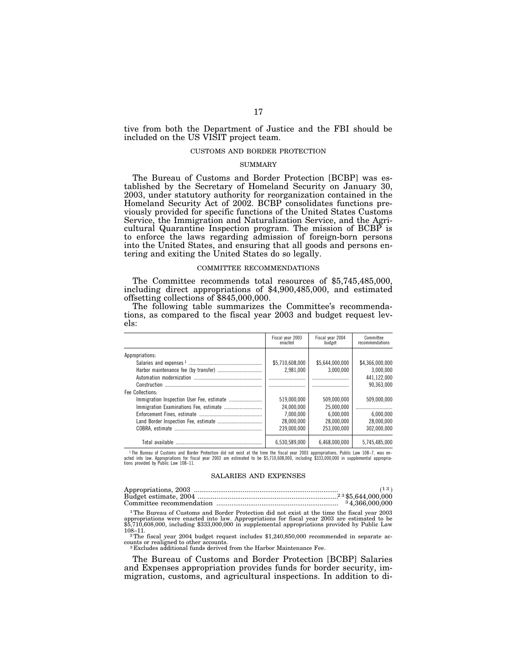tive from both the Department of Justice and the FBI should be included on the US VISIT project team.

#### CUSTOMS AND BORDER PROTECTION

# SUMMARY

The Bureau of Customs and Border Protection [BCBP] was established by the Secretary of Homeland Security on January 30, 2003, under statutory authority for reorganization contained in the Homeland Security Act of 2002. BCBP consolidates functions previously provided for specific functions of the United States Customs Service, the Immigration and Naturalization Service, and the Agricultural Quarantine Inspection program. The mission of BCBP is to enforce the laws regarding admission of foreign-born persons into the United States, and ensuring that all goods and persons entering and exiting the United States do so legally.

#### COMMITTEE RECOMMENDATIONS

The Committee recommends total resources of \$5,745,485,000, including direct appropriations of \$4,900,485,000, and estimated offsetting collections of \$845,000,000.

The following table summarizes the Committee's recommendations, as compared to the fiscal year 2003 and budget request levels:

|                  | Fiscal year 2003<br>enacted | Fiscal year 2004<br>budget | Committee<br>recommendations |
|------------------|-----------------------------|----------------------------|------------------------------|
| Appropriations:  |                             |                            |                              |
|                  | \$5,710,608,000             | \$5.644.000.000            | \$4.366.000.000              |
|                  | 2.981.000                   | 3.000.000                  | 3.000.000                    |
|                  |                             |                            | 441.122.000                  |
|                  |                             |                            | 90.363.000                   |
| Fee Collections: |                             |                            |                              |
|                  | 519.000.000                 | 509.000.000                | 509,000,000                  |
|                  | 24.000.000                  | 25.000.000                 |                              |
|                  | 7.000.000                   | 6.000.000                  | 6.000.000                    |
|                  | 28.000.000                  | 28,000,000                 | 28.000.000                   |
|                  | 239.000.000                 | 253.000.000                | 302.000.000                  |
| Total available  | 6,530,589,000               | 6.468.000.000              | 5.745.485.000                |

The Bureau of Customs and Border Protection did not exist at the time the fiscal year 2003 appropriations, Public Law 108–7, was en-<br>acted into law. Appropriations for fiscal year 2003 are estimated to be \$5,710,608,000, i

#### SALARIES AND EXPENSES

| <sup>3</sup> 4.366,000,000 |
|----------------------------|

1The Bureau of Customs and Border Protection did not exist at the time the fiscal year 2003 appropriations were enacted into law. Appropriations for fiscal year 2003 are estimated to be \$5,710,608,000, including \$333,000,000 in supplemental appropriations provided by Public Law

108–11. <sup>2</sup>The fiscal year 2004 budget request includes \$1,240,850,000 recommended in separate ac-<br>counts or realigned to other accounts.

<sup>3</sup> Excludes additional funds derived from the Harbor Maintenance Fee.

The Bureau of Customs and Border Protection [BCBP] Salaries and Expenses appropriation provides funds for border security, immigration, customs, and agricultural inspections. In addition to di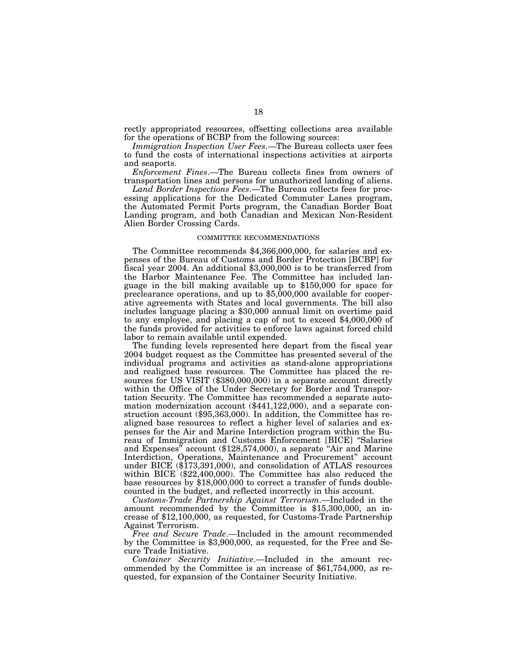rectly appropriated resources, offsetting collections area available for the operations of BCBP from the following sources:

*Immigration Inspection User Fees*.—The Bureau collects user fees to fund the costs of international inspections activities at airports and seaports.

*Enforcement Fines*.—The Bureau collects fines from owners of transportation lines and persons for unauthorized landing of aliens.

*Land Border Inspections Fees*.—The Bureau collects fees for processing applications for the Dedicated Commuter Lanes program, the Automated Permit Ports program, the Canadian Border Boat Landing program, and both Canadian and Mexican Non-Resident Alien Border Crossing Cards.

# COMMITTEE RECOMMENDATIONS

The Committee recommends \$4,366,000,000, for salaries and expenses of the Bureau of Customs and Border Protection [BCBP] for fiscal year 2004. An additional \$3,000,000 is to be transferred from the Harbor Maintenance Fee. The Committee has included language in the bill making available up to \$150,000 for space for preclearance operations, and up to \$5,000,000 available for cooperative agreements with States and local governments. The bill also includes language placing a \$30,000 annual limit on overtime paid to any employee, and placing a cap of not to exceed \$4,000,000 of the funds provided for activities to enforce laws against forced child labor to remain available until expended.

The funding levels represented here depart from the fiscal year 2004 budget request as the Committee has presented several of the individual programs and activities as stand-alone appropriations and realigned base resources. The Committee has placed the resources for US VISIT (\$380,000,000) in a separate account directly within the Office of the Under Secretary for Border and Transportation Security. The Committee has recommended a separate automation modernization account (\$441,122,000), and a separate construction account (\$95,363,000). In addition, the Committee has realigned base resources to reflect a higher level of salaries and expenses for the Air and Marine Interdiction program within the Bureau of Immigration and Customs Enforcement [BICE] ''Salaries and Expenses'' account (\$128,574,000), a separate ''Air and Marine Interdiction, Operations, Maintenance and Procurement'' account under BICE (\$173,391,000), and consolidation of ATLAS resources within BICE (\$22,400,000). The Committee has also reduced the base resources by \$18,000,000 to correct a transfer of funds doublecounted in the budget, and reflected incorrectly in this account.

*Customs-Trade Partnership Against Terrorism*.—Included in the amount recommended by the Committee is \$15,300,000, an increase of \$12,100,000, as requested, for Customs-Trade Partnership Against Terrorism.

*Free and Secure Trade*.—Included in the amount recommended by the Committee is \$3,900,000, as requested, for the Free and Secure Trade Initiative.

*Container Security Initiative*.—Included in the amount recommended by the Committee is an increase of \$61,754,000, as requested, for expansion of the Container Security Initiative.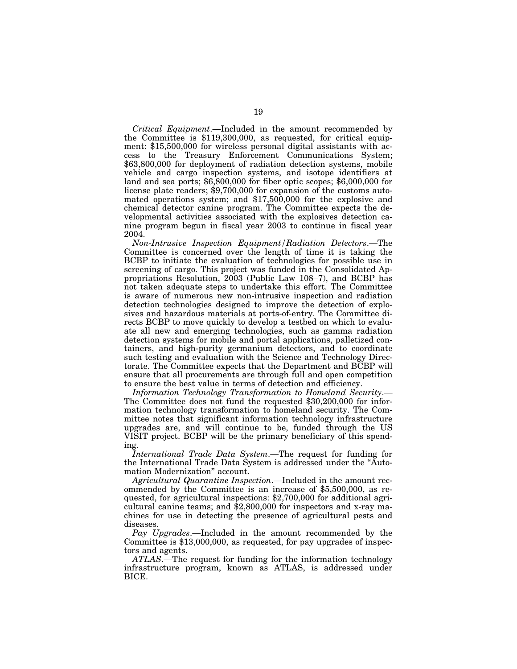*Critical Equipment*.—Included in the amount recommended by the Committee is \$119,300,000, as requested, for critical equipment: \$15,500,000 for wireless personal digital assistants with access to the Treasury Enforcement Communications System; \$63,800,000 for deployment of radiation detection systems, mobile vehicle and cargo inspection systems, and isotope identifiers at land and sea ports; \$6,800,000 for fiber optic scopes; \$6,000,000 for license plate readers; \$9,700,000 for expansion of the customs automated operations system; and \$17,500,000 for the explosive and chemical detector canine program. The Committee expects the developmental activities associated with the explosives detection canine program begun in fiscal year 2003 to continue in fiscal year 2004.

*Non-Intrusive Inspection Equipment/Radiation Detectors*.—The Committee is concerned over the length of time it is taking the BCBP to initiate the evaluation of technologies for possible use in screening of cargo. This project was funded in the Consolidated Appropriations Resolution, 2003 (Public Law 108–7), and BCBP has not taken adequate steps to undertake this effort. The Committee is aware of numerous new non-intrusive inspection and radiation detection technologies designed to improve the detection of explosives and hazardous materials at ports-of-entry. The Committee directs BCBP to move quickly to develop a testbed on which to evaluate all new and emerging technologies, such as gamma radiation detection systems for mobile and portal applications, palletized containers, and high-purity germanium detectors, and to coordinate such testing and evaluation with the Science and Technology Directorate. The Committee expects that the Department and BCBP will ensure that all procurements are through full and open competition to ensure the best value in terms of detection and efficiency.

*Information Technology Transformation to Homeland Security*.— The Committee does not fund the requested \$30,200,000 for information technology transformation to homeland security. The Committee notes that significant information technology infrastructure upgrades are, and will continue to be, funded through the US VISIT project. BCBP will be the primary beneficiary of this spending.

*International Trade Data System*.—The request for funding for the International Trade Data System is addressed under the ''Automation Modernization'' account.

*Agricultural Quarantine Inspection*.—Included in the amount recommended by the Committee is an increase of \$5,500,000, as requested, for agricultural inspections: \$2,700,000 for additional agricultural canine teams; and \$2,800,000 for inspectors and x-ray machines for use in detecting the presence of agricultural pests and diseases.

*Pay Upgrades*.—Included in the amount recommended by the Committee is \$13,000,000, as requested, for pay upgrades of inspectors and agents.

*ATLAS*.—The request for funding for the information technology infrastructure program, known as ATLAS, is addressed under BICE.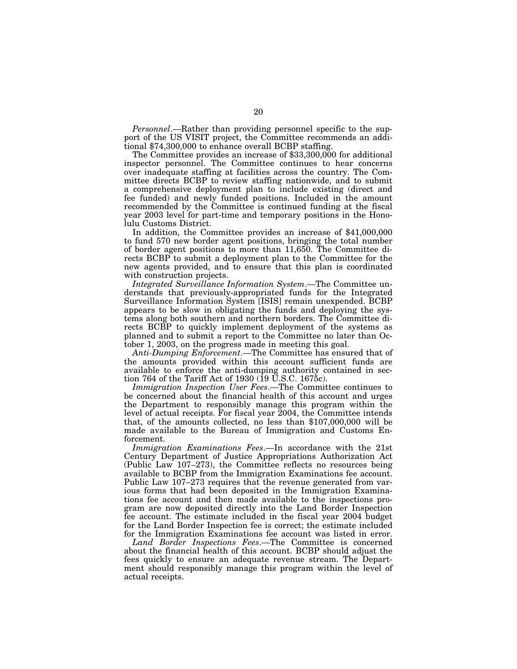*Personnel*.—Rather than providing personnel specific to the support of the US VISIT project, the Committee recommends an additional \$74,300,000 to enhance overall BCBP staffing.

The Committee provides an increase of \$33,300,000 for additional inspector personnel. The Committee continues to hear concerns over inadequate staffing at facilities across the country. The Committee directs BCBP to review staffing nationwide, and to submit a comprehensive deployment plan to include existing (direct and fee funded) and newly funded positions. Included in the amount recommended by the Committee is continued funding at the fiscal year 2003 level for part-time and temporary positions in the Honolulu Customs District.

In addition, the Committee provides an increase of \$41,000,000 to fund 570 new border agent positions, bringing the total number of border agent positions to more than 11,650. The Committee directs BCBP to submit a deployment plan to the Committee for the new agents provided, and to ensure that this plan is coordinated with construction projects.

*Integrated Surveillance Information System*.—The Committee understands that previously-appropriated funds for the Integrated Surveillance Information System [ISIS] remain unexpended. BCBP appears to be slow in obligating the funds and deploying the systems along both southern and northern borders. The Committee directs BCBP to quickly implement deployment of the systems as planned and to submit a report to the Committee no later than October 1, 2003, on the progress made in meeting this goal.

*Anti-Dumping Enforcement*.—The Committee has ensured that of the amounts provided within this account sufficient funds are available to enforce the anti-dumping authority contained in section 764 of the Tariff Act of 1930 (19 U.S.C. 1675c).

*Immigration Inspection User Fees*.—The Committee continues to be concerned about the financial health of this account and urges the Department to responsibly manage this program within the level of actual receipts. For fiscal year 2004, the Committee intends that, of the amounts collected, no less than \$107,000,000 will be made available to the Bureau of Immigration and Customs Enforcement.

*Immigration Examinations Fees*.—In accordance with the 21st Century Department of Justice Appropriations Authorization Act (Public Law 107–273), the Committee reflects no resources being available to BCBP from the Immigration Examinations fee account. Public Law 107–273 requires that the revenue generated from various forms that had been deposited in the Immigration Examinations fee account and then made available to the inspections program are now deposited directly into the Land Border Inspection fee account. The estimate included in the fiscal year 2004 budget for the Land Border Inspection fee is correct; the estimate included for the Immigration Examinations fee account was listed in error.

*Land Border Inspections Fees*.—The Committee is concerned about the financial health of this account. BCBP should adjust the fees quickly to ensure an adequate revenue stream. The Department should responsibly manage this program within the level of actual receipts.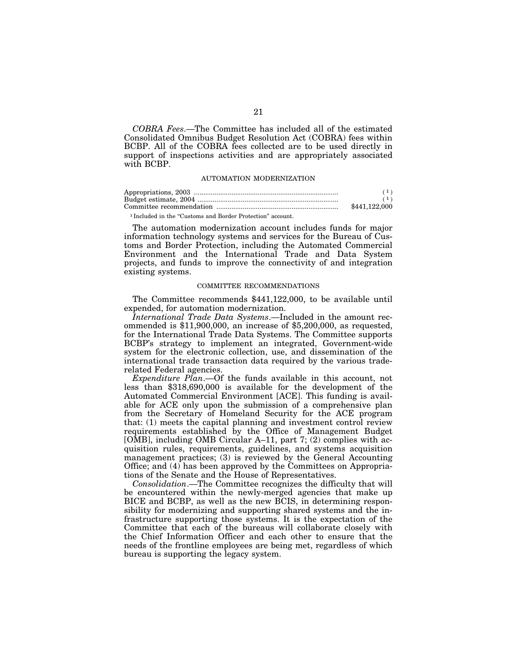*COBRA Fees*.—The Committee has included all of the estimated Consolidated Omnibus Budget Resolution Act (COBRA) fees within BCBP. All of the COBRA fees collected are to be used directly in support of inspections activities and are appropriately associated with BCBP.

#### AUTOMATION MODERNIZATION

| \$441.122.000 |
|---------------|

<sup>1</sup> Included in the "Customs and Border Protection" account.

The automation modernization account includes funds for major information technology systems and services for the Bureau of Customs and Border Protection, including the Automated Commercial Environment and the International Trade and Data System projects, and funds to improve the connectivity of and integration existing systems.

# COMMITTEE RECOMMENDATIONS

The Committee recommends \$441,122,000, to be available until expended, for automation modernization.

*International Trade Data Systems*.—Included in the amount recommended is \$11,900,000, an increase of \$5,200,000, as requested, for the International Trade Data Systems. The Committee supports BCBP's strategy to implement an integrated, Government-wide system for the electronic collection, use, and dissemination of the international trade transaction data required by the various traderelated Federal agencies.

*Expenditure Plan*.—Of the funds available in this account, not less than \$318,690,000 is available for the development of the Automated Commercial Environment [ACE]. This funding is available for ACE only upon the submission of a comprehensive plan from the Secretary of Homeland Security for the ACE program that: (1) meets the capital planning and investment control review requirements established by the Office of Management Budget [OMB], including OMB Circular A–11, part 7; (2) complies with acquisition rules, requirements, guidelines, and systems acquisition management practices; (3) is reviewed by the General Accounting Office; and (4) has been approved by the Committees on Appropriations of the Senate and the House of Representatives.

*Consolidation*.—The Committee recognizes the difficulty that will be encountered within the newly-merged agencies that make up BICE and BCBP, as well as the new BCIS, in determining responsibility for modernizing and supporting shared systems and the infrastructure supporting those systems. It is the expectation of the Committee that each of the bureaus will collaborate closely with the Chief Information Officer and each other to ensure that the needs of the frontline employees are being met, regardless of which bureau is supporting the legacy system.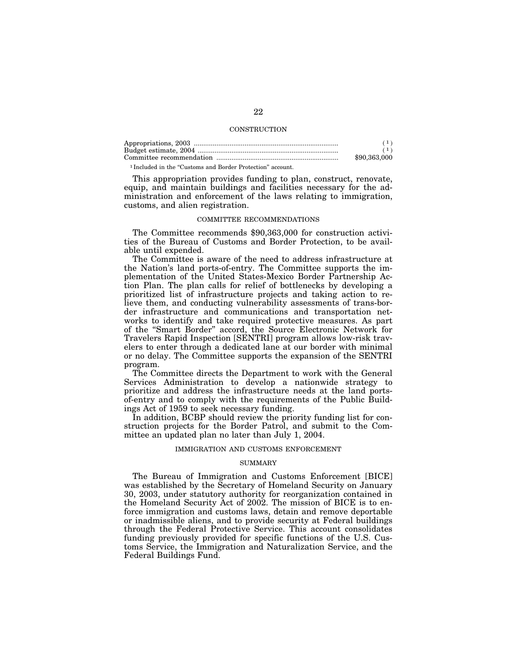# **CONSTRUCTION**

|   | \$90,363,000 |
|---|--------------|
| . |              |

<sup>1</sup> Included in the "Customs and Border Protection" account.

This appropriation provides funding to plan, construct, renovate, equip, and maintain buildings and facilities necessary for the administration and enforcement of the laws relating to immigration, customs, and alien registration.

# COMMITTEE RECOMMENDATIONS

The Committee recommends \$90,363,000 for construction activities of the Bureau of Customs and Border Protection, to be available until expended.

The Committee is aware of the need to address infrastructure at the Nation's land ports-of-entry. The Committee supports the implementation of the United States-Mexico Border Partnership Action Plan. The plan calls for relief of bottlenecks by developing a prioritized list of infrastructure projects and taking action to relieve them, and conducting vulnerability assessments of trans-border infrastructure and communications and transportation networks to identify and take required protective measures. As part of the ''Smart Border'' accord, the Source Electronic Network for Travelers Rapid Inspection [SENTRI] program allows low-risk travelers to enter through a dedicated lane at our border with minimal or no delay. The Committee supports the expansion of the SENTRI program.

The Committee directs the Department to work with the General Services Administration to develop a nationwide strategy to prioritize and address the infrastructure needs at the land portsof-entry and to comply with the requirements of the Public Buildings Act of 1959 to seek necessary funding.

In addition, BCBP should review the priority funding list for construction projects for the Border Patrol, and submit to the Committee an updated plan no later than July 1, 2004.

#### IMMIGRATION AND CUSTOMS ENFORCEMENT

# SUMMARY

The Bureau of Immigration and Customs Enforcement [BICE] was established by the Secretary of Homeland Security on January 30, 2003, under statutory authority for reorganization contained in the Homeland Security Act of 2002. The mission of BICE is to enforce immigration and customs laws, detain and remove deportable or inadmissible aliens, and to provide security at Federal buildings through the Federal Protective Service. This account consolidates funding previously provided for specific functions of the U.S. Customs Service, the Immigration and Naturalization Service, and the Federal Buildings Fund.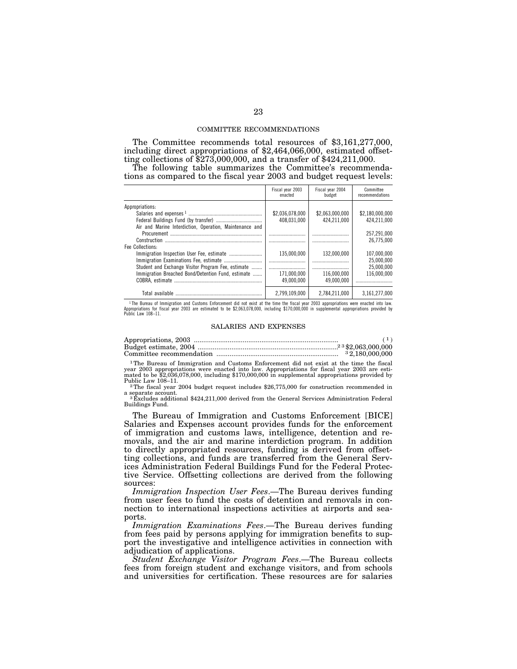#### COMMITTEE RECOMMENDATIONS

The Committee recommends total resources of \$3,161,277,000, including direct appropriations of \$2,464,066,000, estimated offsetting collections of \$273,000,000, and a transfer of \$424,211,000.

The following table summarizes the Committee's recommendations as compared to the fiscal year 2003 and budget request levels:

|                                                         | Fiscal year 2003<br>enacted | Fiscal year 2004<br>budget | Committee<br>recommendations |
|---------------------------------------------------------|-----------------------------|----------------------------|------------------------------|
| Appropriations:                                         |                             |                            |                              |
|                                                         | \$2,036,078,000             | \$2.063.000.000            | \$2.180.000.000              |
|                                                         | 408.031.000                 | 424.211.000                | 424.211.000                  |
| Air and Marine Interdiction, Operation, Maintenance and |                             |                            |                              |
|                                                         |                             |                            | 257.291.000                  |
| Construction                                            |                             |                            | 26.775.000                   |
| Fee Collections:                                        |                             |                            |                              |
|                                                         | 135.000.000                 | 132.000.000                | 107,000,000                  |
|                                                         |                             |                            | 25.000.000                   |
| Student and Exchange Visitor Program Fee, estimate      |                             |                            | 25.000.000                   |
| Immigration Breached Bond/Detention Fund, estimate      | 171.000.000                 | 116.000.000                | 116.000.000                  |
|                                                         | 49.000.000                  | 49.000.000                 |                              |
|                                                         | 2.799.109.000               | 2.784.211.000              | 3.161.277.000                |

The Bureau of Immigration and Customs Enforcement did not exist at the time the fiscal year 2003 appropriations were enacted into law.<br>Appropriations for fiscal year 2003 are estimated to be \$2,063,078,000, including \$170, Public Law 108-11

#### SALARIES AND EXPENSES

| $.23$ \$2,063,000,000 |
|-----------------------|
| 32,180,000,000        |

1The Bureau of Immigration and Customs Enforcement did not exist at the time the fiscal year 2003 appropriations were enacted into law. Appropriations for fiscal year 2003 are esti-mated to be \$2,036,078,000, including \$170,000,000 in supplemental appropriations provided by

Public Law 108–11.<br><sup>2</sup>The fiscal year 2004 budget request includes \$26,775,000 for construction recommended in<br>a separate account.

<sup>3</sup> Excludes additional \$424,211,000 derived from the General Services Administration Federal Buildings Fund.

The Bureau of Immigration and Customs Enforcement [BICE] Salaries and Expenses account provides funds for the enforcement of immigration and customs laws, intelligence, detention and removals, and the air and marine interdiction program. In addition to directly appropriated resources, funding is derived from offsetting collections, and funds are transferred from the General Services Administration Federal Buildings Fund for the Federal Protective Service. Offsetting collections are derived from the following sources:

*Immigration Inspection User Fees*.—The Bureau derives funding from user fees to fund the costs of detention and removals in connection to international inspections activities at airports and seaports.

*Immigration Examinations Fees*.—The Bureau derives funding from fees paid by persons applying for immigration benefits to support the investigative and intelligence activities in connection with adjudication of applications.

*Student Exchange Visitor Program Fees*.—The Bureau collects fees from foreign student and exchange visitors, and from schools and universities for certification. These resources are for salaries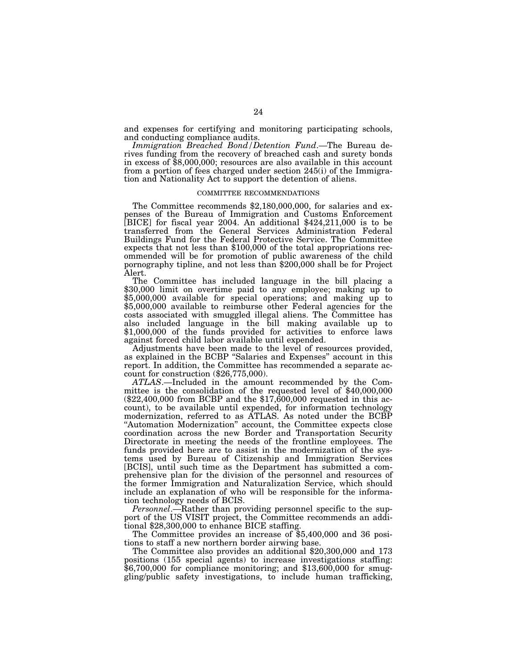and expenses for certifying and monitoring participating schools, and conducting compliance audits.

*Immigration Breached Bond/Detention Fund*.—The Bureau derives funding from the recovery of breached cash and surety bonds in excess of \$8,000,000; resources are also available in this account from a portion of fees charged under section 245(i) of the Immigration and Nationality Act to support the detention of aliens.

# COMMITTEE RECOMMENDATIONS

The Committee recommends \$2,180,000,000, for salaries and expenses of the Bureau of Immigration and Customs Enforcement [BICE] for fiscal year 2004. An additional \$424,211,000 is to be transferred from the General Services Administration Federal Buildings Fund for the Federal Protective Service. The Committee expects that not less than \$100,000 of the total appropriations recommended will be for promotion of public awareness of the child pornography tipline, and not less than \$200,000 shall be for Project

Alert.<br>The Committee has included language in the bill placing a The Committee has included language in the bill placing a \$30,000 limit on overtime paid to any employee; making up to \$5,000,000 available for special operations; and making up to \$5,000,000 available to reimburse other Federal agencies for the costs associated with smuggled illegal aliens. The Committee has also included language in the bill making available up to \$1,000,000 of the funds provided for activities to enforce laws against forced child labor available until expended.

Adjustments have been made to the level of resources provided, as explained in the BCBP ''Salaries and Expenses'' account in this report. In addition, the Committee has recommended a separate ac-

count for construction (\$26,775,000).<br>ATLAS.—Included in the amount recommended by the Committee is the consolidation of the requested level of \$40,000,000  $(\$22,400,000$  from BCBP and the  $\$17,600,000$  requested in this account), to be available until expended, for information technology modernization, referred to as ATLAS. As noted under the BCBP ''Automation Modernization'' account, the Committee expects close coordination across the new Border and Transportation Security Directorate in meeting the needs of the frontline employees. The funds provided here are to assist in the modernization of the systems used by Bureau of Citizenship and Immigration Services [BCIS], until such time as the Department has submitted a comprehensive plan for the division of the personnel and resources of the former Immigration and Naturalization Service, which should include an explanation of who will be responsible for the information technology needs of BCIS.

*Personnel*.—Rather than providing personnel specific to the support of the US VISIT project, the Committee recommends an additional \$28,300,000 to enhance BICE staffing.

The Committee provides an increase of \$5,400,000 and 36 positions to staff a new northern border airwing base.

The Committee also provides an additional \$20,300,000 and 173 positions (155 special agents) to increase investigations staffing: \$6,700,000 for compliance monitoring; and \$13,600,000 for smuggling/public safety investigations, to include human trafficking,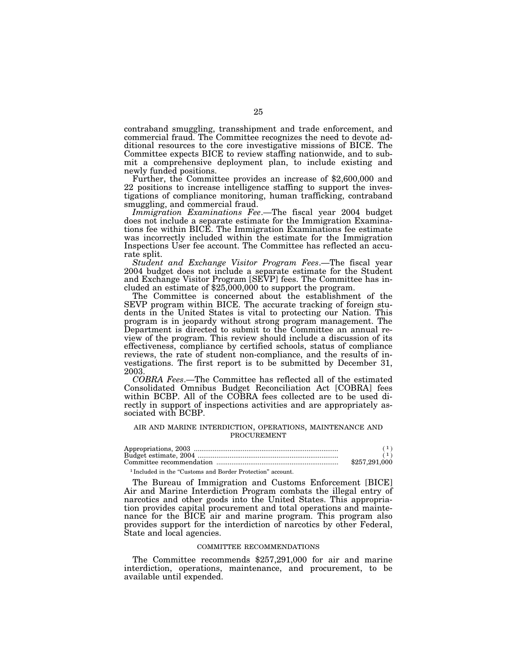contraband smuggling, transshipment and trade enforcement, and commercial fraud. The Committee recognizes the need to devote additional resources to the core investigative missions of BICE. The Committee expects BICE to review staffing nationwide, and to submit a comprehensive deployment plan, to include existing and newly funded positions. Further, the Committee provides an increase of \$2,600,000 and

22 positions to increase intelligence staffing to support the investigations of compliance monitoring, human trafficking, contraband smuggling, and commercial fraud.

*Immigration Examinations Fee*.—The fiscal year 2004 budget does not include a separate estimate for the Immigration Examinations fee within BICE. The Immigration Examinations fee estimate was incorrectly included within the estimate for the Immigration Inspections User fee account. The Committee has reflected an accurate split.

*Student and Exchange Visitor Program Fees*.—The fiscal year 2004 budget does not include a separate estimate for the Student and Exchange Visitor Program [SEVP] fees. The Committee has included an estimate of \$25,000,000 to support the program.

The Committee is concerned about the establishment of the SEVP program within BICE. The accurate tracking of foreign students in the United States is vital to protecting our Nation. This program is in jeopardy without strong program management. The Department is directed to submit to the Committee an annual review of the program. This review should include a discussion of its effectiveness, compliance by certified schools, status of compliance reviews, the rate of student non-compliance, and the results of investigations. The first report is to be submitted by December 31, 2003.

*COBRA Fees*.—The Committee has reflected all of the estimated Consolidated Omnibus Budget Reconciliation Act [COBRA] fees within BCBP. All of the COBRA fees collected are to be used directly in support of inspections activities and are appropriately associated with BCBP.

# AIR AND MARINE INTERDICTION, OPERATIONS, MAINTENANCE AND PROCUREMENT

| \$257,291,000 |
|---------------|
|               |

<sup>1</sup> Included in the "Customs and Border Protection" account.

The Bureau of Immigration and Customs Enforcement [BICE] Air and Marine Interdiction Program combats the illegal entry of narcotics and other goods into the United States. This appropriation provides capital procurement and total operations and maintenance for the BICE air and marine program. This program also provides support for the interdiction of narcotics by other Federal, State and local agencies.

#### COMMITTEE RECOMMENDATIONS

The Committee recommends \$257,291,000 for air and marine interdiction, operations, maintenance, and procurement, to be available until expended.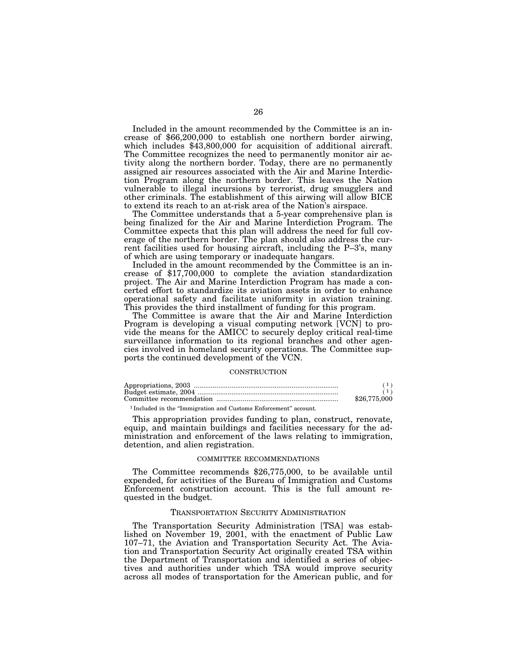Included in the amount recommended by the Committee is an increase of \$66,200,000 to establish one northern border airwing, which includes \$43,800,000 for acquisition of additional aircraft. The Committee recognizes the need to permanently monitor air activity along the northern border. Today, there are no permanently assigned air resources associated with the Air and Marine Interdiction Program along the northern border. This leaves the Nation vulnerable to illegal incursions by terrorist, drug smugglers and other criminals. The establishment of this airwing will allow BICE to extend its reach to an at-risk area of the Nation's airspace.

The Committee understands that a 5-year comprehensive plan is being finalized for the Air and Marine Interdiction Program. The Committee expects that this plan will address the need for full coverage of the northern border. The plan should also address the current facilities used for housing aircraft, including the P–3's, many of which are using temporary or inadequate hangars.

Included in the amount recommended by the Committee is an increase of \$17,700,000 to complete the aviation standardization project. The Air and Marine Interdiction Program has made a concerted effort to standardize its aviation assets in order to enhance operational safety and facilitate uniformity in aviation training. This provides the third installment of funding for this program.

The Committee is aware that the Air and Marine Interdiction Program is developing a visual computing network [VCN] to provide the means for the AMICC to securely deploy critical real-time surveillance information to its regional branches and other agencies involved in homeland security operations. The Committee supports the continued development of the VCN.

#### **CONSTRUCTION**

| \$26,775,000 |
|--------------|

1 Included in the ''Immigration and Customs Enforcement'' account.

This appropriation provides funding to plan, construct, renovate, equip, and maintain buildings and facilities necessary for the administration and enforcement of the laws relating to immigration, detention, and alien registration.

#### COMMITTEE RECOMMENDATIONS

The Committee recommends \$26,775,000, to be available until expended, for activities of the Bureau of Immigration and Customs Enforcement construction account. This is the full amount requested in the budget.

#### TRANSPORTATION SECURITY ADMINISTRATION

The Transportation Security Administration [TSA] was established on November 19, 2001, with the enactment of Public Law 107–71, the Aviation and Transportation Security Act. The Aviation and Transportation Security Act originally created TSA within the Department of Transportation and identified a series of objectives and authorities under which TSA would improve security across all modes of transportation for the American public, and for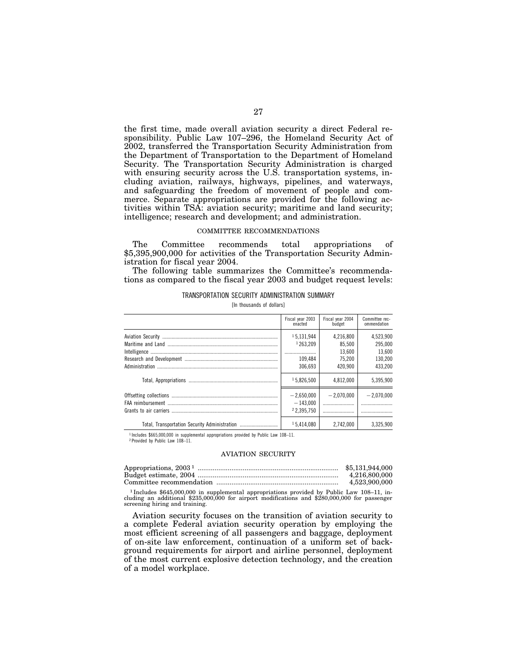the first time, made overall aviation security a direct Federal responsibility. Public Law 107–296, the Homeland Security Act of 2002, transferred the Transportation Security Administration from the Department of Transportation to the Department of Homeland Security. The Transportation Security Administration is charged with ensuring security across the U.S. transportation systems, including aviation, railways, highways, pipelines, and waterways, and safeguarding the freedom of movement of people and commerce. Separate appropriations are provided for the following activities within TSA: aviation security; maritime and land security; intelligence; research and development; and administration.

# COMMITTEE RECOMMENDATIONS

The Committee recommends total appropriations of \$5,395,900,000 for activities of the Transportation Security Administration for fiscal year 2004.

The following table summarizes the Committee's recommendations as compared to the fiscal year 2003 and budget request levels:

| TRANSPORTATION SECURITY ADMINISTRATION SUMMARY |                           |  |
|------------------------------------------------|---------------------------|--|
|                                                | [In thousands of dollars] |  |

|                                               | Fiscal year 2003<br>enacted | Fiscal year 2004<br>budget | Committee rec-<br>ommendation |
|-----------------------------------------------|-----------------------------|----------------------------|-------------------------------|
|                                               | 15.131.944                  | 4,216,800                  | 4,523,900                     |
|                                               | 1263.209                    | 85,500                     | 295.000                       |
|                                               |                             | 13,600                     | 13.600                        |
|                                               | 109.484                     | 75.200                     | 130,200                       |
|                                               | 306.693                     | 420.900                    | 433.200                       |
|                                               | 15.826.500                  | 4.812.000                  | 5,395,900                     |
|                                               | $-2,650,000$                | $-2,070,000$               | $-2,070,000$                  |
|                                               | $-143.000$                  |                            |                               |
|                                               | 22.395.750                  |                            |                               |
| Total, Transportation Security Administration | 15.414.080                  | 2.742.000                  | 3.325.900                     |

<sup>1</sup> Includes \$665,000,000 in supplemental appropriations provided by Public Law 108-11.

2 Provided by Public Law 108–11.

#### AVIATION SECURITY

| Appropriations, $20031$ . | \$5,131,944,000 |
|---------------------------|-----------------|
|                           | 4.216.800.000   |
|                           | 4,523,900,000   |

1 Includes \$645,000,000 in supplemental appropriations provided by Public Law 108–11, including an additional \$235,000,000 for airport modifications and \$280,000,000 for passenger screening hiring and training.

Aviation security focuses on the transition of aviation security to a complete Federal aviation security operation by employing the most efficient screening of all passengers and baggage, deployment of on-site law enforcement, continuation of a uniform set of background requirements for airport and airline personnel, deployment of the most current explosive detection technology, and the creation of a model workplace.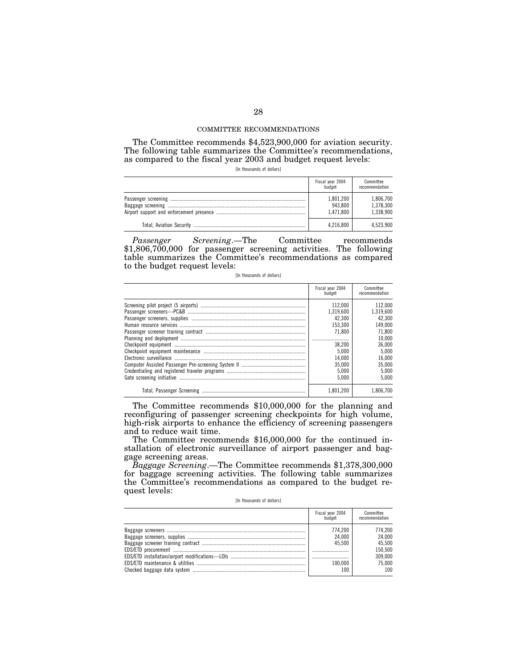#### COMMITTEE RECOMMENDATIONS

The Committee recommends \$4,523,900,000 for aviation security. The following table summarizes the Committee's recommendations, as compared to the fiscal year 2003 and budget request levels:

[In thousands of dollars]

| Fiscal year 2004<br>budget        | Committee<br>recommendation         |
|-----------------------------------|-------------------------------------|
| 1,801,200<br>943.800<br>1.471.800 | 1,806,700<br>1,378,300<br>1,338,900 |
| 4.216.800                         | 4.523.900                           |

*Passenger Screening*.—The Committee recommends \$1,806,700,000 for passenger screening activities. The following table summarizes the Committee's recommendations as compared to the budget request levels:

[In thousands of dollars]

| Fiscal year 2004<br>budget | Committee<br>recommendation |
|----------------------------|-----------------------------|
| 112.000                    | 112.000                     |
| 1.319.600                  | 1.319.600                   |
| 42.300                     | 42.300                      |
| 153.300                    | 149.000                     |
| 71.800                     | 71.800                      |
|                            | 10,000                      |
| 38.200                     | 36,000                      |
| 5.000                      | 5.000                       |
| 14.000                     | 16.000                      |
| 35.000                     | 35,000                      |
| 5.000                      | 5.000                       |
| 5.000                      | 5.000                       |
| 1.801.200                  | 1.806.700                   |

The Committee recommends \$10,000,000 for the planning and reconfiguring of passenger screening checkpoints for high volume, high-risk airports to enhance the efficiency of screening passengers and to reduce wait time.

The Committee recommends \$16,000,000 for the continued installation of electronic surveillance of airport passenger and baggage screening areas.

*Baggage Screening*.—The Committee recommends \$1,378,300,000 for baggage screening activities. The following table summarizes the Committee's recommendations as compared to the budget request levels:

[In thousands of dollars]

| Fiscal year 2004<br>budget                    | Committee<br>recommendation                                        |
|-----------------------------------------------|--------------------------------------------------------------------|
| 774.200<br>24.000<br>45.500<br>100.000<br>100 | 774.200<br>24.000<br>45.500<br>150.500<br>309.000<br>75.000<br>100 |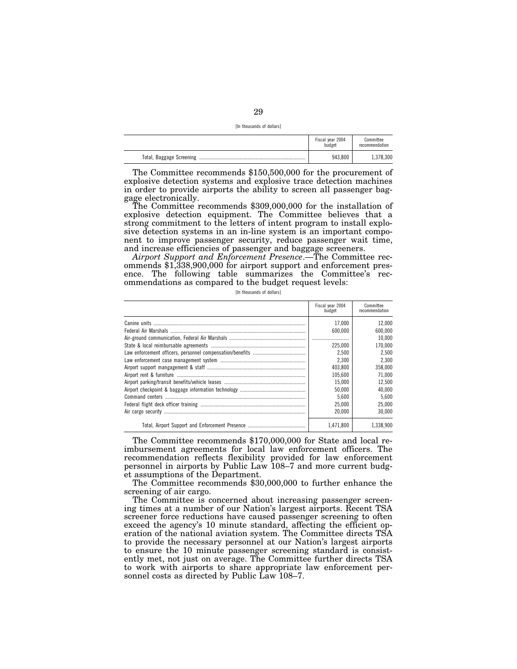[In thousands of dollars]

|                          | Fiscal year 2004<br>budget | Committee<br>recommendation |
|--------------------------|----------------------------|-----------------------------|
| Total, Baggage Screening | 943.800                    | 1,378,300                   |

The Committee recommends \$150,500,000 for the procurement of explosive detection systems and explosive trace detection machines in order to provide airports the ability to screen all passenger bag-

The Committee recommends \$309,000,000 for the installation of explosive detection equipment. The Committee believes that a strong commitment to the letters of intent program to install explosive detection systems in an in-line system is an important component to improve passenger security, reduce passenger wait time, and increase efficiencies of passenger and baggage screeners.

*Airport Support and Enforcement Presence*.—The Committee recommends \$1,338,900,000 for airport support and enforcement presence. The following table summarizes the Committee's recommendations as compared to the budget request levels:

[In thousands of dollars]

| Fiscal year 2004<br>budget | Committee<br>recommendation |
|----------------------------|-----------------------------|
| 17.000                     | 12.000                      |
| 600.000                    | 600.000                     |
|                            | 10.000                      |
| 225,000                    | 170.000                     |
| 2.500                      | 2.500                       |
| 2.300                      | 2.300                       |
| 403.800                    | 358.000                     |
| 105.600                    | 71.000                      |
| 15.000                     | 12.500                      |
| 50.000                     | 40.000                      |
| 5.600                      | 5.600                       |
| 25.000                     | 25.000                      |
| 20.000                     | 30.000                      |
| 1.471.800                  | 1.338.900                   |

The Committee recommends \$170,000,000 for State and local reimbursement agreements for local law enforcement officers. The recommendation reflects flexibility provided for law enforcement personnel in airports by Public Law 108–7 and more current budget assumptions of the Department.

The Committee recommends \$30,000,000 to further enhance the screening of air cargo.

The Committee is concerned about increasing passenger screening times at a number of our Nation's largest airports. Recent TSA screener force reductions have caused passenger screening to often exceed the agency's 10 minute standard, affecting the efficient operation of the national aviation system. The Committee directs TSA to provide the necessary personnel at our Nation's largest airports to ensure the 10 minute passenger screening standard is consistently met, not just on average. The Committee further directs TSA to work with airports to share appropriate law enforcement personnel costs as directed by Public Law 108–7.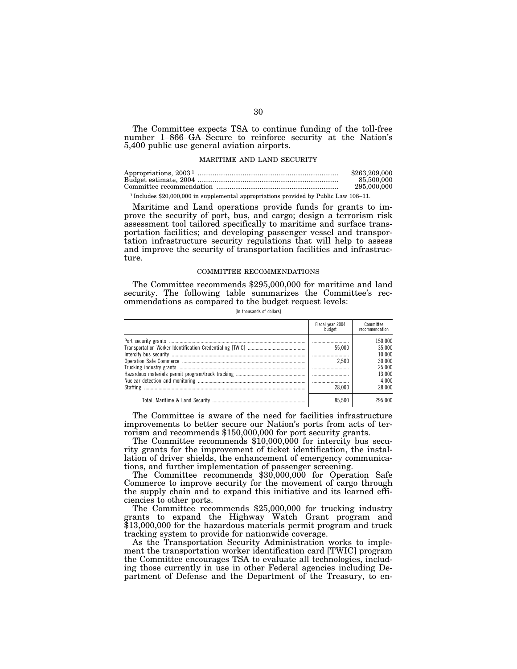The Committee expects TSA to continue funding of the toll-free number 1–866–GA–Secure to reinforce security at the Nation's 5,400 public use general aviation airports.

#### MARITIME AND LAND SECURITY

| Appropriations, $20031$ | \$263,209,000 |
|-------------------------|---------------|
|                         | 85,500,000    |
|                         | 295,000,000   |

1 Includes \$20,000,000 in supplemental appropriations provided by Public Law 108–11.

Maritime and Land operations provide funds for grants to improve the security of port, bus, and cargo; design a terrorism risk assessment tool tailored specifically to maritime and surface transportation facilities; and developing passenger vessel and transportation infrastructure security regulations that will help to assess and improve the security of transportation facilities and infrastructure.

#### COMMITTEE RECOMMENDATIONS

The Committee recommends \$295,000,000 for maritime and land security. The following table summarizes the Committee's recommendations as compared to the budget request levels:

[In thousands of dollars]

| Fiscal year 2004<br>budget | Committee<br>recommendation |
|----------------------------|-----------------------------|
|                            | 150.000                     |
| 55.000                     | 35.000                      |
|                            | 10.000                      |
| 2.500                      | 30.000                      |
|                            | 25.000                      |
|                            | 13.000                      |
|                            | 4.000                       |
| 28.000                     | 28.000                      |
| 85.500                     | 295,000                     |

The Committee is aware of the need for facilities infrastructure improvements to better secure our Nation's ports from acts of terrorism and recommends \$150,000,000 for port security grants.

The Committee recommends \$10,000,000 for intercity bus security grants for the improvement of ticket identification, the installation of driver shields, the enhancement of emergency communications, and further implementation of passenger screening.

The Committee recommends \$30,000,000 for Operation Safe Commerce to improve security for the movement of cargo through the supply chain and to expand this initiative and its learned efficiencies to other ports.

The Committee recommends \$25,000,000 for trucking industry grants to expand the Highway Watch Grant program and \$13,000,000 for the hazardous materials permit program and truck tracking system to provide for nationwide coverage.

As the Transportation Security Administration works to implement the transportation worker identification card [TWIC] program the Committee encourages TSA to evaluate all technologies, including those currently in use in other Federal agencies including Department of Defense and the Department of the Treasury, to en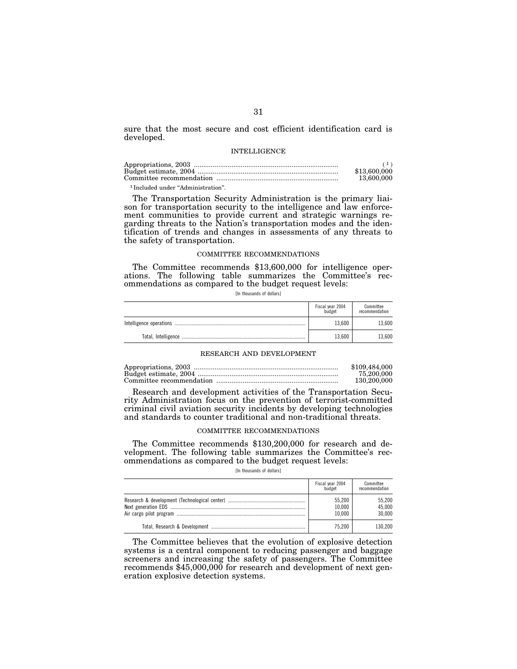sure that the most secure and cost efficient identification card is developed.

#### INTELLIGENCE

|                                               | (1)          |
|-----------------------------------------------|--------------|
|                                               | \$13,600,000 |
|                                               | 13,600,000   |
| <sup>1</sup> Included under "Administration". |              |

The Transportation Security Administration is the primary liaison for transportation security to the intelligence and law enforcement communities to provide current and strategic warnings regarding threats to the Nation's transportation modes and the identification of trends and changes in assessments of any threats to the safety of transportation.

#### COMMITTEE RECOMMENDATIONS

The Committee recommends \$13,600,000 for intelligence operations. The following table summarizes the Committee's recommendations as compared to the budget request levels:

[In thousands of dollars]

| Fiscal year 2004<br>budget | Committee<br>recommendation |
|----------------------------|-----------------------------|
| 13.600                     | 13.600                      |
| 13.600                     | 13.600                      |

# RESEARCH AND DEVELOPMENT

| \$109,484,000 |
|---------------|
| 75.200.000    |
| 130,200,000   |

Research and development activities of the Transportation Security Administration focus on the prevention of terrorist-committed criminal civil aviation security incidents by developing technologies and standards to counter traditional and non-traditional threats.

# COMMITTEE RECOMMENDATIONS

The Committee recommends \$130,200,000 for research and development. The following table summarizes the Committee's recommendations as compared to the budget request levels:

[In thousands of dollars]

| Fiscal year 2004<br>budget | Committee<br>recommendation |
|----------------------------|-----------------------------|
| 55.200<br>10,000<br>10.000 | 55.200<br>45.000<br>30.000  |
| 75.200                     | 130.200                     |

The Committee believes that the evolution of explosive detection systems is a central component to reducing passenger and baggage screeners and increasing the safety of passengers. The Committee recommends \$45,000,000 for research and development of next generation explosive detection systems.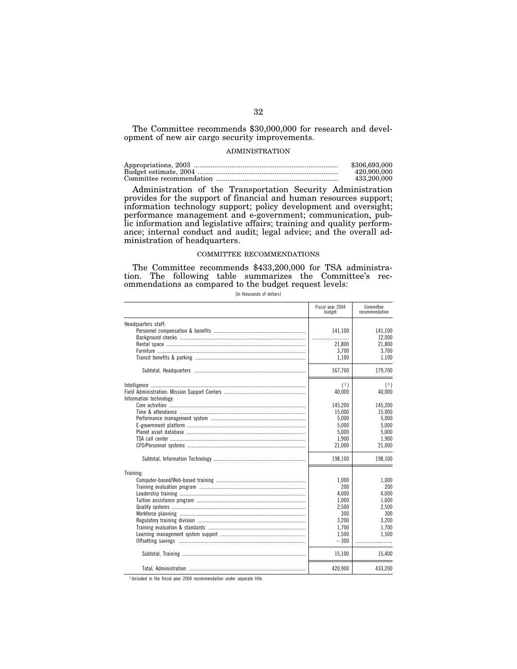The Committee recommends \$30,000,000 for research and development of new air cargo security improvements.

#### ADMINISTRATION

| \$306,693,000 |
|---------------|
| 420,900,000   |
| 433,200,000   |

Administration of the Transportation Security Administration provides for the support of financial and human resources support; information technology support; policy development and oversight; performance management and e-government; communication, public information and legislative affairs; training and quality performance; internal conduct and audit; legal advice; and the overall administration of headquarters.

# COMMITTEE RECOMMENDATIONS

The Committee recommends \$433,200,000 for TSA administration. The following table summarizes the Committee's recommendations as compared to the budget request levels:

[In thousands of dollars]

|                         | Fiscal year 2004<br>budget | Committee<br>recommendation |
|-------------------------|----------------------------|-----------------------------|
| Headquarters staff:     |                            |                             |
|                         | 141.100                    | 141,100                     |
|                         |                            | 12,000                      |
|                         | 21.800                     | 21,800                      |
|                         | 3,700                      | 3,700                       |
|                         | 1,100                      | 1,100                       |
|                         | 167,700                    | 179,700                     |
|                         | (1)                        | (1)                         |
|                         | 40,000                     | 40,000                      |
| Information technology: |                            |                             |
|                         | 145.200                    | 145.200                     |
|                         | 15,000                     | 15.000                      |
|                         | 5,000                      | 5,000                       |
|                         | 5.000                      | 5.000                       |
|                         | 5,000                      | 5,000                       |
|                         | 1.900                      | 1.900                       |
|                         | 21,000                     | 21,000                      |
|                         | 198,100                    | 198,100                     |
| Training:               |                            |                             |
|                         | 1.000                      | 1.000                       |
|                         | 200                        | 200                         |
|                         | 4.000                      | 4.000                       |
|                         | 1,000                      | 1,000                       |
|                         | 2.500                      | 2.500                       |
|                         | 300                        | 300                         |
|                         | 3,200                      | 3.200                       |
|                         | 1,700                      | 1,700                       |
|                         | 1.500                      | 1.500                       |
|                         | $-300$                     |                             |
|                         | 15,100                     | 15,400                      |
|                         | 420,900                    | 433,200                     |

1 Included in the fiscal year 2004 recommendation under separate title.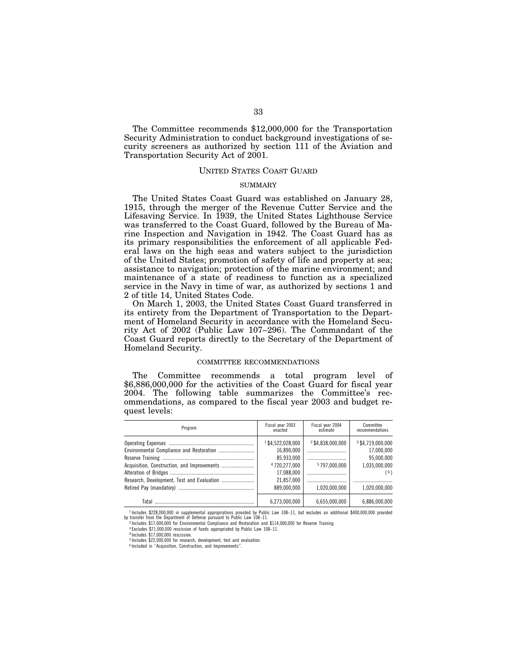The Committee recommends \$12,000,000 for the Transportation Security Administration to conduct background investigations of security screeners as authorized by section 111 of the Aviation and Transportation Security Act of 2001.

# UNITED STATES COAST GUARD

# SUMMARY

The United States Coast Guard was established on January 28, 1915, through the merger of the Revenue Cutter Service and the Lifesaving Service. In 1939, the United States Lighthouse Service was transferred to the Coast Guard, followed by the Bureau of Marine Inspection and Navigation in 1942. The Coast Guard has as its primary responsibilities the enforcement of all applicable Federal laws on the high seas and waters subject to the jurisdiction of the United States; promotion of safety of life and property at sea; assistance to navigation; protection of the marine environment; and maintenance of a state of readiness to function as a specialized service in the Navy in time of war, as authorized by sections 1 and 2 of title 14, United States Code.

On March 1, 2003, the United States Coast Guard transferred in its entirety from the Department of Transportation to the Department of Homeland Security in accordance with the Homeland Security Act of 2002 (Public Law 107–296). The Commandant of the Coast Guard reports directly to the Secretary of the Department of Homeland Security.

#### COMMITTEE RECOMMENDATIONS

The Committee recommends a total program level of \$6,886,000,000 for the activities of the Coast Guard for fiscal year 2004. The following table summarizes the Committee's recommendations, as compared to the fiscal year 2003 and budget request levels:

| Program | Fiscal year 2003<br>enacted                                                                             | Fiscal year 2004<br>estimate                              | Committee<br>recommendations                                                          |
|---------|---------------------------------------------------------------------------------------------------------|-----------------------------------------------------------|---------------------------------------------------------------------------------------|
|         | 1\$4,522,028,000<br>16,890,000<br>85.933.000<br>4720.277.000<br>17.088.000<br>21.857.000<br>889.000.000 | 2\$4,838,000,000<br><br>5797.000.000<br><br>1.020.000.000 | 3\$4,719,000,000<br>17,000,000<br>95.000.000<br>1,035,000,000<br>(6)<br>1.020.000.000 |
| Total   | 6,273,000,000                                                                                           | 6.655.000.000                                             | 6.886.000.000                                                                         |

1 Includes \$228,000,000 in supplemental appropriations provided by Public Law 108–11, but excludes an additional \$400,000,000 provided by transfer from the Department of Defense pursuant to Public Law 108–11.

4 Includes \$17,000,000 rescission.

<sup>2</sup> Includes \$17,000,000 for Environmental Compliance and Restoration and \$114,000,000 for Reserve Training.

<sup>3</sup> Excludes \$71,000,000 rescission of funds appropriated by Public Law 108–11.

<sup>5</sup> Includes \$22,000,000 for research, development, test and evaluation. 6 Included in ''Acquisition, Construction, and Improvements''.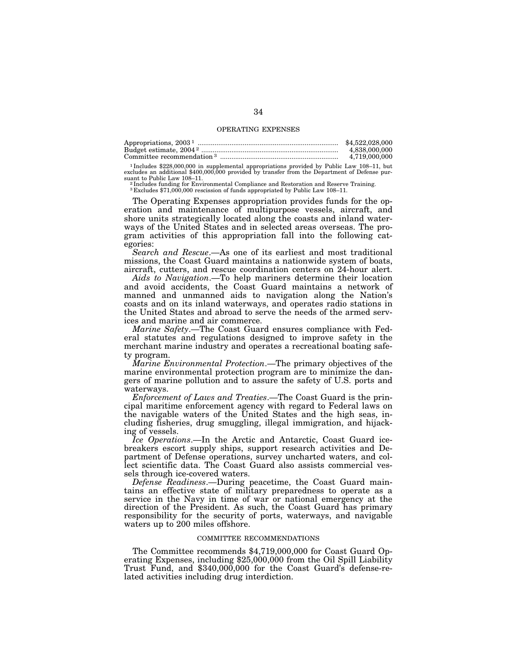### OPERATING EXPENSES

| Appropriations, $20031$               | \$4,522,028,000 |
|---------------------------------------|-----------------|
|                                       | 4.838.000.000   |
| Committee recommendation <sup>3</sup> | 4.719.000.000   |
|                                       |                 |

 $^{1}$ Includes \$228,000,000 in supplemental appropriations provided by Public Law 108–11, but excludes an additional \$400,000,000 provided by transfer from the Department of Defense pursuant to Public Law 108–11. suant to Public Law 108–11.<br><sup>2</sup> Includes funding for Environmental Compliance and Restoration and Reserve Training.<br><sup>3</sup> Excludes \$71,000,000 rescission of funds appropriated by Public Law 108–11.

The Operating Expenses appropriation provides funds for the operation and maintenance of multipurpose vessels, aircraft, and shore units strategically located along the coasts and inland waterways of the United States and in selected areas overseas. The program activities of this appropriation fall into the following categories:

*Search and Rescue*.—As one of its earliest and most traditional missions, the Coast Guard maintains a nationwide system of boats, aircraft, cutters, and rescue coordination centers on 24-hour alert.

*Aids to Navigation*.—To help mariners determine their location and avoid accidents, the Coast Guard maintains a network of manned and unmanned aids to navigation along the Nation's coasts and on its inland waterways, and operates radio stations in the United States and abroad to serve the needs of the armed services and marine and air commerce.

*Marine Safety*.—The Coast Guard ensures compliance with Federal statutes and regulations designed to improve safety in the merchant marine industry and operates a recreational boating safety program.

*Marine Environmental Protection*.—The primary objectives of the marine environmental protection program are to minimize the dangers of marine pollution and to assure the safety of U.S. ports and waterways.

*Enforcement of Laws and Treaties*.—The Coast Guard is the principal maritime enforcement agency with regard to Federal laws on the navigable waters of the United States and the high seas, including fisheries, drug smuggling, illegal immigration, and hijacking of vessels.

*Ice Operations*.—In the Arctic and Antarctic, Coast Guard icebreakers escort supply ships, support research activities and Department of Defense operations, survey uncharted waters, and collect scientific data. The Coast Guard also assists commercial vessels through ice-covered waters.

*Defense Readiness*.—During peacetime, the Coast Guard maintains an effective state of military preparedness to operate as a service in the Navy in time of war or national emergency at the direction of the President. As such, the Coast Guard has primary responsibility for the security of ports, waterways, and navigable waters up to 200 miles offshore.

### COMMITTEE RECOMMENDATIONS

The Committee recommends \$4,719,000,000 for Coast Guard Operating Expenses, including \$25,000,000 from the Oil Spill Liability Trust Fund, and \$340,000,000 for the Coast Guard's defense-related activities including drug interdiction.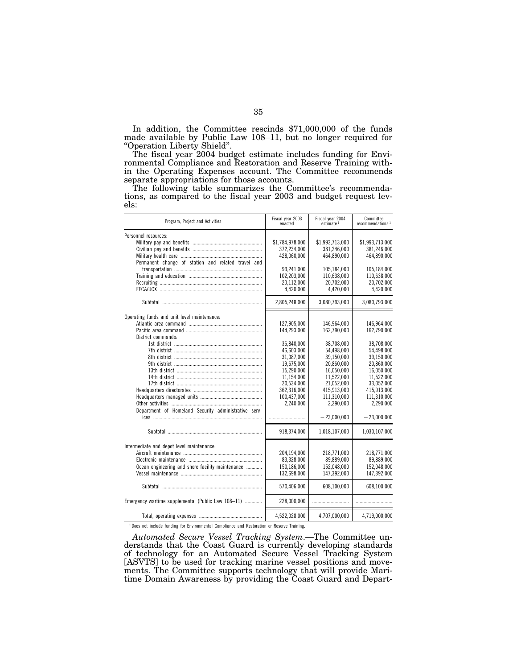In addition, the Committee rescinds \$71,000,000 of the funds made available by Public Law 108–11, but no longer required for ''Operation Liberty Shield''.

The fiscal year 2004 budget estimate includes funding for Environmental Compliance and Restoration and Reserve Training within the Operating Expenses account. The Committee recommends separate appropriations for those accounts.

The following table summarizes the Committee's recommendations, as compared to the fiscal year 2003 and budget request levels:

| Program, Project and Activities                      | Fiscal year 2003<br>enacted | Fiscal year 2004<br>estimate <sup>1</sup> | Committee<br>recommendations <sup>1</sup> |
|------------------------------------------------------|-----------------------------|-------------------------------------------|-------------------------------------------|
| Personnel resources:                                 |                             |                                           |                                           |
|                                                      | \$1,784,978,000             | \$1,993,713,000                           | \$1,993,713,000                           |
|                                                      | 372,234,000                 | 381.246.000                               | 381,246,000                               |
|                                                      | 428,060,000                 | 464,890,000                               | 464,890,000                               |
| Permanent change of station and related travel and   |                             |                                           |                                           |
|                                                      | 93.241.000                  | 105.184.000                               | 105.184.000                               |
|                                                      | 102,203,000                 | 110.638.000                               | 110,638,000                               |
|                                                      | 20,112,000                  | 20,702,000                                | 20,702,000                                |
|                                                      | 4,420,000                   | 4,420,000                                 | 4,420,000                                 |
|                                                      | 2,805,248,000               | 3,080,793,000                             | 3,080,793,000                             |
| Operating funds and unit level maintenance:          |                             |                                           |                                           |
|                                                      | 127,905,000                 | 146.964.000                               | 146.964.000                               |
|                                                      | 144,293,000                 | 162.790.000                               | 162,790,000                               |
| District commands:                                   |                             |                                           |                                           |
|                                                      | 36,840,000                  | 38,708,000                                | 38,708,000                                |
|                                                      | 46,603,000                  | 54,498,000                                | 54,498,000                                |
|                                                      | 31.087.000                  | 39.150.000                                | 39.150.000                                |
|                                                      | 19,675,000                  | 20,860,000                                | 20,860,000                                |
|                                                      | 15,290,000                  | 16,050,000                                | 16,050,000                                |
|                                                      | 11,154,000                  | 11,522,000                                | 11,522,000                                |
|                                                      | 20,534,000                  | 21,052,000                                | 33,052,000                                |
|                                                      | 362,316,000                 | 415,913,000                               | 415,913,000                               |
|                                                      | 100,437,000                 | 111,310,000                               | 111,310,000                               |
|                                                      | 2.240.000                   | 2.290.000                                 | 2.290.000                                 |
| Department of Homeland Security administrative serv- |                             |                                           |                                           |
|                                                      |                             | $-23,000,000$                             | $-23,000,000$                             |
|                                                      |                             |                                           |                                           |
|                                                      | 918,374,000                 | 1,018,107,000                             | 1,030,107,000                             |
| Intermediate and depot level maintenance:            |                             |                                           |                                           |
|                                                      | 204,194,000                 | 218,771,000                               | 218,771,000                               |
|                                                      | 83,328,000                  | 89.889.000                                | 89.889.000                                |
| Ocean engineering and shore facility maintenance     | 150,186,000                 | 152,048,000                               | 152,048,000                               |
|                                                      | 132,698,000                 | 147,392,000                               | 147,392,000                               |
|                                                      |                             |                                           |                                           |
|                                                      | 570,406,000                 | 608,100,000                               | 608,100,000                               |
| Emergency wartime supplemental (Public Law 108-11)   | 228,000,000                 |                                           |                                           |
|                                                      | 4,522,028,000               | 4,707,000,000                             | 4,719,000,000                             |

1 Does not include funding for Environmental Compliance and Restoration or Reserve Training.

*Automated Secure Vessel Tracking System*.—The Committee understands that the Coast Guard is currently developing standards of technology for an Automated Secure Vessel Tracking System [ASVTS] to be used for tracking marine vessel positions and movements. The Committee supports technology that will provide Maritime Domain Awareness by providing the Coast Guard and Depart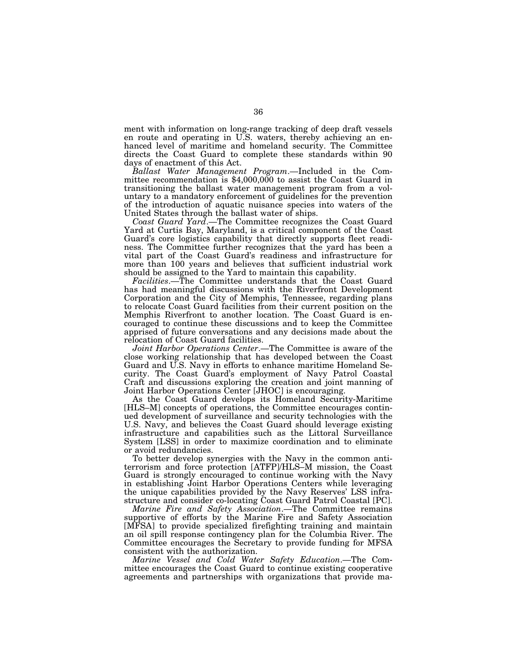ment with information on long-range tracking of deep draft vessels en route and operating in U.S. waters, thereby achieving an enhanced level of maritime and homeland security. The Committee directs the Coast Guard to complete these standards within 90 days of enactment of this Act.

*Ballast Water Management Program*.—Included in the Committee recommendation is \$4,000,000 to assist the Coast Guard in transitioning the ballast water management program from a voluntary to a mandatory enforcement of guidelines for the prevention of the introduction of aquatic nuisance species into waters of the United States through the ballast water of ships.

*Coast Guard Yard*.—The Committee recognizes the Coast Guard Yard at Curtis Bay, Maryland, is a critical component of the Coast Guard's core logistics capability that directly supports fleet readiness. The Committee further recognizes that the yard has been a vital part of the Coast Guard's readiness and infrastructure for more than 100 years and believes that sufficient industrial work should be assigned to the Yard to maintain this capability.

*Facilities*.—The Committee understands that the Coast Guard has had meaningful discussions with the Riverfront Development Corporation and the City of Memphis, Tennessee, regarding plans to relocate Coast Guard facilities from their current position on the Memphis Riverfront to another location. The Coast Guard is encouraged to continue these discussions and to keep the Committee apprised of future conversations and any decisions made about the relocation of Coast Guard facilities.

*Joint Harbor Operations Center*.—The Committee is aware of the close working relationship that has developed between the Coast Guard and U.S. Navy in efforts to enhance maritime Homeland Security. The Coast Guard's employment of Navy Patrol Coastal Craft and discussions exploring the creation and joint manning of Joint Harbor Operations Center [JHOC] is encouraging.

As the Coast Guard develops its Homeland Security-Maritime [HLS–M] concepts of operations, the Committee encourages continued development of surveillance and security technologies with the U.S. Navy, and believes the Coast Guard should leverage existing infrastructure and capabilities such as the Littoral Surveillance System [LSS] in order to maximize coordination and to eliminate or avoid redundancies.

To better develop synergies with the Navy in the common antiterrorism and force protection [ATFP]/HLS–M mission, the Coast Guard is strongly encouraged to continue working with the Navy in establishing Joint Harbor Operations Centers while leveraging the unique capabilities provided by the Navy Reserves' LSS infrastructure and consider co-locating Coast Guard Patrol Coastal [PC].

*Marine Fire and Safety Association*.—The Committee remains supportive of efforts by the Marine Fire and Safety Association [MFSA] to provide specialized firefighting training and maintain an oil spill response contingency plan for the Columbia River. The Committee encourages the Secretary to provide funding for MFSA consistent with the authorization.

*Marine Vessel and Cold Water Safety Education*.—The Committee encourages the Coast Guard to continue existing cooperative agreements and partnerships with organizations that provide ma-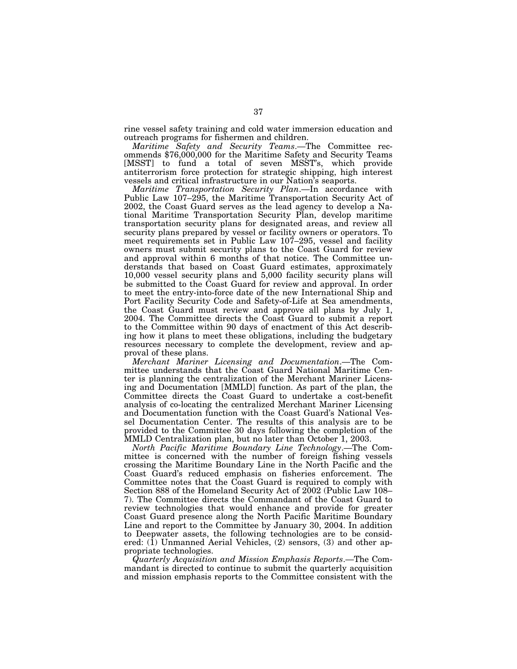rine vessel safety training and cold water immersion education and outreach programs for fishermen and children.

*Maritime Safety and Security Teams*.—The Committee recommends \$76,000,000 for the Maritime Safety and Security Teams [MSST] to fund a total of seven MSST's, which provide antiterrorism force protection for strategic shipping, high interest vessels and critical infrastructure in our Nation's seaports.

*Maritime Transportation Security Plan*.—In accordance with Public Law 107–295, the Maritime Transportation Security Act of 2002, the Coast Guard serves as the lead agency to develop a National Maritime Transportation Security Plan, develop maritime transportation security plans for designated areas, and review all security plans prepared by vessel or facility owners or operators. To meet requirements set in Public Law 107–295, vessel and facility owners must submit security plans to the Coast Guard for review and approval within 6 months of that notice. The Committee understands that based on Coast Guard estimates, approximately 10,000 vessel security plans and 5,000 facility security plans will be submitted to the Coast Guard for review and approval. In order to meet the entry-into-force date of the new International Ship and Port Facility Security Code and Safety-of-Life at Sea amendments, the Coast Guard must review and approve all plans by July 1, 2004. The Committee directs the Coast Guard to submit a report to the Committee within 90 days of enactment of this Act describing how it plans to meet these obligations, including the budgetary resources necessary to complete the development, review and approval of these plans.

*Merchant Mariner Licensing and Documentation*.—The Committee understands that the Coast Guard National Maritime Center is planning the centralization of the Merchant Mariner Licensing and Documentation [MMLD] function. As part of the plan, the Committee directs the Coast Guard to undertake a cost-benefit analysis of co-locating the centralized Merchant Mariner Licensing and Documentation function with the Coast Guard's National Vessel Documentation Center. The results of this analysis are to be provided to the Committee 30 days following the completion of the MMLD Centralization plan, but no later than October 1, 2003.

*North Pacific Maritime Boundary Line Technology*.—The Committee is concerned with the number of foreign fishing vessels crossing the Maritime Boundary Line in the North Pacific and the Coast Guard's reduced emphasis on fisheries enforcement. The Committee notes that the Coast Guard is required to comply with Section 888 of the Homeland Security Act of 2002 (Public Law 108– 7). The Committee directs the Commandant of the Coast Guard to review technologies that would enhance and provide for greater Coast Guard presence along the North Pacific Maritime Boundary Line and report to the Committee by January 30, 2004. In addition to Deepwater assets, the following technologies are to be considered: (1) Unmanned Aerial Vehicles, (2) sensors, (3) and other appropriate technologies.

*Quarterly Acquisition and Mission Emphasis Reports*.—The Commandant is directed to continue to submit the quarterly acquisition and mission emphasis reports to the Committee consistent with the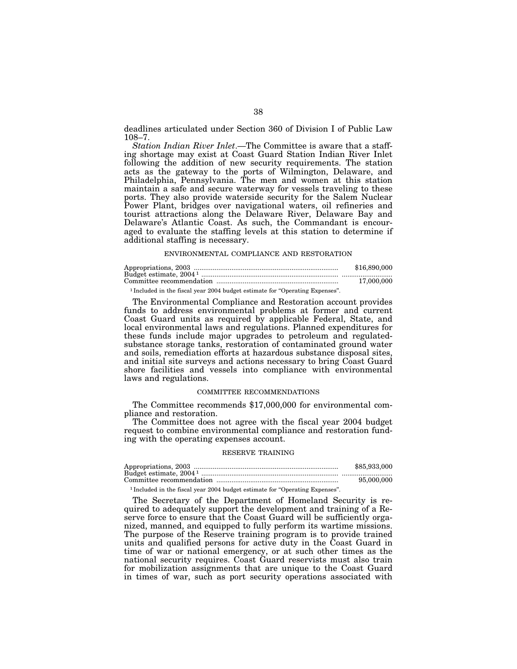deadlines articulated under Section 360 of Division I of Public Law 108–7.

*Station Indian River Inlet*.—The Committee is aware that a staffing shortage may exist at Coast Guard Station Indian River Inlet following the addition of new security requirements. The station acts as the gateway to the ports of Wilmington, Delaware, and Philadelphia, Pennsylvania. The men and women at this station maintain a safe and secure waterway for vessels traveling to these ports. They also provide waterside security for the Salem Nuclear Power Plant, bridges over navigational waters, oil refineries and tourist attractions along the Delaware River, Delaware Bay and Delaware's Atlantic Coast. As such, the Commandant is encouraged to evaluate the staffing levels at this station to determine if additional staffing is necessary.

#### ENVIRONMENTAL COMPLIANCE AND RESTORATION

|                                                                                         | \$16,890,000 |
|-----------------------------------------------------------------------------------------|--------------|
|                                                                                         |              |
|                                                                                         | 17.000.000   |
| <sup>1</sup> Included in the fiscal year 2004 budget estimate for "Operating Expenses". |              |

The Environmental Compliance and Restoration account provides funds to address environmental problems at former and current Coast Guard units as required by applicable Federal, State, and local environmental laws and regulations. Planned expenditures for these funds include major upgrades to petroleum and regulatedsubstance storage tanks, restoration of contaminated ground water and soils, remediation efforts at hazardous substance disposal sites, and initial site surveys and actions necessary to bring Coast Guard shore facilities and vessels into compliance with environmental laws and regulations.

### COMMITTEE RECOMMENDATIONS

The Committee recommends \$17,000,000 for environmental compliance and restoration.

The Committee does not agree with the fiscal year 2004 budget request to combine environmental compliance and restoration funding with the operating expenses account.

#### RESERVE TRAINING

| \$85,933,000 |
|--------------|
|              |
| 95,000,000   |
|              |

<sup>1</sup> Included in the fiscal year 2004 budget estimate for "Operating Expenses".

The Secretary of the Department of Homeland Security is required to adequately support the development and training of a Reserve force to ensure that the Coast Guard will be sufficiently organized, manned, and equipped to fully perform its wartime missions. The purpose of the Reserve training program is to provide trained units and qualified persons for active duty in the Coast Guard in time of war or national emergency, or at such other times as the national security requires. Coast Guard reservists must also train for mobilization assignments that are unique to the Coast Guard in times of war, such as port security operations associated with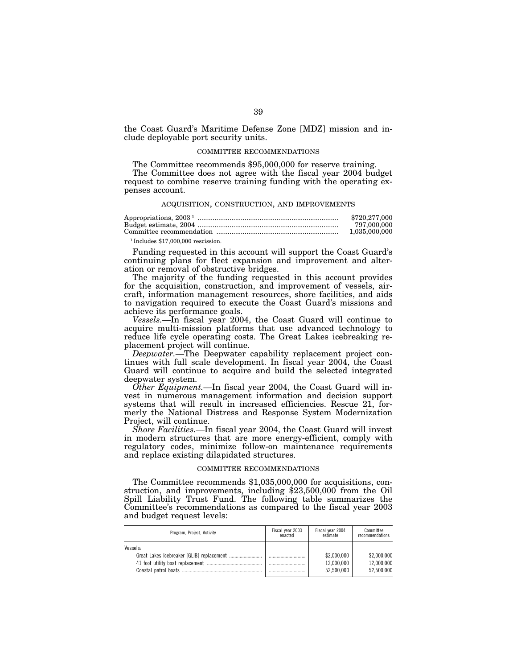the Coast Guard's Maritime Defense Zone [MDZ] mission and include deployable port security units.

### COMMITTEE RECOMMENDATIONS

The Committee recommends \$95,000,000 for reserve training.

The Committee does not agree with the fiscal year 2004 budget request to combine reserve training funding with the operating expenses account.

# ACQUISITION, CONSTRUCTION, AND IMPROVEMENTS

|                                       | \$720,277,000 |
|---------------------------------------|---------------|
|                                       | 797.000.000   |
|                                       | 1,035,000,000 |
| $1$ Includes \$17,000,000 rescission. |               |

Funding requested in this account will support the Coast Guard's

continuing plans for fleet expansion and improvement and alteration or removal of obstructive bridges.

The majority of the funding requested in this account provides for the acquisition, construction, and improvement of vessels, aircraft, information management resources, shore facilities, and aids to navigation required to execute the Coast Guard's missions and achieve its performance goals.

*Vessels.—*In fiscal year 2004, the Coast Guard will continue to acquire multi-mission platforms that use advanced technology to reduce life cycle operating costs. The Great Lakes icebreaking replacement project will continue.

*Deepwater.—*The Deepwater capability replacement project continues with full scale development. In fiscal year 2004, the Coast Guard will continue to acquire and build the selected integrated deepwater system.

*Other Equipment.—*In fiscal year 2004, the Coast Guard will invest in numerous management information and decision support systems that will result in increased efficiencies. Rescue 21, formerly the National Distress and Response System Modernization Project, will continue.

*Shore Facilities.—*In fiscal year 2004, the Coast Guard will invest in modern structures that are more energy-efficient, comply with regulatory codes, minimize follow-on maintenance requirements and replace existing dilapidated structures.

### COMMITTEE RECOMMENDATIONS

The Committee recommends \$1,035,000,000 for acquisitions, construction, and improvements, including \$23,500,000 from the Oil Spill Liability Trust Fund. The following table summarizes the Committee's recommendations as compared to the fiscal year 2003 and budget request levels:

| Program, Project, Activity | Fiscal year 2003 | Fiscal year 2004                        | Committee                               |
|----------------------------|------------------|-----------------------------------------|-----------------------------------------|
|                            | enacted          | estimate                                | recommendations                         |
| Vessels-                   |                  | \$2,000,000<br>12.000.000<br>52.500.000 | \$2,000,000<br>12,000,000<br>52.500.000 |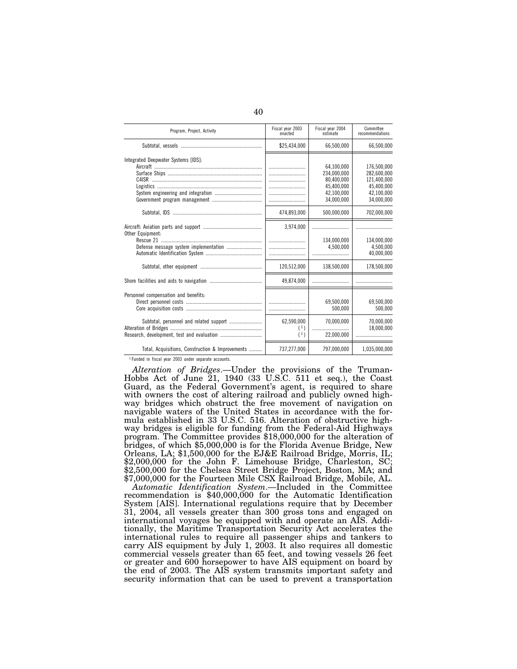| Program, Project, Activity                       | Fiscal year 2003<br>enacted | Fiscal year 2004<br>estimate                                                      | Committee<br>recommendations                                                        |
|--------------------------------------------------|-----------------------------|-----------------------------------------------------------------------------------|-------------------------------------------------------------------------------------|
|                                                  | \$25,434,000                | 66,500,000                                                                        | 66,500,000                                                                          |
| Integrated Deepwater Systems [IDS]:              |                             | 64.100.000<br>234.000.000<br>80,400,000<br>45,400,000<br>42.100.000<br>34.000.000 | 176.500.000<br>282.600.000<br>121,400,000<br>45,400,000<br>42.100.000<br>34.000.000 |
|                                                  | 474,893,000                 | 500,000,000                                                                       | 702,000,000                                                                         |
| Other Equipment:                                 | 3,974,000                   |                                                                                   |                                                                                     |
|                                                  |                             | 134.000.000<br>4.500.000                                                          | 134.000.000<br>4.500.000<br>40,000,000                                              |
|                                                  | 120,512,000                 | 138,500,000                                                                       | 178,500,000                                                                         |
|                                                  | 49,874,000                  |                                                                                   |                                                                                     |
| Personnel compensation and benefits:             |                             | 69.500.000<br>500.000                                                             | 69.500.000<br>500.000                                                               |
|                                                  | 62.590.000<br>(1)<br>(1)    | 70.000.000<br>22,000,000                                                          | 70.000.000<br>18,000,000                                                            |
| Total, Acquisitions, Construction & Improvements | 737,277,000                 | 797,000,000                                                                       | 1,035,000,000                                                                       |

1 Funded in fiscal year 2003 under separate accounts.

*Alteration of Bridges*.—Under the provisions of the Truman-Hobbs Act of June 21, 1940 (33 U.S.C. 511 et seq.), the Coast Guard, as the Federal Government's agent, is required to share with owners the cost of altering railroad and publicly owned highway bridges which obstruct the free movement of navigation on navigable waters of the United States in accordance with the formula established in 33 U.S.C. 516. Alteration of obstructive highway bridges is eligible for funding from the Federal-Aid Highways program. The Committee provides \$18,000,000 for the alteration of bridges, of which \$5,000,000 is for the Florida Avenue Bridge, New Orleans, LA; \$1,500,000 for the EJ&E Railroad Bridge, Morris, IL; \$2,000,000 for the John F. Limehouse Bridge, Charleston, SC; \$2,500,000 for the Chelsea Street Bridge Project, Boston, MA; and \$7,000,000 for the Fourteen Mile CSX Railroad Bridge, Mobile, AL.

*Automatic Identification System*.—Included in the Committee recommendation is \$40,000,000 for the Automatic Identification System [AIS]. International regulations require that by December 31, 2004, all vessels greater than 300 gross tons and engaged on international voyages be equipped with and operate an AIS. Additionally, the Maritime Transportation Security Act accelerates the international rules to require all passenger ships and tankers to carry AIS equipment by July 1, 2003. It also requires all domestic commercial vessels greater than 65 feet, and towing vessels 26 feet or greater and 600 horsepower to have AIS equipment on board by the end of 2003. The AIS system transmits important safety and security information that can be used to prevent a transportation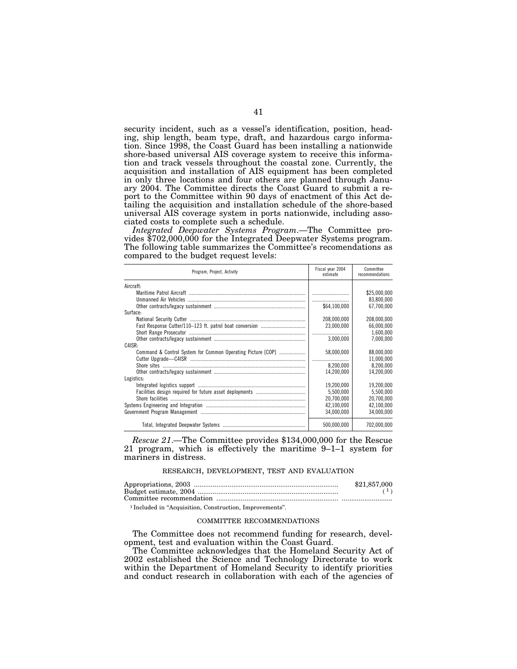security incident, such as a vessel's identification, position, heading, ship length, beam type, draft, and hazardous cargo information. Since 1998, the Coast Guard has been installing a nationwide shore-based universal AIS coverage system to receive this information and track vessels throughout the coastal zone. Currently, the acquisition and installation of AIS equipment has been completed in only three locations and four others are planned through January 2004. The Committee directs the Coast Guard to submit a report to the Committee within 90 days of enactment of this Act detailing the acquisition and installation schedule of the shore-based universal AIS coverage system in ports nationwide, including asso-

ciated costs to complete such a schedule.<br> *Integrated Deepwater Systems Program*.—The Committee provides  $$702,000,000$  for the Integrated Deepwater Systems program. The following table summarizes the Committee's recomendations as compared to the budget request levels:

| Program, Project, Activity                                  | Fiscal year 2004<br>estimate | Committee<br>recommendations |
|-------------------------------------------------------------|------------------------------|------------------------------|
| Aircraft:                                                   |                              |                              |
|                                                             |                              | \$25,000,000                 |
|                                                             |                              | 83,800,000                   |
|                                                             | \$64.100.000                 | 67.700.000                   |
| Surface:                                                    |                              |                              |
|                                                             | 208,000,000                  | 208,000,000                  |
|                                                             | 23,000,000                   | 66,000,000                   |
|                                                             |                              | 1,600,000                    |
|                                                             | 3.000.000                    | 7.000.000                    |
| C4ISR:                                                      |                              |                              |
| Command & Control System for Common Operating Picture [COP] | 58,000,000                   | 88.000.000                   |
|                                                             |                              | 11,000,000                   |
|                                                             | 8,200,000                    | 8,200,000                    |
|                                                             | 14.200.000                   | 14.200.000                   |
| Logistics:                                                  |                              |                              |
|                                                             | 19.200.000                   | 19.200.000                   |
|                                                             | 5.500.000                    | 5.500.000                    |
|                                                             | 20.700.000                   | 20.700.000                   |
|                                                             | 42.100.000                   | 42.100.000                   |
|                                                             | 34.000.000                   | 34.000.000                   |
|                                                             | 500,000,000                  | 702,000,000                  |

*Rescue 21*.—The Committee provides \$134,000,000 for the Rescue 21 program, which is effectively the maritime 9–1–1 system for mariners in distress.

# RESEARCH, DEVELOPMENT, TEST AND EVALUATION

| \$21,857,000 |
|--------------|
|              |
|              |

1 Included in ''Acquisition, Construction, Improvements''.

### COMMITTEE RECOMMENDATIONS

The Committee does not recommend funding for research, development, test and evaluation within the Coast Guard.

The Committee acknowledges that the Homeland Security Act of 2002 established the Science and Technology Directorate to work within the Department of Homeland Security to identify priorities and conduct research in collaboration with each of the agencies of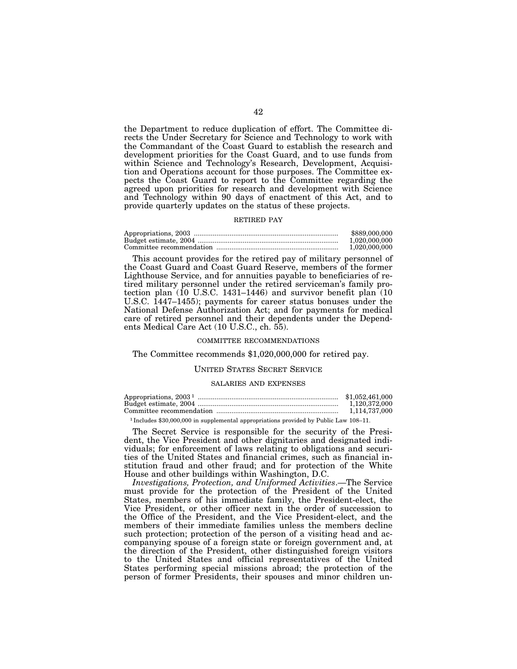the Department to reduce duplication of effort. The Committee directs the Under Secretary for Science and Technology to work with the Commandant of the Coast Guard to establish the research and development priorities for the Coast Guard, and to use funds from within Science and Technology's Research, Development, Acquisition and Operations account for those purposes. The Committee expects the Coast Guard to report to the Committee regarding the agreed upon priorities for research and development with Science and Technology within 90 days of enactment of this Act, and to provide quarterly updates on the status of these projects.

### RETIRED PAY

| \$889,000,000 |
|---------------|
| 1.020.000.000 |
| 1.020.000.000 |

This account provides for the retired pay of military personnel of the Coast Guard and Coast Guard Reserve, members of the former Lighthouse Service, and for annuities payable to beneficiaries of retired military personnel under the retired serviceman's family protection plan  $(10 \text{ U.S.C. } 1431-1446)$  and survivor benefit plan  $(10 \text{ U.S.C. } 1431-1446)$ U.S.C. 1447–1455); payments for career status bonuses under the National Defense Authorization Act; and for payments for medical care of retired personnel and their dependents under the Dependents Medical Care Act (10 U.S.C., ch. 55).

### COMMITTEE RECOMMENDATIONS

The Committee recommends \$1,020,000,000 for retired pay.

### UNITED STATES SECRET SERVICE

#### SALARIES AND EXPENSES

| Appropriations, $20031$ | \$1.052.461.000 |
|-------------------------|-----------------|
|                         | 1.120.372.000   |
|                         | 1.114.737.000   |

1 Includes \$30,000,000 in supplemental appropriations provided by Public Law 108–11.

The Secret Service is responsible for the security of the President, the Vice President and other dignitaries and designated individuals; for enforcement of laws relating to obligations and securities of the United States and financial crimes, such as financial institution fraud and other fraud; and for protection of the White House and other buildings within Washington, D.C.

*Investigations, Protection, and Uniformed Activities*.—The Service must provide for the protection of the President of the United States, members of his immediate family, the President-elect, the Vice President, or other officer next in the order of succession to the Office of the President, and the Vice President-elect, and the members of their immediate families unless the members decline such protection; protection of the person of a visiting head and accompanying spouse of a foreign state or foreign government and, at the direction of the President, other distinguished foreign visitors to the United States and official representatives of the United States performing special missions abroad; the protection of the person of former Presidents, their spouses and minor children un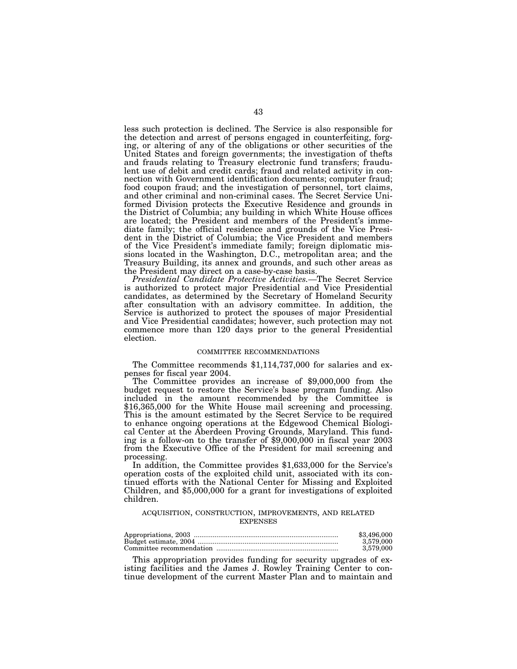less such protection is declined. The Service is also responsible for the detection and arrest of persons engaged in counterfeiting, forging, or altering of any of the obligations or other securities of the United States and foreign governments; the investigation of thefts and frauds relating to Treasury electronic fund transfers; fraudulent use of debit and credit cards; fraud and related activity in connection with Government identification documents; computer fraud; food coupon fraud; and the investigation of personnel, tort claims, and other criminal and non-criminal cases. The Secret Service Uniformed Division protects the Executive Residence and grounds in the District of Columbia; any building in which White House offices are located; the President and members of the President's immediate family; the official residence and grounds of the Vice President in the District of Columbia; the Vice President and members of the Vice President's immediate family; foreign diplomatic missions located in the Washington, D.C., metropolitan area; and the Treasury Building, its annex and grounds, and such other areas as the President may direct on a case-by-case basis.

*Presidential Candidate Protective Activities.—*The Secret Service is authorized to protect major Presidential and Vice Presidential candidates, as determined by the Secretary of Homeland Security after consultation with an advisory committee. In addition, the Service is authorized to protect the spouses of major Presidential and Vice Presidential candidates; however, such protection may not commence more than 120 days prior to the general Presidential election.

### COMMITTEE RECOMMENDATIONS

The Committee recommends \$1,114,737,000 for salaries and expenses for fiscal year 2004.

The Committee provides an increase of  $$9,000,000$  from the budget request to restore the Service's base program funding. Also included in the amount recommended by the Committee is \$16,365,000 for the White House mail screening and processing. This is the amount estimated by the Secret Service to be required to enhance ongoing operations at the Edgewood Chemical Biological Center at the Aberdeen Proving Grounds, Maryland. This funding is a follow-on to the transfer of  $$9,000,000$  in fiscal year 2003 from the Executive Office of the President for mail screening and

In addition, the Committee provides \$1,633,000 for the Service's operation costs of the exploited child unit, associated with its continued efforts with the National Center for Missing and Exploited Children, and \$5,000,000 for a grant for investigations of exploited children.

# ACQUISITION, CONSTRUCTION, IMPROVEMENTS, AND RELATED EXPENSES

| \$3,496,000 |
|-------------|
| 3.579.000   |
| 3.579.000   |

This appropriation provides funding for security upgrades of existing facilities and the James J. Rowley Training Center to continue development of the current Master Plan and to maintain and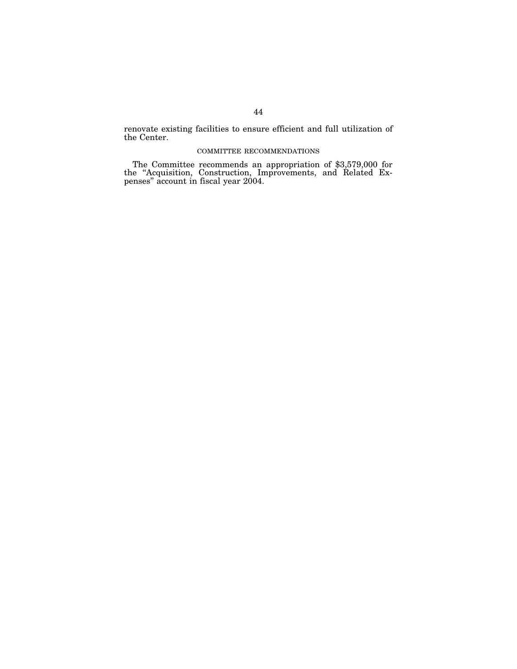renovate existing facilities to ensure efficient and full utilization of the Center.

# COMMITTEE RECOMMENDATIONS

The Committee recommends an appropriation of \$3,579,000 for the ''Acquisition, Construction, Improvements, and Related Expenses'' account in fiscal year 2004.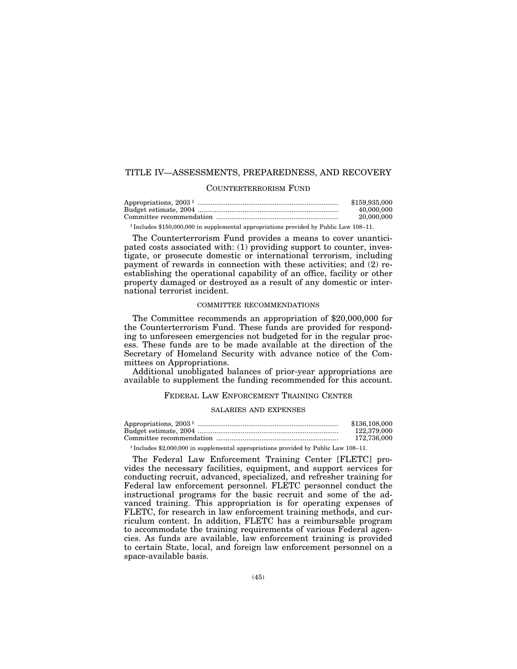# TITLE IV—ASSESSMENTS, PREPAREDNESS, AND RECOVERY

# COUNTERTERRORISM FUND

| \$159,935,000 |
|---------------|
| 40.000.000    |
| 20,000,000    |

1 Includes \$150,000,000 in supplemental appropriations provided by Public Law 108–11.

The Counterterrorism Fund provides a means to cover unanticipated costs associated with: (1) providing support to counter, investigate, or prosecute domestic or international terrorism, including payment of rewards in connection with these activities; and (2) reestablishing the operational capability of an office, facility or other property damaged or destroyed as a result of any domestic or international terrorist incident.

# COMMITTEE RECOMMENDATIONS

The Committee recommends an appropriation of \$20,000,000 for the Counterterrorism Fund. These funds are provided for responding to unforeseen emergencies not budgeted for in the regular process. These funds are to be made available at the direction of the Secretary of Homeland Security with advance notice of the Committees on Appropriations.

Additional unobligated balances of prior-year appropriations are available to supplement the funding recommended for this account.

# FEDERAL LAW ENFORCEMENT TRAINING CENTER

### SALARIES AND EXPENSES

| \$136,108,000 |
|---------------|
| 122,379,000   |
| 172,736,000   |
|               |

1 Includes \$2,000,000 in supplemental appropriations provided by Public Law 108–11.

The Federal Law Enforcement Training Center [FLETC] provides the necessary facilities, equipment, and support services for conducting recruit, advanced, specialized, and refresher training for Federal law enforcement personnel. FLETC personnel conduct the instructional programs for the basic recruit and some of the advanced training. This appropriation is for operating expenses of FLETC, for research in law enforcement training methods, and curriculum content. In addition, FLETC has a reimbursable program to accommodate the training requirements of various Federal agencies. As funds are available, law enforcement training is provided to certain State, local, and foreign law enforcement personnel on a space-available basis.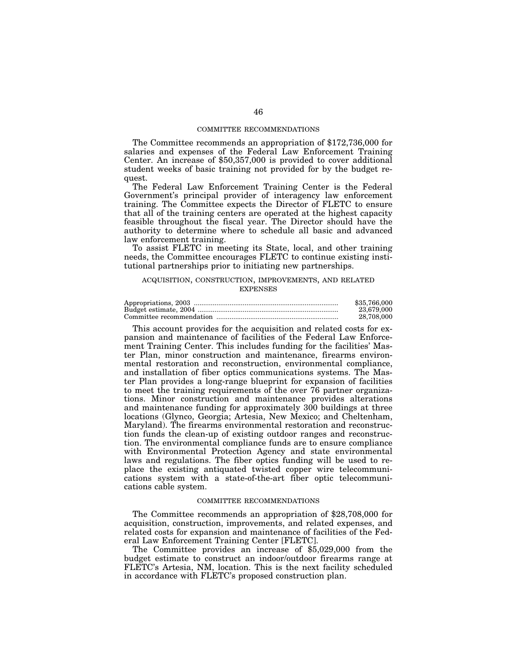## COMMITTEE RECOMMENDATIONS

The Committee recommends an appropriation of \$172,736,000 for salaries and expenses of the Federal Law Enforcement Training Center. An increase of \$50,357,000 is provided to cover additional student weeks of basic training not provided for by the budget request.

The Federal Law Enforcement Training Center is the Federal Government's principal provider of interagency law enforcement training. The Committee expects the Director of FLETC to ensure that all of the training centers are operated at the highest capacity feasible throughout the fiscal year. The Director should have the authority to determine where to schedule all basic and advanced law enforcement training.

To assist FLETC in meeting its State, local, and other training needs, the Committee encourages FLETC to continue existing institutional partnerships prior to initiating new partnerships.

# ACQUISITION, CONSTRUCTION, IMPROVEMENTS, AND RELATED **EXPENSES**

| \$35,766,000 |
|--------------|
| 23.679.000   |
| 28.708.000   |

This account provides for the acquisition and related costs for expansion and maintenance of facilities of the Federal Law Enforcement Training Center. This includes funding for the facilities' Master Plan, minor construction and maintenance, firearms environmental restoration and reconstruction, environmental compliance, and installation of fiber optics communications systems. The Master Plan provides a long-range blueprint for expansion of facilities to meet the training requirements of the over 76 partner organizations. Minor construction and maintenance provides alterations and maintenance funding for approximately 300 buildings at three locations (Glynco, Georgia; Artesia, New Mexico; and Cheltenham, Maryland). The firearms environmental restoration and reconstruction funds the clean-up of existing outdoor ranges and reconstruction. The environmental compliance funds are to ensure compliance with Environmental Protection Agency and state environmental laws and regulations. The fiber optics funding will be used to replace the existing antiquated twisted copper wire telecommunications system with a state-of-the-art fiber optic telecommunications cable system.

# COMMITTEE RECOMMENDATIONS

The Committee recommends an appropriation of \$28,708,000 for acquisition, construction, improvements, and related expenses, and related costs for expansion and maintenance of facilities of the Federal Law Enforcement Training Center [FLETC].

The Committee provides an increase of \$5,029,000 from the budget estimate to construct an indoor/outdoor firearms range at FLETC's Artesia, NM, location. This is the next facility scheduled in accordance with FLETC's proposed construction plan.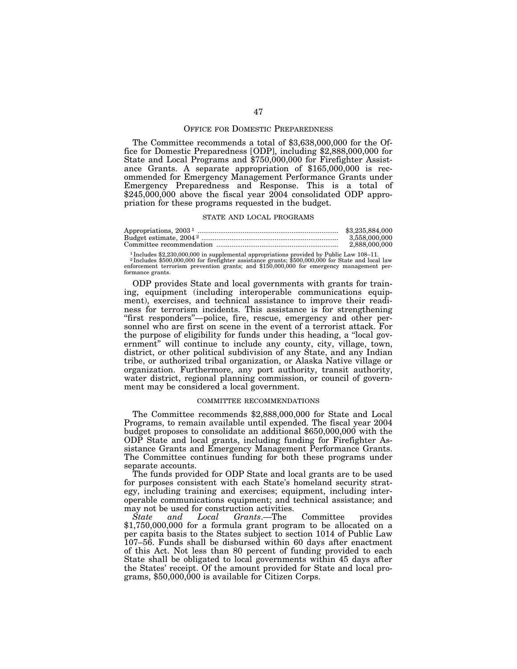### OFFICE FOR DOMESTIC PREPAREDNESS

The Committee recommends a total of \$3,638,000,000 for the Office for Domestic Preparedness [ODP], including \$2,888,000,000 for State and Local Programs and \$750,000,000 for Firefighter Assistance Grants. A separate appropriation of \$165,000,000 is recommended for Emergency Management Performance Grants under Emergency Preparedness and Response. This is a total of  $$245,000,000$  above the fiscal year  $2004$  consolidated ODP appropriation for these programs requested in the budget.

#### STATE AND LOCAL PROGRAMS

| \$3,235,884,000 |
|-----------------|
| 3.558.000.000   |
| 2.888.000.000   |

1 Includes \$2,230,000,000 in supplemental appropriations provided by Public Law 108–11. 2 Includes \$500,000,000 for firefighter assistance grants; \$500,000,000 for State and local law enforcement terrorism prevention grants; and \$150,000,000 for emergency management performance grants.

ODP provides State and local governments with grants for training, equipment (including interoperable communications equipment), exercises, and technical assistance to improve their readiness for terrorism incidents. This assistance is for strengthening "first responders"--police, fire, rescue, emergency and other personnel who are first on scene in the event of a terrorist attack. For the purpose of eligibility for funds under this heading, a ''local government'' will continue to include any county, city, village, town, district, or other political subdivision of any State, and any Indian tribe, or authorized tribal organization, or Alaska Native village or organization. Furthermore, any port authority, transit authority, water district, regional planning commission, or council of government may be considered a local government.

### COMMITTEE RECOMMENDATIONS

The Committee recommends \$2,888,000,000 for State and Local Programs, to remain available until expended. The fiscal year 2004 budget proposes to consolidate an additional \$650,000,000 with the ODP State and local grants, including funding for Firefighter Assistance Grants and Emergency Management Performance Grants. The Committee continues funding for both these programs under separate accounts.

The funds provided for ODP State and local grants are to be used for purposes consistent with each State's homeland security strategy, including training and exercises; equipment, including interoperable communications equipment; and technical assistance; and may not be used for construction activities.

*State and Local Grants*.—The Committee provides \$1,750,000,000 for a formula grant program to be allocated on a per capita basis to the States subject to section 1014 of Public Law 107–56. Funds shall be disbursed within 60 days after enactment of this Act. Not less than 80 percent of funding provided to each State shall be obligated to local governments within 45 days after the States' receipt. Of the amount provided for State and local programs, \$50,000,000 is available for Citizen Corps.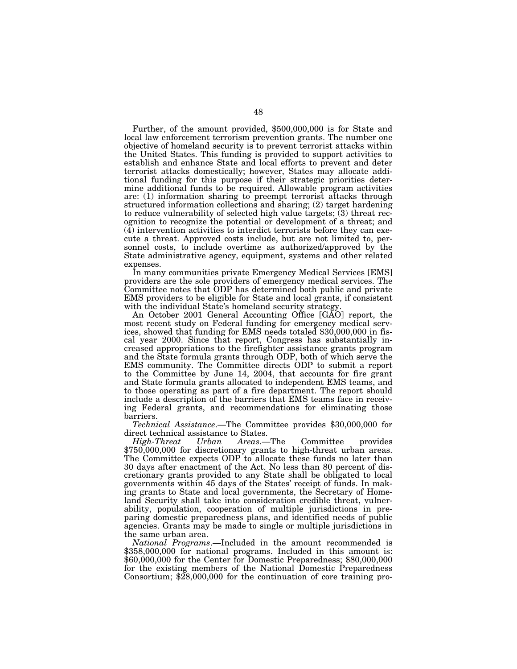Further, of the amount provided, \$500,000,000 is for State and local law enforcement terrorism prevention grants. The number one objective of homeland security is to prevent terrorist attacks within the United States. This funding is provided to support activities to establish and enhance State and local efforts to prevent and deter terrorist attacks domestically; however, States may allocate additional funding for this purpose if their strategic priorities determine additional funds to be required. Allowable program activities are: (1) information sharing to preempt terrorist attacks through structured information collections and sharing; (2) target hardening to reduce vulnerability of selected high value targets;  $(3)$  threat recognition to recognize the potential or development of a threat; and (4) intervention activities to interdict terrorists before they can execute a threat. Approved costs include, but are not limited to, personnel costs, to include overtime as authorized/approved by the State administrative agency, equipment, systems and other related expenses.

In many communities private Emergency Medical Services [EMS] providers are the sole providers of emergency medical services. The Committee notes that ODP has determined both public and private EMS providers to be eligible for State and local grants, if consistent with the individual State's homeland security strategy.

An October 2001 General Accounting Office [GAO] report, the most recent study on Federal funding for emergency medical services, showed that funding for EMS needs totaled \$30,000,000 in fiscal year 2000. Since that report, Congress has substantially increased appropriations to the firefighter assistance grants program and the State formula grants through ODP, both of which serve the EMS community. The Committee directs ODP to submit a report to the Committee by June 14, 2004, that accounts for fire grant and State formula grants allocated to independent EMS teams, and to those operating as part of a fire department. The report should include a description of the barriers that EMS teams face in receiving Federal grants, and recommendations for eliminating those barriers.

*Technical Assistance*.—The Committee provides \$30,000,000 for direct technical assistance to States.<br>High-Threat Urban Areas.

*High-Threat Urban Areas*.—The Committee provides \$750,000,000 for discretionary grants to high-threat urban areas. The Committee expects ODP to allocate these funds no later than 30 days after enactment of the Act. No less than 80 percent of discretionary grants provided to any State shall be obligated to local governments within 45 days of the States' receipt of funds. In making grants to State and local governments, the Secretary of Homeland Security shall take into consideration credible threat, vulnerability, population, cooperation of multiple jurisdictions in preparing domestic preparedness plans, and identified needs of public agencies. Grants may be made to single or multiple jurisdictions in the same urban area.

*National Programs*.—Included in the amount recommended is \$358,000,000 for national programs. Included in this amount is: \$60,000,000 for the Center for Domestic Preparedness; \$80,000,000 for the existing members of the National Domestic Preparedness Consortium; \$28,000,000 for the continuation of core training pro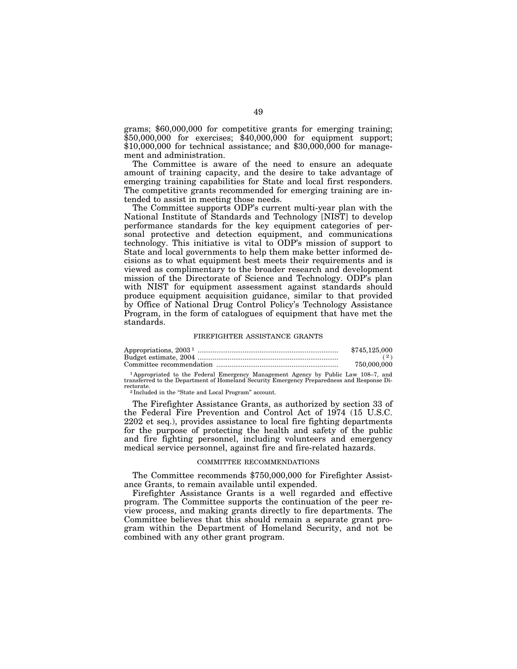grams; \$60,000,000 for competitive grants for emerging training; \$50,000,000 for exercises; \$40,000,000 for equipment support; \$10,000,000 for technical assistance; and \$30,000,000 for management and administration.

The Committee is aware of the need to ensure an adequate amount of training capacity, and the desire to take advantage of emerging training capabilities for State and local first responders. The competitive grants recommended for emerging training are intended to assist in meeting those needs.

The Committee supports ODP's current multi-year plan with the National Institute of Standards and Technology [NIST] to develop performance standards for the key equipment categories of personal protective and detection equipment, and communications technology. This initiative is vital to ODP's mission of support to State and local governments to help them make better informed decisions as to what equipment best meets their requirements and is viewed as complimentary to the broader research and development mission of the Directorate of Science and Technology. ODP's plan with NIST for equipment assessment against standards should produce equipment acquisition guidance, similar to that provided by Office of National Drug Control Policy's Technology Assistance Program, in the form of catalogues of equipment that have met the standards.

#### FIREFIGHTER ASSISTANCE GRANTS

| \$745,125,000 |
|---------------|
|               |
| 750,000,000   |

1 Appropriated to the Federal Emergency Management Agency by Public Law 108–7, and transferred to the Department of Homeland Security Emergency Preparedness and Response Di-

<sup>2</sup> Included in the "State and Local Program" account.

The Firefighter Assistance Grants, as authorized by section 33 of the Federal Fire Prevention and Control Act of 1974 (15 U.S.C. 2202 et seq.), provides assistance to local fire fighting departments for the purpose of protecting the health and safety of the public and fire fighting personnel, including volunteers and emergency medical service personnel, against fire and fire-related hazards.

#### COMMITTEE RECOMMENDATIONS

The Committee recommends \$750,000,000 for Firefighter Assistance Grants, to remain available until expended.

Firefighter Assistance Grants is a well regarded and effective program. The Committee supports the continuation of the peer review process, and making grants directly to fire departments. The Committee believes that this should remain a separate grant program within the Department of Homeland Security, and not be combined with any other grant program.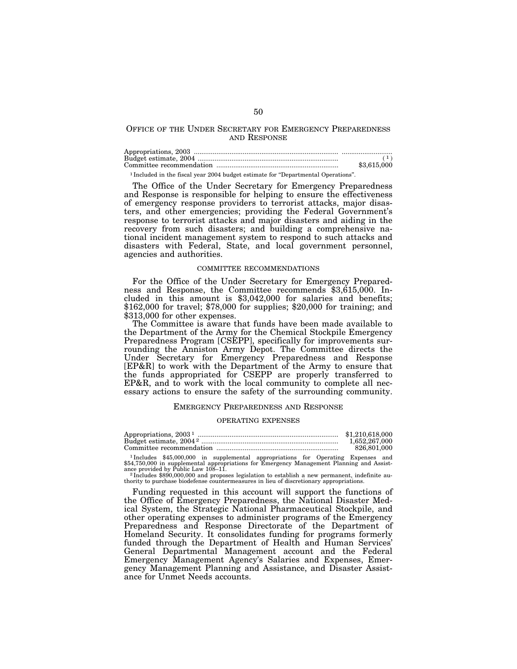# OFFICE OF THE UNDER SECRETARY FOR EMERGENCY PREPAREDNESS AND RESPONSE

|                                                                                              | (1)         |
|----------------------------------------------------------------------------------------------|-------------|
|                                                                                              | \$3,615,000 |
| <sup>1</sup> Included in the fiscal vear 2004 budget estimate for "Departmental Operations". |             |

The Office of the Under Secretary for Emergency Preparedness and Response is responsible for helping to ensure the effectiveness of emergency response providers to terrorist attacks, major disasters, and other emergencies; providing the Federal Government's response to terrorist attacks and major disasters and aiding in the recovery from such disasters; and building a comprehensive national incident management system to respond to such attacks and disasters with Federal, State, and local government personnel, agencies and authorities.

### COMMITTEE RECOMMENDATIONS

For the Office of the Under Secretary for Emergency Preparedness and Response, the Committee recommends \$3,615,000. Included in this amount is \$3,042,000 for salaries and benefits; \$162,000 for travel; \$78,000 for supplies; \$20,000 for training; and \$313,000 for other expenses.

The Committee is aware that funds have been made available to the Department of the Army for the Chemical Stockpile Emergency Preparedness Program [CSEPP], specifically for improvements surrounding the Anniston Army Depot. The Committee directs the Under Secretary for Emergency Preparedness and Response [EP&R] to work with the Department of the Army to ensure that the funds appropriated for CSEPP are properly transferred to EP&R, and to work with the local community to complete all necessary actions to ensure the safety of the surrounding community.

### EMERGENCY PREPAREDNESS AND RESPONSE

#### OPERATING EXPENSES

| Appropriations, $20031$ | \$1,210,618,000 |
|-------------------------|-----------------|
|                         | 1.652.267.000   |
|                         | 826,801,000     |

<sup>1</sup> Includes \$45,000,000 in supplemental appropriations for Operating Expenses and \$54,750,000 in supplemental appropriations for Emergency Management Planning and Assistance provided by Public Law 108–11.<br><sup>2</sup> Includes \$890,000,000 and proposes legislation to establish a new permanent, indefinite au-

thority to purchase biodefense countermeasures in lieu of discretionary appropriations.

Funding requested in this account will support the functions of the Office of Emergency Preparedness, the National Disaster Medical System, the Strategic National Pharmaceutical Stockpile, and other operating expenses to administer programs of the Emergency Preparedness and Response Directorate of the Department of Homeland Security. It consolidates funding for programs formerly funded through the Department of Health and Human Services' General Departmental Management account and the Federal Emergency Management Agency's Salaries and Expenses, Emergency Management Planning and Assistance, and Disaster Assistance for Unmet Needs accounts.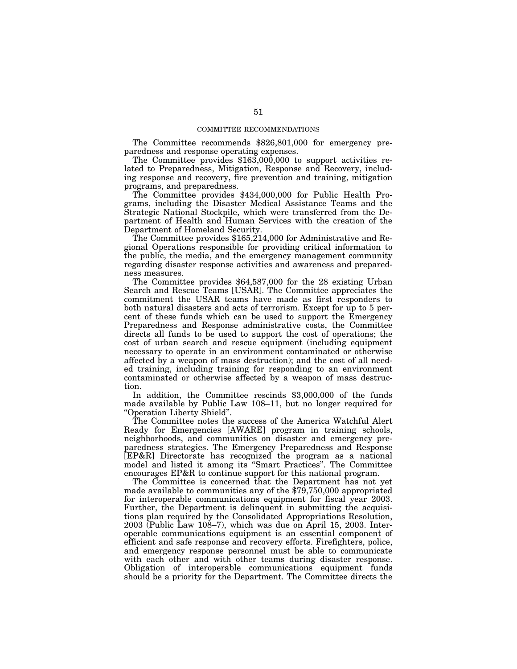### COMMITTEE RECOMMENDATIONS

The Committee recommends \$826,801,000 for emergency preparedness and response operating expenses.

The Committee provides \$163,000,000 to support activities related to Preparedness, Mitigation, Response and Recovery, including response and recovery, fire prevention and training, mitigation programs, and preparedness.

The Committee provides \$434,000,000 for Public Health Programs, including the Disaster Medical Assistance Teams and the Strategic National Stockpile, which were transferred from the Department of Health and Human Services with the creation of the Department of Homeland Security.

The Committee provides \$165,214,000 for Administrative and Regional Operations responsible for providing critical information to the public, the media, and the emergency management community regarding disaster response activities and awareness and preparedness measures.

The Committee provides \$64,587,000 for the 28 existing Urban Search and Rescue Teams [USAR]. The Committee appreciates the commitment the USAR teams have made as first responders to both natural disasters and acts of terrorism. Except for up to 5 percent of these funds which can be used to support the Emergency Preparedness and Response administrative costs, the Committee directs all funds to be used to support the cost of operations; the cost of urban search and rescue equipment (including equipment necessary to operate in an environment contaminated or otherwise affected by a weapon of mass destruction); and the cost of all needed training, including training for responding to an environment contaminated or otherwise affected by a weapon of mass destruction.

In addition, the Committee rescinds \$3,000,000 of the funds made available by Public Law 108–11, but no longer required for ''Operation Liberty Shield''.

The Committee notes the success of the America Watchful Alert Ready for Emergencies [AWARE] program in training schools, neighborhoods, and communities on disaster and emergency preparedness strategies. The Emergency Preparedness and Response [EP&R] Directorate has recognized the program as a national model and listed it among its ''Smart Practices''. The Committee encourages EP&R to continue support for this national program.

The Committee is concerned that the Department has not yet made available to communities any of the \$79,750,000 appropriated for interoperable communications equipment for fiscal year 2003. Further, the Department is delinquent in submitting the acquisitions plan required by the Consolidated Appropriations Resolution,  $2003$  (Public Law  $108-7$ ), which was due on April 15, 2003. Interoperable communications equipment is an essential component of efficient and safe response and recovery efforts. Firefighters, police, and emergency response personnel must be able to communicate with each other and with other teams during disaster response. Obligation of interoperable communications equipment funds should be a priority for the Department. The Committee directs the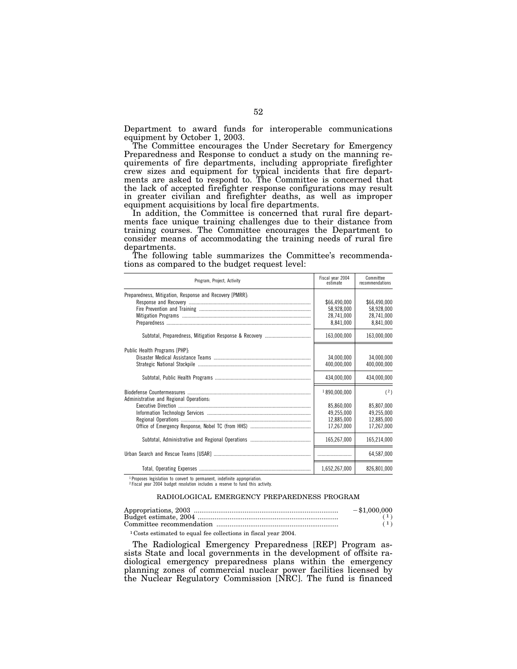Department to award funds for interoperable communications equipment by October 1, 2003.

The Committee encourages the Under Secretary for Emergency Preparedness and Response to conduct a study on the manning requirements of fire departments, including appropriate firefighter crew sizes and equipment for typical incidents that fire departments are asked to respond to. The Committee is concerned that the lack of accepted firefighter response configurations may result in greater civilian and firefighter deaths, as well as improper equipment acquisitions by local fire departments.

In addition, the Committee is concerned that rural fire departments face unique training challenges due to their distance from training courses. The Committee encourages the Department to consider means of accommodating the training needs of rural fire departments.

The following table summarizes the Committee's recommendations as compared to the budget request level:

| Program, Project, Activity                              | Fiscal year 2004<br>estimate                                         | Committee<br>recommendations                                |
|---------------------------------------------------------|----------------------------------------------------------------------|-------------------------------------------------------------|
| Preparedness, Mitigation, Response and Recovery [PMRR]: | \$66,490,000<br>58,928,000<br>28,741,000<br>8,841,000                | \$66,490,000<br>58,928,000<br>28,741,000<br>8,841,000       |
|                                                         | 163,000,000                                                          | 163,000,000                                                 |
| Public Health Programs [PHP]:                           | 34,000,000<br>400.000.000<br>434,000,000                             | 34,000,000<br>400,000,000<br>434,000,000                    |
| Administrative and Regional Operations:                 | 1890,000,000<br>85,860,000<br>49.255.000<br>12,885,000<br>17,267,000 | (2)<br>85,807,000<br>49.255.000<br>12,885,000<br>17,267,000 |
|                                                         | 165,267,000                                                          | 165,214,000                                                 |
|                                                         |                                                                      | 64,587,000                                                  |
|                                                         | 1,652,267,000                                                        | 826,801,000                                                 |

<sup>1</sup> Proposes legislation to convert to permanent, indefinite appropriation.<br><sup>2</sup> Fiscal year 2004 budget resolution includes a reserve to fund this activity.

### RADIOLOGICAL EMERGENCY PREPAREDNESS PROGRAM

| $-\$1.000.000$ |
|----------------|
|                |
|                |
|                |

1 Costs estimated to equal fee collections in fiscal year 2004.

The Radiological Emergency Preparedness [REP] Program assists State and local governments in the development of offsite radiological emergency preparedness plans within the emergency planning zones of commercial nuclear power facilities licensed by the Nuclear Regulatory Commission [NRC]. The fund is financed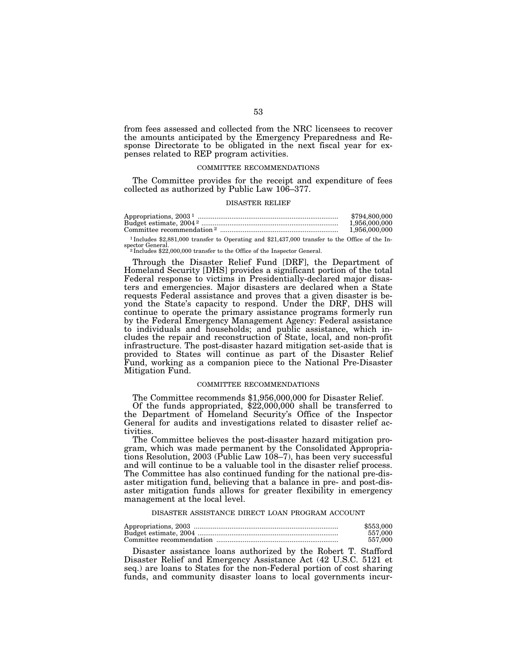from fees assessed and collected from the NRC licensees to recover the amounts anticipated by the Emergency Preparedness and Response Directorate to be obligated in the next fiscal year for expenses related to REP program activities.

# COMMITTEE RECOMMENDATIONS

The Committee provides for the receipt and expenditure of fees collected as authorized by Public Law 106–377.

### DISASTER RELIEF

|                                                                                                  | \$794,800,000 |
|--------------------------------------------------------------------------------------------------|---------------|
|                                                                                                  | 1.956.000.000 |
|                                                                                                  | 1.956.000.000 |
| $1$ Includes \$9.881.000 transfer to Operating and \$91.427.000 transfer to the Office of the In |               |

00 transfer to Operating and \$21,437,000 transfer to the Office of the Inspector General.<br><sup>2</sup> Includes \$22,000,000 transfer to the Office of the Inspector General.

Through the Disaster Relief Fund [DRF], the Department of Homeland Security [DHS] provides a significant portion of the total Federal response to victims in Presidentially-declared major disasters and emergencies. Major disasters are declared when a State requests Federal assistance and proves that a given disaster is beyond the State's capacity to respond. Under the DRF, DHS will continue to operate the primary assistance programs formerly run by the Federal Emergency Management Agency: Federal assistance to individuals and households; and public assistance, which includes the repair and reconstruction of State, local, and non-profit infrastructure. The post-disaster hazard mitigation set-aside that is provided to States will continue as part of the Disaster Relief Fund, working as a companion piece to the National Pre-Disaster Mitigation Fund.

# COMMITTEE RECOMMENDATIONS

The Committee recommends \$1,956,000,000 for Disaster Relief.

Of the funds appropriated, \$22,000,000 shall be transferred to the Department of Homeland Security's Office of the Inspector General for audits and investigations related to disaster relief activities.

The Committee believes the post-disaster hazard mitigation program, which was made permanent by the Consolidated Appropriations Resolution, 2003 (Public Law 108–7), has been very successful and will continue to be a valuable tool in the disaster relief process. The Committee has also continued funding for the national pre-disaster mitigation fund, believing that a balance in pre- and post-disaster mitigation funds allows for greater flexibility in emergency management at the local level.

#### DISASTER ASSISTANCE DIRECT LOAN PROGRAM ACCOUNT

| \$553,000 |
|-----------|
| 557.000   |
| 557.000   |

Disaster assistance loans authorized by the Robert T. Stafford Disaster Relief and Emergency Assistance Act (42 U.S.C. 5121 et seq.) are loans to States for the non-Federal portion of cost sharing funds, and community disaster loans to local governments incur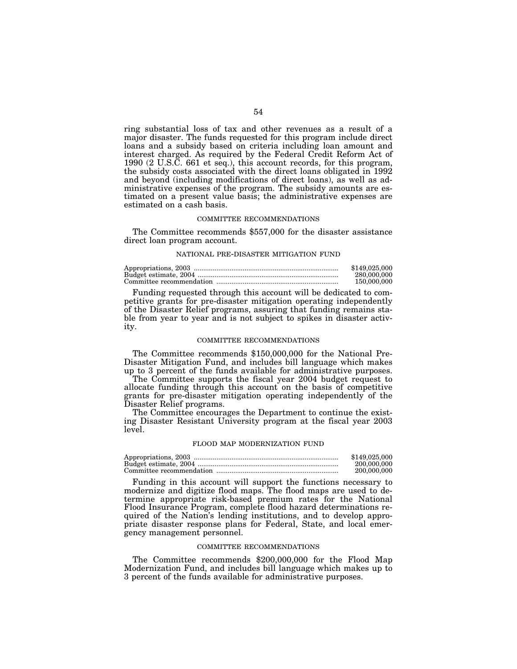ring substantial loss of tax and other revenues as a result of a major disaster. The funds requested for this program include direct loans and a subsidy based on criteria including loan amount and interest charged. As required by the Federal Credit Reform Act of 1990 (2 U.S.C. 661 et seq.), this account records, for this program, the subsidy costs associated with the direct loans obligated in 1992 and beyond (including modifications of direct loans), as well as administrative expenses of the program. The subsidy amounts are estimated on a present value basis; the administrative expenses are estimated on a cash basis.

# COMMITTEE RECOMMENDATIONS

The Committee recommends \$557,000 for the disaster assistance direct loan program account.

### NATIONAL PRE-DISASTER MITIGATION FUND

| \$149,025,000 |
|---------------|
| 280,000,000   |
| 150,000,000   |

Funding requested through this account will be dedicated to competitive grants for pre-disaster mitigation operating independently of the Disaster Relief programs, assuring that funding remains stable from year to year and is not subject to spikes in disaster activity.

# COMMITTEE RECOMMENDATIONS

The Committee recommends \$150,000,000 for the National Pre-Disaster Mitigation Fund, and includes bill language which makes up to 3 percent of the funds available for administrative purposes.

The Committee supports the fiscal year 2004 budget request to allocate funding through this account on the basis of competitive grants for pre-disaster mitigation operating independently of the Disaster Relief programs.

The Committee encourages the Department to continue the existing Disaster Resistant University program at the fiscal year 2003 level.

### FLOOD MAP MODERNIZATION FUND

| \$149,025,000 |
|---------------|
| 200,000,000   |
| 200,000,000   |

Funding in this account will support the functions necessary to modernize and digitize flood maps. The flood maps are used to determine appropriate risk-based premium rates for the National Flood Insurance Program, complete flood hazard determinations required of the Nation's lending institutions, and to develop appropriate disaster response plans for Federal, State, and local emergency management personnel.

### COMMITTEE RECOMMENDATIONS

The Committee recommends \$200,000,000 for the Flood Map Modernization Fund, and includes bill language which makes up to 3 percent of the funds available for administrative purposes.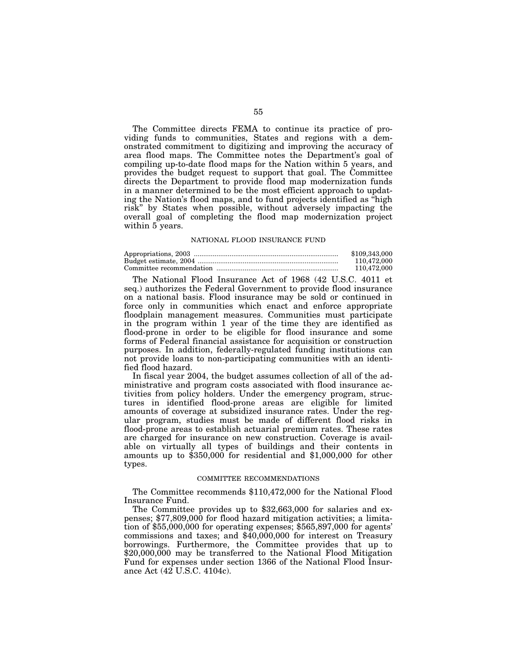The Committee directs FEMA to continue its practice of providing funds to communities, States and regions with a demonstrated commitment to digitizing and improving the accuracy of area flood maps. The Committee notes the Department's goal of compiling up-to-date flood maps for the Nation within 5 years, and provides the budget request to support that goal. The Committee directs the Department to provide flood map modernization funds in a manner determined to be the most efficient approach to updating the Nation's flood maps, and to fund projects identified as ''high risk'' by States when possible, without adversely impacting the overall goal of completing the flood map modernization project within 5 years.

### NATIONAL FLOOD INSURANCE FUND

| \$109,343,000 |
|---------------|
| 110.472.000   |
| 110.472.000   |

The National Flood Insurance Act of 1968 (42 U.S.C. 4011 et seq.) authorizes the Federal Government to provide flood insurance on a national basis. Flood insurance may be sold or continued in force only in communities which enact and enforce appropriate floodplain management measures. Communities must participate in the program within 1 year of the time they are identified as flood-prone in order to be eligible for flood insurance and some forms of Federal financial assistance for acquisition or construction purposes. In addition, federally-regulated funding institutions can not provide loans to non-participating communities with an identified flood hazard.

In fiscal year 2004, the budget assumes collection of all of the administrative and program costs associated with flood insurance activities from policy holders. Under the emergency program, structures in identified flood-prone areas are eligible for limited amounts of coverage at subsidized insurance rates. Under the regular program, studies must be made of different flood risks in flood-prone areas to establish actuarial premium rates. These rates are charged for insurance on new construction. Coverage is available on virtually all types of buildings and their contents in amounts up to \$350,000 for residential and \$1,000,000 for other types.

# COMMITTEE RECOMMENDATIONS

The Committee recommends \$110,472,000 for the National Flood Insurance Fund.

The Committee provides up to \$32,663,000 for salaries and expenses; \$77,809,000 for flood hazard mitigation activities; a limitation of \$55,000,000 for operating expenses; \$565,897,000 for agents' commissions and taxes; and \$40,000,000 for interest on Treasury borrowings. Furthermore, the Committee provides that up to \$20,000,000 may be transferred to the National Flood Mitigation Fund for expenses under section 1366 of the National Flood Insurance Act (42 U.S.C. 4104c).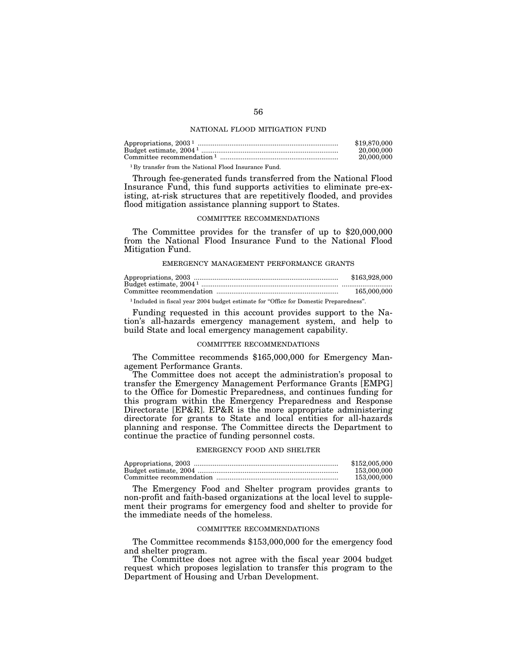## NATIONAL FLOOD MITIGATION FUND

| \$19,870,000 |
|--------------|
| 20,000,000   |
| 20,000,000   |
|              |

1 By transfer from the National Flood Insurance Fund.

Through fee-generated funds transferred from the National Flood Insurance Fund, this fund supports activities to eliminate pre-existing, at-risk structures that are repetitively flooded, and provides flood mitigation assistance planning support to States.

# COMMITTEE RECOMMENDATIONS

The Committee provides for the transfer of up to \$20,000,000 from the National Flood Insurance Fund to the National Flood Mitigation Fund.

### EMERGENCY MANAGEMENT PERFORMANCE GRANTS

|                                                                                                   | \$163,928,000 |
|---------------------------------------------------------------------------------------------------|---------------|
|                                                                                                   |               |
|                                                                                                   | 165,000,000   |
| <sup>1</sup> Included in fiscal year 2004 budget estimate for "Office for Domestic Preparedness". |               |

Funding requested in this account provides support to the Nation's all-hazards emergency management system, and help to build State and local emergency management capability.

# COMMITTEE RECOMMENDATIONS

The Committee recommends \$165,000,000 for Emergency Management Performance Grants.

The Committee does not accept the administration's proposal to transfer the Emergency Management Performance Grants [EMPG] to the Office for Domestic Preparedness, and continues funding for this program within the Emergency Preparedness and Response Directorate [EP&R]. EP&R is the more appropriate administering directorate for grants to State and local entities for all-hazards planning and response. The Committee directs the Department to continue the practice of funding personnel costs.

### EMERGENCY FOOD AND SHELTER

| \$152,005,000 |
|---------------|
| 153,000,000   |
| 153,000,000   |

The Emergency Food and Shelter program provides grants to non-profit and faith-based organizations at the local level to supplement their programs for emergency food and shelter to provide for the immediate needs of the homeless.

# COMMITTEE RECOMMENDATIONS

The Committee recommends \$153,000,000 for the emergency food and shelter program.

The Committee does not agree with the fiscal year 2004 budget request which proposes legislation to transfer this program to the Department of Housing and Urban Development.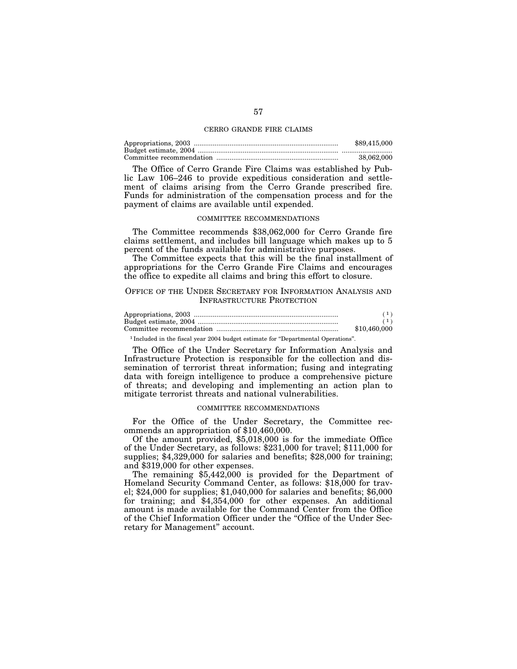### CERRO GRANDE FIRE CLAIMS

| \$89,415,000 |
|--------------|
|              |
| 38,062,000   |

The Office of Cerro Grande Fire Claims was established by Public Law 106–246 to provide expeditious consideration and settlement of claims arising from the Cerro Grande prescribed fire. Funds for administration of the compensation process and for the payment of claims are available until expended.

## COMMITTEE RECOMMENDATIONS

The Committee recommends \$38,062,000 for Cerro Grande fire claims settlement, and includes bill language which makes up to 5 percent of the funds available for administrative purposes.

The Committee expects that this will be the final installment of appropriations for the Cerro Grande Fire Claims and encourages the office to expedite all claims and bring this effort to closure.

# OFFICE OF THE UNDER SECRETARY FOR INFORMATION ANALYSIS AND INFRASTRUCTURE PROTECTION

| \$10,460,000 |
|--------------|

<sup>1</sup> Included in the fiscal year 2004 budget estimate for "Departmental Operations".

The Office of the Under Secretary for Information Analysis and Infrastructure Protection is responsible for the collection and dissemination of terrorist threat information; fusing and integrating data with foreign intelligence to produce a comprehensive picture of threats; and developing and implementing an action plan to mitigate terrorist threats and national vulnerabilities.

### COMMITTEE RECOMMENDATIONS

For the Office of the Under Secretary, the Committee recommends an appropriation of \$10,460,000.

Of the amount provided, \$5,018,000 is for the immediate Office of the Under Secretary, as follows: \$231,000 for travel; \$111,000 for supplies; \$4,329,000 for salaries and benefits; \$28,000 for training; and \$319,000 for other expenses.

The remaining \$5,442,000 is provided for the Department of Homeland Security Command Center, as follows: \$18,000 for travel; \$24,000 for supplies; \$1,040,000 for salaries and benefits; \$6,000 for training; and \$4,354,000 for other expenses. An additional amount is made available for the Command Center from the Office of the Chief Information Officer under the ''Office of the Under Secretary for Management'' account.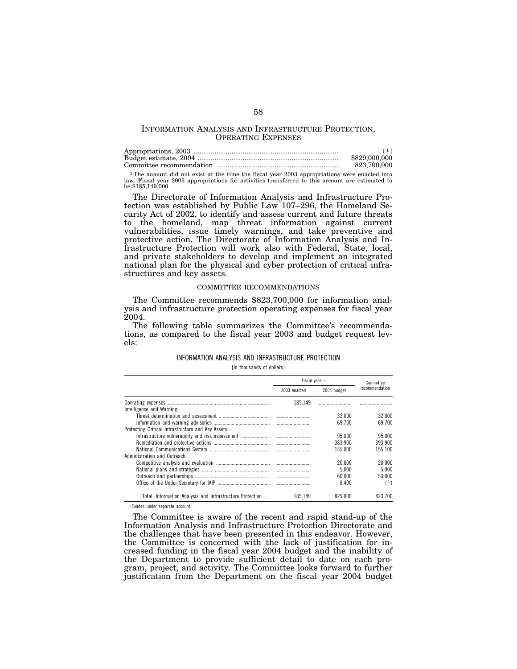# INFORMATION ANALYSIS AND INFRASTRUCTURE PROTECTION, OPERATING EXPENSES

| \$829,000,000 |
|---------------|
| 823.700.000   |

1The account did not exist at the time the fiscal year 2003 appropriations were enacted into law. Fiscal year 2003 appropriations for activities transferred to this account are estimated to be \$185,149,000.

The Directorate of Information Analysis and Infrastructure Protection was established by Public Law 107–296, the Homeland Security Act of 2002, to identify and assess current and future threats to the homeland, map threat information against current vulnerabilities, issue timely warnings, and take preventive and protective action. The Directorate of Information Analysis and Infrastructure Protection will work also with Federal, State, local, and private stakeholders to develop and implement an integrated national plan for the physical and cyber protection of critical infrastructures and key assets.

## COMMITTEE RECOMMENDATIONS

The Committee recommends \$823,700,000 for information analysis and infrastructure protection operating expenses for fiscal year 2004.

The following table summarizes the Committee's recommendations, as compared to the fiscal year 2003 and budget request levels:

# INFORMATION ANALYSIS AND INFRASTRUCTURE PROTECTION

[In thousands of dollars]

|                                                           |              | Fiscal year- | Committee      |
|-----------------------------------------------------------|--------------|--------------|----------------|
|                                                           | 2003 enacted | 2004 budget  | recommendation |
| Intelligence and Warning:                                 | 185.149      |              |                |
|                                                           |              | 32.000       | 32.000         |
|                                                           |              | 69.700       | 69.700         |
| Protecting Critical Infrastructure and Key Assets:        |              |              |                |
| Infrastructure vulnerability and risk assessment          |              | 95.000       | 95.000         |
|                                                           |              | 383.900      | 393.900        |
|                                                           |              | 155.000      | 155.100        |
| Administration and Outreach:                              |              |              |                |
|                                                           |              | 20,000       | 20.000         |
|                                                           |              | 5.000        | 5.000          |
|                                                           |              | 60.000       | 53.000         |
|                                                           |              | 8.400        | (1)            |
| Total, Information Analysis and Infrastructure Protection | 185.149      | 829,000      | 823.700        |

1 Funded under separate account.

The Committee is aware of the recent and rapid stand-up of the Information Analysis and Infrastructure Protection Directorate and the challenges that have been presented in this endeavor. However, the Committee is concerned with the lack of justification for increased funding in the fiscal year 2004 budget and the inability of the Department to provide sufficient detail to date on each program, project, and activity. The Committee looks forward to further justification from the Department on the fiscal year 2004 budget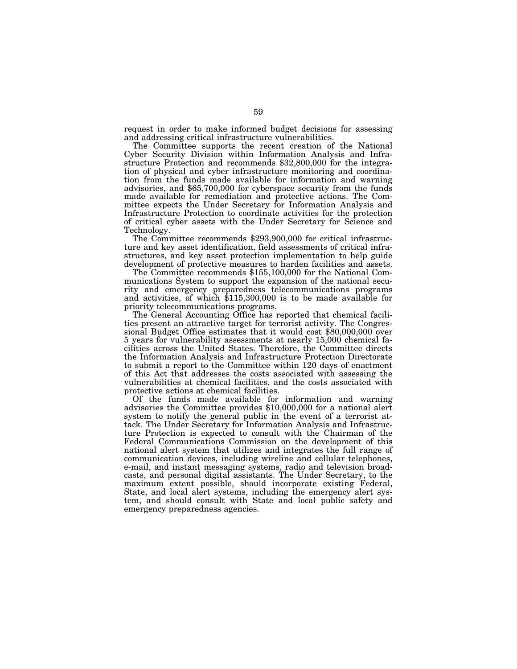request in order to make informed budget decisions for assessing and addressing critical infrastructure vulnerabilities.

The Committee supports the recent creation of the National Cyber Security Division within Information Analysis and Infrastructure Protection and recommends \$32,800,000 for the integration of physical and cyber infrastructure monitoring and coordination from the funds made available for information and warning advisories, and \$65,700,000 for cyberspace security from the funds made available for remediation and protective actions. The Committee expects the Under Secretary for Information Analysis and Infrastructure Protection to coordinate activities for the protection of critical cyber assets with the Under Secretary for Science and Technology. The Committee recommends \$293,900,000 for critical infrastruc-

ture and key asset identification, field assessments of critical infrastructures, and key asset protection implementation to help guide

The Committee recommends \$155,100,000 for the National Communications System to support the expansion of the national security and emergency preparedness telecommunications programs and activities, of which \$115,300,000 is to be made available for priority telecommunications programs.

The General Accounting Office has reported that chemical facilities present an attractive target for terrorist activity. The Congressional Budget Office estimates that it would cost \$80,000,000 over 5 years for vulnerability assessments at nearly 15,000 chemical facilities across the United States. Therefore, the Committee directs the Information Analysis and Infrastructure Protection Directorate to submit a report to the Committee within 120 days of enactment of this Act that addresses the costs associated with assessing the vulnerabilities at chemical facilities, and the costs associated with protective actions at chemical facilities.

Of the funds made available for information and warning advisories the Committee provides \$10,000,000 for a national alert system to notify the general public in the event of a terrorist attack. The Under Secretary for Information Analysis and Infrastructure Protection is expected to consult with the Chairman of the Federal Communications Commission on the development of this national alert system that utilizes and integrates the full range of communication devices, including wireline and cellular telephones, e-mail, and instant messaging systems, radio and television broadcasts, and personal digital assistants. The Under Secretary, to the maximum extent possible, should incorporate existing Federal, State, and local alert systems, including the emergency alert system, and should consult with State and local public safety and emergency preparedness agencies.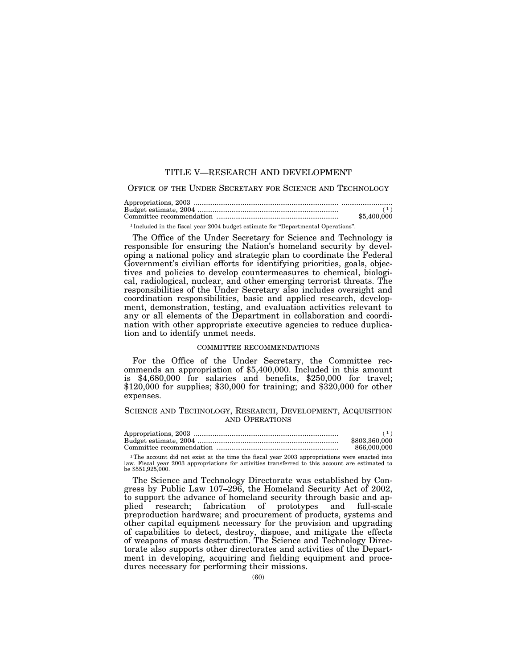# TITLE V—RESEARCH AND DEVELOPMENT

# OFFICE OF THE UNDER SECRETARY FOR SCIENCE AND TECHNOLOGY

| \$5,400,000 |
|-------------|

<sup>1</sup> Included in the fiscal year 2004 budget estimate for "Departmental Operations".

The Office of the Under Secretary for Science and Technology is responsible for ensuring the Nation's homeland security by developing a national policy and strategic plan to coordinate the Federal Government's civilian efforts for identifying priorities, goals, objectives and policies to develop countermeasures to chemical, biological, radiological, nuclear, and other emerging terrorist threats. The responsibilities of the Under Secretary also includes oversight and coordination responsibilities, basic and applied research, development, demonstration, testing, and evaluation activities relevant to any or all elements of the Department in collaboration and coordination with other appropriate executive agencies to reduce duplication and to identify unmet needs.

### COMMITTEE RECOMMENDATIONS

For the Office of the Under Secretary, the Committee recommends an appropriation of \$5,400,000. Included in this amount is \$4,680,000 for salaries and benefits, \$250,000 for travel;  $$120,000$  for supplies; \$30,000 for training; and \$320,000 for other expenses.

# SCIENCE AND TECHNOLOGY, RESEARCH, DEVELOPMENT, ACQUISITION AND OPERATIONS

| \$803,360,000 |
|---------------|
| 866,000,000   |

<sup>1</sup>The account did not exist at the time the fiscal year 2003 appropriations were enacted into law. Fiscal year 2003 appropriations for activities transferred to this account are estimated to be \$551,925,000.

The Science and Technology Directorate was established by Congress by Public Law 107–296, the Homeland Security Act of 2002, to support the advance of homeland security through basic and ap-<br>plied research; fabrication of prototypes and full-scale plied research; fabrication of prototypes preproduction hardware; and procurement of products, systems and other capital equipment necessary for the provision and upgrading of capabilities to detect, destroy, dispose, and mitigate the effects of weapons of mass destruction. The Science and Technology Directorate also supports other directorates and activities of the Department in developing, acquiring and fielding equipment and procedures necessary for performing their missions.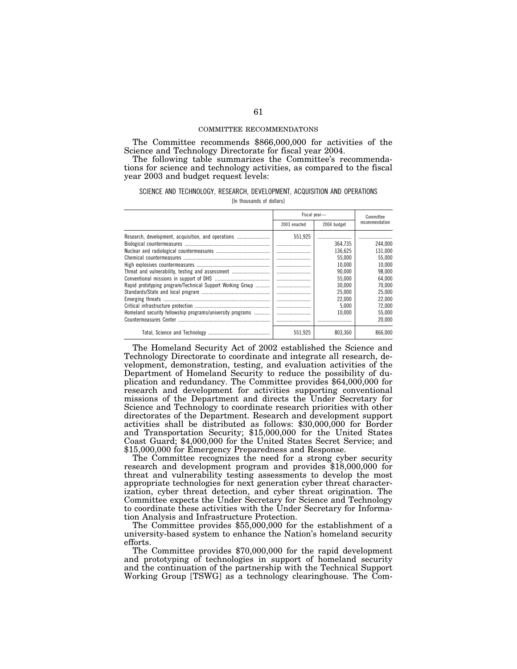## COMMITTEE RECOMMENDATONS

The Committee recommends \$866,000,000 for activities of the Science and Technology Directorate for fiscal year 2004.

The following table summarizes the Committee's recommendations for science and technology activities, as compared to the fiscal year 2003 and budget request levels:

# SCIENCE AND TECHNOLOGY, RESEARCH, DEVELOPMENT, ACQUISITION AND OPERATIONS

[In thousands of dollars]

|                                                                                                                 |              | Fiscal year-                                                                   | Committee                                                                      |
|-----------------------------------------------------------------------------------------------------------------|--------------|--------------------------------------------------------------------------------|--------------------------------------------------------------------------------|
|                                                                                                                 | 2003 enacted | 2004 budget                                                                    | recommendation                                                                 |
| Research, development, acquisition, and operations<br>Rapid prototyping program/Technical Support Working Group | 551.925      | 364.735<br>136.625<br>55.000<br>10.000<br>90.000<br>55.000<br>30.000<br>25,000 | 244.000<br>131,000<br>55.000<br>10.000<br>98.000<br>64.000<br>70.000<br>25,000 |
|                                                                                                                 |              | 22,000<br>5.000                                                                | 22,000<br>72.000                                                               |
| Homeland security fellowship programs/university programs                                                       |              | 10.000                                                                         | 55,000<br>20.000                                                               |
|                                                                                                                 | 551.925      | 803.360                                                                        | 866.000                                                                        |

The Homeland Security Act of 2002 established the Science and Technology Directorate to coordinate and integrate all research, development, demonstration, testing, and evaluation activities of the Department of Homeland Security to reduce the possibility of duplication and redundancy. The Committee provides \$64,000,000 for research and development for activities supporting conventional missions of the Department and directs the Under Secretary for Science and Technology to coordinate research priorities with other directorates of the Department. Research and development support activities shall be distributed as follows: \$30,000,000 for Border and Transportation Security; \$15,000,000 for the United States Coast Guard; \$4,000,000 for the United States Secret Service; and \$15,000,000 for Emergency Preparedness and Response.

The Committee recognizes the need for a strong cyber security research and development program and provides \$18,000,000 for threat and vulnerability testing assessments to develop the most appropriate technologies for next generation cyber threat characterization, cyber threat detection, and cyber threat origination. The Committee expects the Under Secretary for Science and Technology to coordinate these activities with the Under Secretary for Information Analysis and Infrastructure Protection.

The Committee provides \$55,000,000 for the establishment of a university-based system to enhance the Nation's homeland security efforts.

The Committee provides \$70,000,000 for the rapid development and prototyping of technologies in support of homeland security and the continuation of the partnership with the Technical Support Working Group [TSWG] as a technology clearinghouse. The Com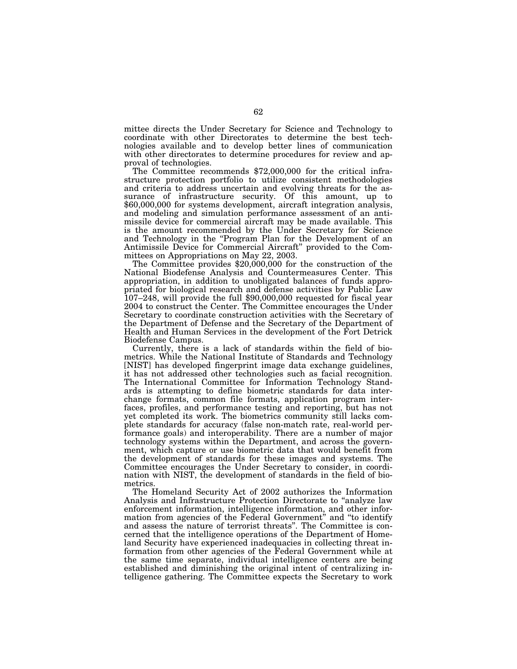mittee directs the Under Secretary for Science and Technology to coordinate with other Directorates to determine the best technologies available and to develop better lines of communication with other directorates to determine procedures for review and approval of technologies. The Committee recommends \$72,000,000 for the critical infra-

structure protection portfolio to utilize consistent methodologies and criteria to address uncertain and evolving threats for the assurance of infrastructure security. Of this amount, up to \$60,000,000 for systems development, aircraft integration analysis, and modeling and simulation performance assessment of an antimissile device for commercial aircraft may be made available. This is the amount recommended by the Under Secretary for Science and Technology in the ''Program Plan for the Development of an Antimissile Device for Commercial Aircraft'' provided to the Com-

The Committee provides  $$20,000,000$  for the construction of the National Biodefense Analysis and Countermeasures Center. This appropriation, in addition to unobligated balances of funds appropriated for biological research and defense activities by Public Law 107–248, will provide the full \$90,000,000 requested for fiscal year 2004 to construct the Center. The Committee encourages the Under Secretary to coordinate construction activities with the Secretary of the Department of Defense and the Secretary of the Department of Health and Human Services in the development of the Fort Detrick Biodefense Campus.

Currently, there is a lack of standards within the field of biometrics. While the National Institute of Standards and Technology [NIST] has developed fingerprint image data exchange guidelines, it has not addressed other technologies such as facial recognition. The International Committee for Information Technology Standards is attempting to define biometric standards for data interchange formats, common file formats, application program interfaces, profiles, and performance testing and reporting, but has not yet completed its work. The biometrics community still lacks complete standards for accuracy (false non-match rate, real-world performance goals) and interoperability. There are a number of major technology systems within the Department, and across the government, which capture or use biometric data that would benefit from the development of standards for these images and systems. The Committee encourages the Under Secretary to consider, in coordination with NIST, the development of standards in the field of biometrics.

The Homeland Security Act of 2002 authorizes the Information Analysis and Infrastructure Protection Directorate to ''analyze law enforcement information, intelligence information, and other information from agencies of the Federal Government'' and ''to identify and assess the nature of terrorist threats''. The Committee is concerned that the intelligence operations of the Department of Homeland Security have experienced inadequacies in collecting threat information from other agencies of the Federal Government while at the same time separate, individual intelligence centers are being established and diminishing the original intent of centralizing intelligence gathering. The Committee expects the Secretary to work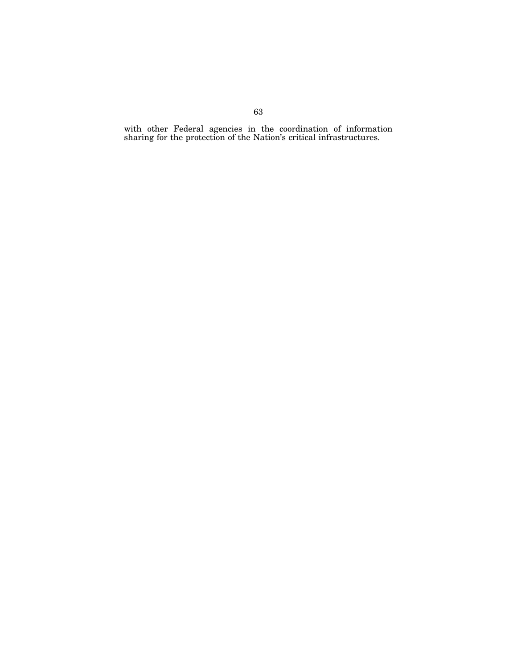with other Federal agencies in the coordination of information sharing for the protection of the Nation's critical infrastructures.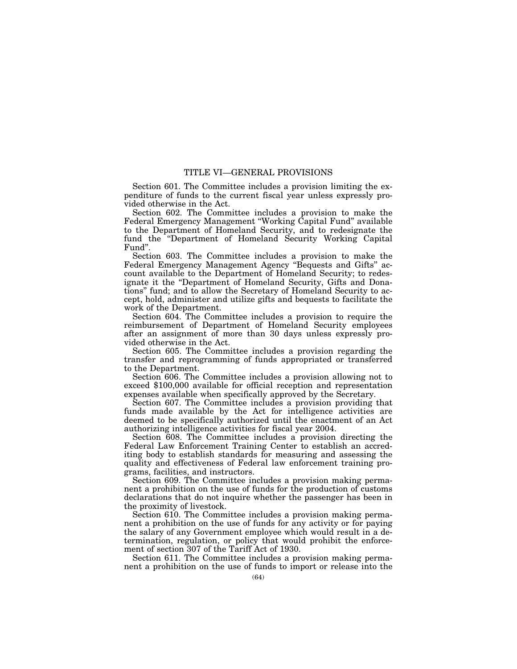# TITLE VI—GENERAL PROVISIONS

Section 601. The Committee includes a provision limiting the expenditure of funds to the current fiscal year unless expressly provided otherwise in the Act.

Section 602. The Committee includes a provision to make the Federal Emergency Management ''Working Capital Fund'' available to the Department of Homeland Security, and to redesignate the fund the ''Department of Homeland Security Working Capital Fund''.

Section 603. The Committee includes a provision to make the Federal Emergency Management Agency "Bequests and Gifts" account available to the Department of Homeland Security; to redesignate it the ''Department of Homeland Security, Gifts and Donations'' fund; and to allow the Secretary of Homeland Security to accept, hold, administer and utilize gifts and bequests to facilitate the work of the Department.

Section 604. The Committee includes a provision to require the reimbursement of Department of Homeland Security employees after an assignment of more than 30 days unless expressly provided otherwise in the Act.

Section 605. The Committee includes a provision regarding the transfer and reprogramming of funds appropriated or transferred to the Department.

Section 606. The Committee includes a provision allowing not to exceed \$100,000 available for official reception and representation expenses available when specifically approved by the Secretary.

Section 607. The Committee includes a provision providing that funds made available by the Act for intelligence activities are deemed to be specifically authorized until the enactment of an Act authorizing intelligence activities for fiscal year 2004.

Section 608. The Committee includes a provision directing the Federal Law Enforcement Training Center to establish an accrediting body to establish standards for measuring and assessing the quality and effectiveness of Federal law enforcement training programs, facilities, and instructors.

Section 609. The Committee includes a provision making permanent a prohibition on the use of funds for the production of customs declarations that do not inquire whether the passenger has been in the proximity of livestock.

Section 610. The Committee includes a provision making permanent a prohibition on the use of funds for any activity or for paying the salary of any Government employee which would result in a determination, regulation, or policy that would prohibit the enforcement of section 307 of the Tariff Act of 1930.

Section 611. The Committee includes a provision making permanent a prohibition on the use of funds to import or release into the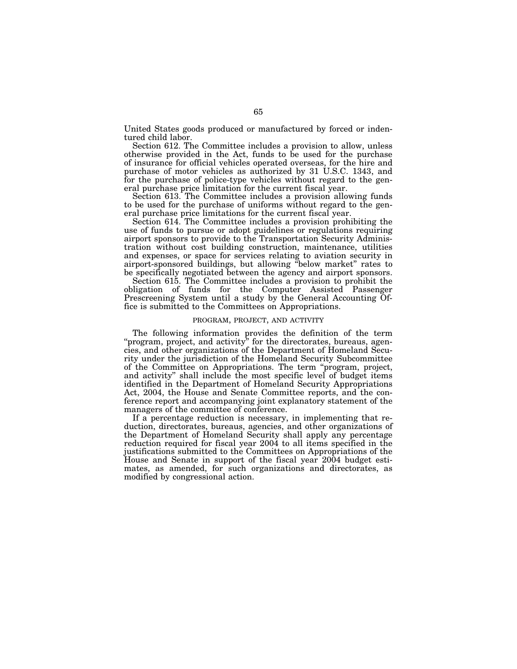United States goods produced or manufactured by forced or indentured child labor.

Section 612. The Committee includes a provision to allow, unless otherwise provided in the Act, funds to be used for the purchase of insurance for official vehicles operated overseas, for the hire and purchase of motor vehicles as authorized by 31 U.S.C. 1343, and for the purchase of police-type vehicles without regard to the general purchase price limitation for the current fiscal year.

Section 613. The Committee includes a provision allowing funds to be used for the purchase of uniforms without regard to the general purchase price limitations for the current fiscal year.

Section 614. The Committee includes a provision prohibiting the use of funds to pursue or adopt guidelines or regulations requiring airport sponsors to provide to the Transportation Security Administration without cost building construction, maintenance, utilities and expenses, or space for services relating to aviation security in airport-sponsored buildings, but allowing ''below market'' rates to be specifically negotiated between the agency and airport sponsors.

Section 615. The Committee includes a provision to prohibit the obligation of funds for the Computer Assisted Passenger Prescreening System until a study by the General Accounting Office is submitted to the Committees on Appropriations.

# PROGRAM, PROJECT, AND ACTIVITY

The following information provides the definition of the term "program, project, and activity" for the directorates, bureaus, agencies, and other organizations of the Department of Homeland Security under the jurisdiction of the Homeland Security Subcommittee of the Committee on Appropriations. The term ''program, project, and activity'' shall include the most specific level of budget items identified in the Department of Homeland Security Appropriations Act, 2004, the House and Senate Committee reports, and the conference report and accompanying joint explanatory statement of the managers of the committee of conference.

If a percentage reduction is necessary, in implementing that reduction, directorates, bureaus, agencies, and other organizations of the Department of Homeland Security shall apply any percentage reduction required for fiscal year 2004 to all items specified in the justifications submitted to the Committees on Appropriations of the House and Senate in support of the fiscal year 2004 budget estimates, as amended, for such organizations and directorates, as modified by congressional action.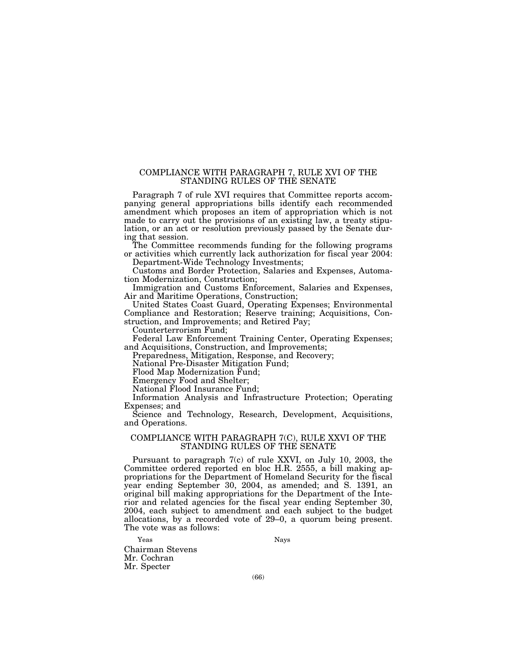# COMPLIANCE WITH PARAGRAPH 7, RULE XVI OF THE STANDING RULES OF THE SENATE

Paragraph 7 of rule XVI requires that Committee reports accompanying general appropriations bills identify each recommended amendment which proposes an item of appropriation which is not made to carry out the provisions of an existing law, a treaty stipulation, or an act or resolution previously passed by the Senate during that session.

The Committee recommends funding for the following programs or activities which currently lack authorization for fiscal year 2004: Department-Wide Technology Investments;

Customs and Border Protection, Salaries and Expenses, Automation Modernization, Construction;

Immigration and Customs Enforcement, Salaries and Expenses, Air and Maritime Operations, Construction;

United States Coast Guard, Operating Expenses; Environmental Compliance and Restoration; Reserve training; Acquisitions, Construction, and Improvements; and Retired Pay;

Counterterrorism Fund;

Federal Law Enforcement Training Center, Operating Expenses; and Acquisitions, Construction, and Improvements;

Preparedness, Mitigation, Response, and Recovery;

National Pre-Disaster Mitigation Fund;

Flood Map Modernization Fund;

Emergency Food and Shelter;

National Flood Insurance Fund;

Information Analysis and Infrastructure Protection; Operating Expenses; and

Science and Technology, Research, Development, Acquisitions, and Operations.

# COMPLIANCE WITH PARAGRAPH 7(C), RULE XXVI OF THE STANDING RULES OF THE SENATE

Pursuant to paragraph 7(c) of rule XXVI, on July 10, 2003, the Committee ordered reported en bloc H.R. 2555, a bill making appropriations for the Department of Homeland Security for the fiscal year ending September 30, 2004, as amended; and S. 1391, an original bill making appropriations for the Department of the Interior and related agencies for the fiscal year ending September 30, 2004, each subject to amendment and each subject to the budget allocations, by a recorded vote of 29–0, a quorum being present. The vote was as follows:

Yeas Nays

Chairman Stevens Mr. Cochran Mr. Specter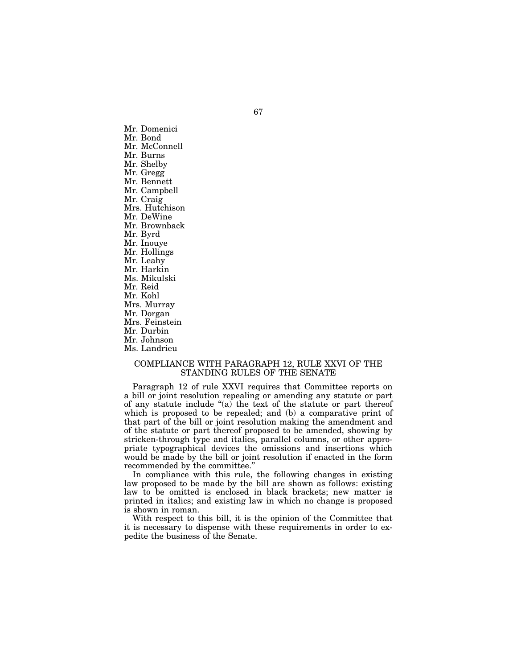Mr. Domenici Mr. Bond Mr. McConnell Mr. Burns Mr. Shelby Mr. Gregg Mr. Bennett Mr. Campbell Mr. Craig Mrs. Hutchison Mr. DeWine Mr. Brownback Mr. Byrd Mr. Inouye Mr. Hollings Mr. Leahy Mr. Harkin Ms. Mikulski Mr. Reid Mr. Kohl Mrs. Murray Mr. Dorgan Mrs. Feinstein Mr. Durbin Mr. Johnson Ms. Landrieu

# COMPLIANCE WITH PARAGRAPH 12, RULE XXVI OF THE STANDING RULES OF THE SENATE

Paragraph 12 of rule XXVI requires that Committee reports on a bill or joint resolution repealing or amending any statute or part of any statute include " $(a)$  the text of the statute or part thereof which is proposed to be repealed; and (b) a comparative print of that part of the bill or joint resolution making the amendment and of the statute or part thereof proposed to be amended, showing by stricken-through type and italics, parallel columns, or other appropriate typographical devices the omissions and insertions which would be made by the bill or joint resolution if enacted in the form recommended by the committee.''

In compliance with this rule, the following changes in existing law proposed to be made by the bill are shown as follows: existing law to be omitted is enclosed in black brackets; new matter is printed in italics; and existing law in which no change is proposed is shown in roman.

With respect to this bill, it is the opinion of the Committee that it is necessary to dispense with these requirements in order to expedite the business of the Senate.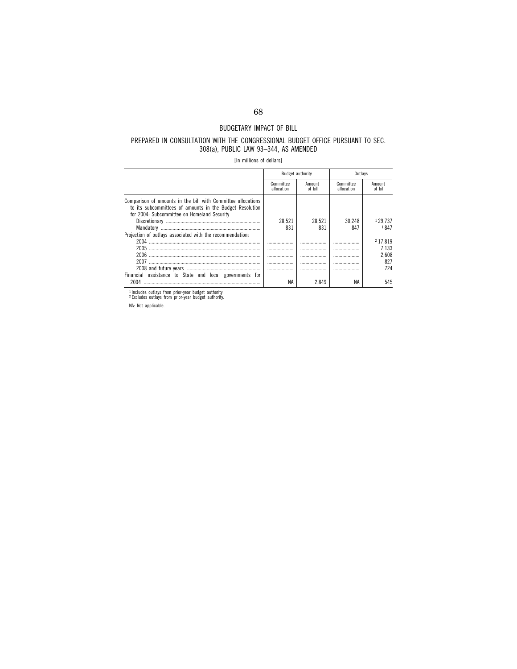# BUDGETARY IMPACT OF BILL

# PREPARED IN CONSULTATION WITH THE CONGRESSIONAL BUDGET OFFICE PURSUANT TO SEC. 308(a), PUBLIC LAW 93–344, AS AMENDED

[In millions of dollars]

|                                                                                                                                                                         |                         | <b>Budget authority</b> | Outlavs                 |                             |
|-------------------------------------------------------------------------------------------------------------------------------------------------------------------------|-------------------------|-------------------------|-------------------------|-----------------------------|
|                                                                                                                                                                         | Committee<br>allocation | Amount<br>of bill       | Committee<br>allocation | Amount<br>of bill           |
| Comparison of amounts in the bill with Committee allocations<br>to its subcommittees of amounts in the Budget Resolution<br>for 2004: Subcommittee on Homeland Security | 28.521<br>831           | 28.521<br>831           | 30.248<br>847           | <sup>1</sup> 29.737<br>1847 |
| Projection of outlays associated with the recommendation:                                                                                                               |                         |                         |                         |                             |
| 2004                                                                                                                                                                    |                         | .                       | .                       | 2 17.819                    |
|                                                                                                                                                                         |                         | .                       | .                       | 7.133                       |
| 2006                                                                                                                                                                    |                         |                         | .                       | 2.608                       |
| 2007                                                                                                                                                                    |                         | .                       |                         | 827                         |
|                                                                                                                                                                         |                         |                         | .                       | 724                         |
| Financial assistance to State and local governments for                                                                                                                 |                         |                         |                         |                             |
| 2004                                                                                                                                                                    | ΝA                      | 2.849                   | ΝA                      | 545                         |

1 Includes outlays from prior-year budget authority. 2 Excludes outlays from prior-year budget authority.

NA: Not applicable.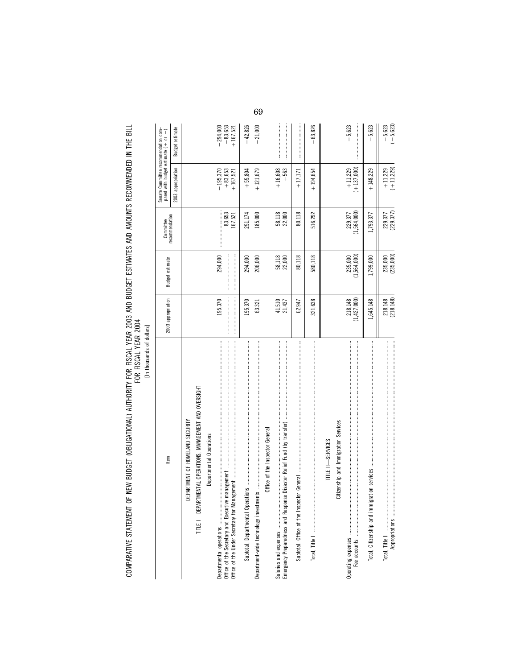COMPARATIVE STATEMENT OF NEW BUDGET (OBLIGATIONAL) AUTHORITY FOR FISCAL YEAR 2003 AND BUDGET ESTIMATES AND AMOUNTS RECOMMENDED IN THE BILL<br>FOR YEAR OF MEW THE STATE OF THE SULLARY OF THE STATE OF THE SOLAL YEAR 2004 COMPARATIVE STATEMENT OF NEW BUDGET (OBLIGATIONAL) AUTHORITY FOR FISCAL YEAR 2003 AND BUDGET ESTIMATES AND AMOUNTS RECOMMENDED IN THE BILL FOR FISCAL YEAR 2004

| [In thousands of dollars]                                 |                          |                        |                        |                                                                                 |                                     |
|-----------------------------------------------------------|--------------------------|------------------------|------------------------|---------------------------------------------------------------------------------|-------------------------------------|
| Item                                                      | 2003 appropriation       | Budget estimate        | Committee              | Senate Committee recommendation com-<br>pared with budget estimate $( + or - )$ |                                     |
|                                                           |                          |                        | recommendation         | 2003 appropriation                                                              | Budget estimate                     |
| DEPARTMENT OF HOMELAND SECURITY                           |                          |                        |                        |                                                                                 |                                     |
| TITLE I-DEPARTMENTAL OPERATIONS, MANAGEMENT AND OVERSIGHT |                          |                        |                        |                                                                                 |                                     |
| Departmental Operations                                   |                          |                        |                        |                                                                                 |                                     |
|                                                           | 195,370                  | 294,000                |                        |                                                                                 |                                     |
| Office of the Under Secretary for Mana                    |                          |                        | 83,653<br>167,521      | $\begin{array}{r} -195,370 \\ +83,653 \\ +167,521 \end{array}$                  | $-294,000$<br>+83,653<br>$+167,521$ |
|                                                           |                          |                        |                        |                                                                                 |                                     |
|                                                           | 195,370                  | 294,000                | 251,174                | $+55,804$                                                                       | $-42,826$                           |
|                                                           | 63,321                   | 206,000                | 185,000                | $+121,679$                                                                      | $-21,000$                           |
| Office of the Inspector General                           |                          |                        |                        |                                                                                 |                                     |
| Salaries and expenses                                     |                          |                        |                        | $+16,608$                                                                       |                                     |
|                                                           | $41,510$<br>$21,437$     | 58,118<br>22,000       | 58,118<br>22,000       | $+563$                                                                          |                                     |
|                                                           | 62,947                   | 80,118                 | 80,118                 | $+17,171$                                                                       |                                     |
|                                                           | 321,638                  | 580,118                | 516,292                | $+194,654$                                                                      | $-63,826$                           |
| TITLE II-SERVICES                                         |                          |                        |                        |                                                                                 |                                     |
| Citizenship and Immigration Services                      |                          |                        |                        |                                                                                 |                                     |
|                                                           |                          |                        |                        |                                                                                 |                                     |
|                                                           | (1, 427, 000)<br>218,148 | (1,564,000)<br>235,000 | (1,564,000)<br>229,377 | $(+137,000)$<br>$+11,229$                                                       | $-5,623$                            |
|                                                           | 1,645,148                | 1,799,000              | 1,793,377              | $+148,229$                                                                      | $-5,623$                            |
| Total, Title II                                           |                          |                        |                        |                                                                                 |                                     |
|                                                           | 218,148<br>(218,148)     | 235,000<br>(235,000)   | 229,377<br>(229,377)   | $+11,229$<br>$(+11,229)$                                                        | $-5,623$<br>$(-5,623)$              |

69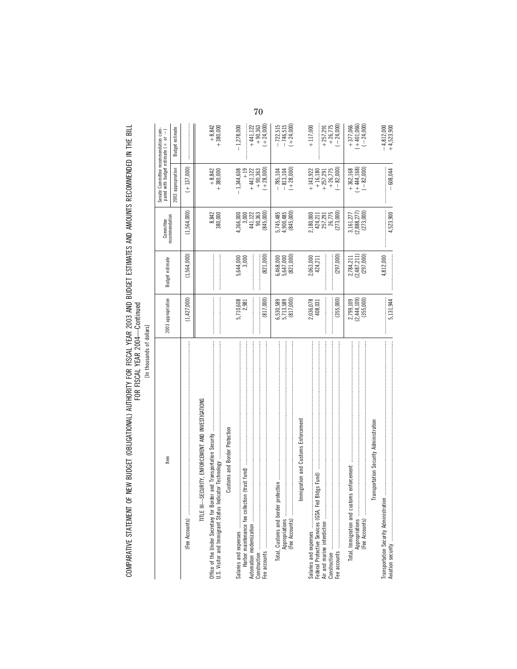COMPARATIVE STATEMENT OF NEW BUDGET (OBLIGATIONAL) AUTHORITY FOR FISCAL YEAR 2003 AND BUDGET ESTIMATES AND AMOUNTS RECOMMENDED IN THE BILL<br>FOR YEAR YEAR

[In thousands of dollars]

| tem                                                           | 2003 appropriation                                                                                                                                                                                                                                                                                                                                                                                                                                                                                                                       | <b>Budget estimate</b>                    | Committee                                 | Senate Committee recommendation compared with budget estimate $(+\;$ or $\; -)$         |                                                                 |
|---------------------------------------------------------------|------------------------------------------------------------------------------------------------------------------------------------------------------------------------------------------------------------------------------------------------------------------------------------------------------------------------------------------------------------------------------------------------------------------------------------------------------------------------------------------------------------------------------------------|-------------------------------------------|-------------------------------------------|-----------------------------------------------------------------------------------------|-----------------------------------------------------------------|
|                                                               |                                                                                                                                                                                                                                                                                                                                                                                                                                                                                                                                          |                                           | recommendation                            | 2003 appropriation                                                                      | Budget estimate                                                 |
| (Fee Accounts) …………………………………………………………………………                   | (1,427,000)                                                                                                                                                                                                                                                                                                                                                                                                                                                                                                                              | (1,564,000)                               | (1,564,000)                               | $(+137,000)$                                                                            |                                                                 |
| TITLE III-SECURITY, ENFORCEMENT AND INVESTIGATIONS            |                                                                                                                                                                                                                                                                                                                                                                                                                                                                                                                                          |                                           |                                           |                                                                                         |                                                                 |
|                                                               | $\label{def:main} \begin{minipage}{0.9\linewidth} \begin{minipage}{0.9\linewidth} \begin{minipage}{0.9\linewidth} \begin{minipage}{0.9\linewidth} \end{minipage} \end{minipage} \end{minipage} \begin{minipage}{0.9\linewidth} \begin{minipage}{0.9\linewidth} \begin{minipage}{0.9\linewidth} \begin{minipage}{0.9\linewidth} \end{minipage} \end{minipage} \end{minipage} \end{minipage} \begin{minipage}{0.9\linewidth} \begin{minipage}{0.9\linewidth} \begin{minipage}{0.9\linewidth} \end{minipage} \end{minipage} \end{minipage}$ |                                           | 8,842<br>380,000                          | $+8,842$<br>+380,000                                                                    | $+8,842$<br>+ 380,000                                           |
| <b>Customs and Border Protection</b>                          |                                                                                                                                                                                                                                                                                                                                                                                                                                                                                                                                          |                                           |                                           |                                                                                         |                                                                 |
|                                                               | 5,710,608<br>2,981                                                                                                                                                                                                                                                                                                                                                                                                                                                                                                                       | 5,644,000<br>3,000                        | 4,366,000<br>3,000                        | $-1,344,608$                                                                            | $-1,278,000$                                                    |
|                                                               |                                                                                                                                                                                                                                                                                                                                                                                                                                                                                                                                          |                                           | 441,122                                   |                                                                                         | $+441,122$                                                      |
|                                                               | (817,000)                                                                                                                                                                                                                                                                                                                                                                                                                                                                                                                                | (821,000)                                 | 90,363<br>(845,000)                       | $\begin{array}{r} +19 \\ +441,122 \\ +90,363 \\ +28,000 \end{array}$                    | $+90,363$<br>$(+ 24,000)$                                       |
| Appropriations<br>(Fee Accounts)<br>Total, Customs and border | 6,530,589<br>5,713,589<br>(817,000)                                                                                                                                                                                                                                                                                                                                                                                                                                                                                                      | $6,468,000$<br>$5,647,000$<br>$(821,000)$ | (845,000)<br>5,745,485<br>4,900,485       | $(+28,000)$<br>$-785,104$<br>$-813,104$                                                 | $-722,515$<br>$-746,515$<br>$(+24,000)$                         |
| Immigration and Customs Enforcement                           |                                                                                                                                                                                                                                                                                                                                                                                                                                                                                                                                          |                                           |                                           |                                                                                         |                                                                 |
| Salaries and expenses                                         | 2,036,078<br>408,031                                                                                                                                                                                                                                                                                                                                                                                                                                                                                                                     | 2,063,000<br>424,211                      | 2,180,000                                 | $\begin{array}{r} +143,922 \\ +16,180 \\ +257,291 \\ +26,775 \\ +26,775 \\ \end{array}$ | $+117,000$                                                      |
| Air and marine interdiction                                   | (355,000)                                                                                                                                                                                                                                                                                                                                                                                                                                                                                                                                | (297,000)                                 | 424,211<br>257,291<br>26,775<br>(273,000) |                                                                                         | $\begin{array}{r} +257,291 \\ +26,775 \\ (-24,000) \end{array}$ |
|                                                               | 2,799,109                                                                                                                                                                                                                                                                                                                                                                                                                                                                                                                                | 2,784,211                                 | 3,161,277                                 | $+362,168$<br>$(+444,168)$                                                              |                                                                 |
|                                                               | (2,444,109)<br>(355,000)                                                                                                                                                                                                                                                                                                                                                                                                                                                                                                                 | (2,487,211)<br>(297,000)                  | 2,888,277)<br>(273,000)                   | $(-82,000)$                                                                             | $+ 377,066$<br>$(+ 401,066)$<br>$(- 24,000)$                    |
| Transportation Security Administration                        |                                                                                                                                                                                                                                                                                                                                                                                                                                                                                                                                          |                                           |                                           |                                                                                         |                                                                 |
| Transportation Security Administrati                          |                                                                                                                                                                                                                                                                                                                                                                                                                                                                                                                                          | 4,812,000                                 |                                           |                                                                                         | $-4,812,000$<br>+4,523,900                                      |
|                                                               | 5,131,944                                                                                                                                                                                                                                                                                                                                                                                                                                                                                                                                |                                           | 4,523,900                                 | $-608,044$                                                                              |                                                                 |

70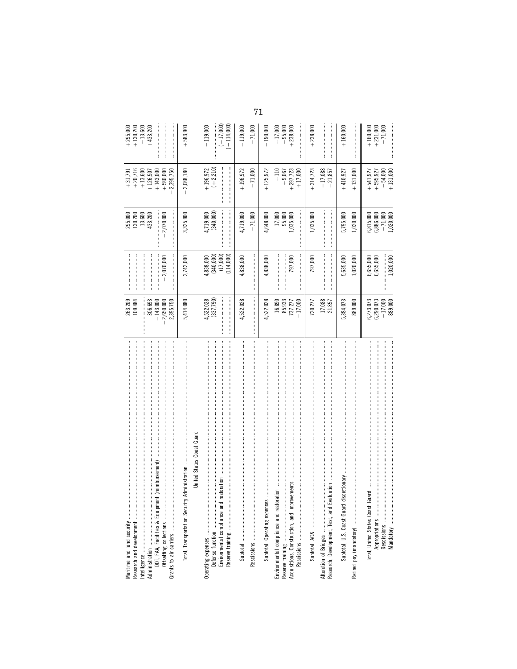|                                                                    | 263,209<br>109,484                                         |                                    | 295,000<br>130,200                        | $+31,791$<br>+20,716                  | $+130,200$<br>$+295,000$  |
|--------------------------------------------------------------------|------------------------------------------------------------|------------------------------------|-------------------------------------------|---------------------------------------|---------------------------|
| Administration<br>DOT, FAA, Facilities & Equipment (reimbursement) | 306,693                                                    |                                    | 13,600<br>433,200                         | $+13,600$<br>$+126,507$               | $+13,600$<br>$+433,200$   |
|                                                                    | $-143,000$<br>2,650,000<br>2,395,750                       | $-2,070,000$                       | 2,070,000                                 | $+580,000$<br>2,395,750<br>$+143,000$ |                           |
| Total, Transportation Security Administration                      | 5,414,080                                                  | 2,742,000                          | 3,325,900                                 | 2,088,180                             | $+583,900$                |
| United States Coast Guard                                          |                                                            |                                    |                                           |                                       |                           |
| restoration<br>Environmental compliance and                        | 4,522,028<br>(337,790)                                     | 4,838,000<br>(340,000)<br>(17,000) | 4,719,000<br>(340,000)<br> <br> <br> <br> | $+196,972$<br>$(+2,210)$              | $(-17,000)$<br>$-119,000$ |
|                                                                    |                                                            | (114,000)                          |                                           |                                       | $(-114,000)$              |
|                                                                    | 4,522,028                                                  | 4,838,000                          | 4,719,000                                 | $+196,972$                            | $-119,000$                |
|                                                                    |                                                            |                                    | $-71,000$                                 | $-71,000$                             | $-71,000$                 |
| <br> <br> <br> <br>Subtotal, Operating expenses                    | 4,522,028                                                  | 4,838,000                          | 4,648,000                                 | $+125,972$                            | $-190,000$                |
| ration<br>Environmental compliance and resto                       | $\begin{array}{c} 16,890 \\ 85,933 \\ 737,277 \end{array}$ |                                    | 17,000<br>95,000                          | $+110$<br>$+9,067$                    | $+17,000$<br>$+95,000$    |
|                                                                    | $-17,000$                                                  | 797,000                            | 1,035,000                                 | $+297,723$<br>$+17,000$               | $+238,000$                |
|                                                                    | 720,277                                                    | 797,000                            | 1,035,000                                 | $+314,723$                            | $+238,000$                |
|                                                                    | 17,088<br>21,857                                           |                                    |                                           | $-17,088$<br>$-21,857$                |                           |
| discretionary<br>Subtotal, U.S. Coast Guard                        | 5,384,073                                                  | 5,635,000                          | 5,795,000                                 | $+410,927$                            | $+160,000$                |
|                                                                    | 889,000                                                    | 1,020,000                          | 1,020,000                                 | $+131,000$                            |                           |
| Total, United States Coast Guard<br>Appropriations                 |                                                            | 6,655,000<br>6,655,000             | 6,815,000<br>6,886,000                    | $+541,927$<br>+595,927                | $+160,000$<br>$+231,000$  |
|                                                                    | $6,273,073$<br>$6,290,073$<br>$-17,000$<br>889,000         |                                    | $-71,000$<br>$1,020,000$                  | $-54,000$<br>+131,000                 | $-71,000$                 |
|                                                                    |                                                            | 1,020,000                          |                                           |                                       |                           |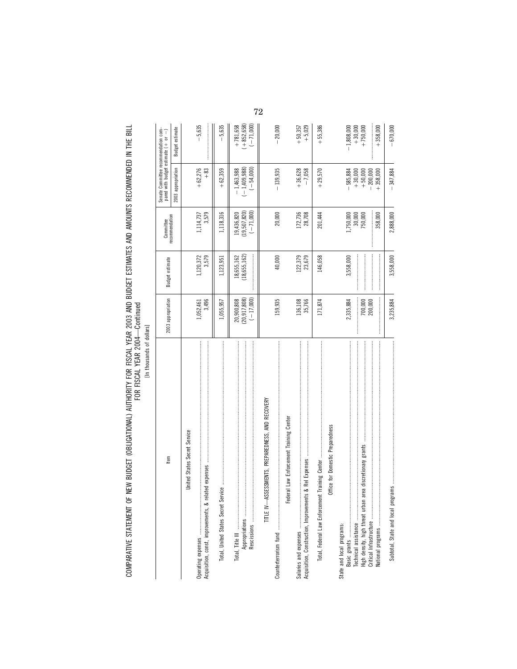COMPARATIVE STATEMENT OF NEW BUDGET (OBLIGATIONAL) AUTHORITY FOR FISCAL YEAR 2003 AND BUDGET ESTIMATES AND AMOUNTS RECOMMENDED IN THE BILL<br>FOR YEAR YEAR COMPARATIVE STATEMENT OF NEW BUDGET (OBLIGATIONAL) AUTHORITY FOR FISCAL YEAR 2003 AND BUDGET ESTIMATES AND AMOUNTS RECOMMENDED IN THE BILL FOR FISCAL YEAR 2004—Continued

[In thousands of dollars] [In thousands of dollars]

| Item                                                         | 2003 appropriation                          | Budget estimate              | recommendation<br>Committee                 | Senate Committee recommendation compared with budget estimate $(+ or -)$ |                                           |
|--------------------------------------------------------------|---------------------------------------------|------------------------------|---------------------------------------------|--------------------------------------------------------------------------|-------------------------------------------|
|                                                              |                                             |                              |                                             | 2003 appropriation                                                       | Budget estimate                           |
| United States Secret Service                                 |                                             |                              |                                             |                                                                          |                                           |
| Acquisition, const, improvements, & I                        | 3,496<br>1,052,461                          | 3,579<br>1,120,372           | 3,579<br>1,114,737                          | $+62,276$<br>$+83$                                                       | $-5,635$                                  |
|                                                              | 1,055,957                                   | 1,123,951                    | 1,118,316                                   | $+62,359$                                                                | $-5,635$                                  |
| Appropriations<br>Rescissions                                | (20, 917, 808)<br>$(-17,000)$<br>20,900,808 | (18, 655, 162)<br>18,655,162 | (19, 507, 820)<br>$(-71,000)$<br>19,436,820 | $(-1, 409, 988)$<br>$(-54,000)$<br>$-1,463,988$                          | $(+852,658)$<br>$(-71,000)$<br>$+781,658$ |
| ASSESSMENTS, PREPAREDNESS, AND RECOVERY<br>TITLE IV-         | 159,935                                     | 40,000                       | 20,000                                      | $-139,935$                                                               | $-20,000$                                 |
| Federal Law Enforcement Training Center                      |                                             |                              |                                             |                                                                          |                                           |
| Acquisition, Construction, Improvements & Rel Expenses       | 136,108<br>35,766                           | 122,379<br>23,679            | 172,736<br>28,708                           | $+36,628$<br>$-7,058$                                                    | $+ 5,029$<br>$+50,357$                    |
| Office for Domestic Preparedness                             | 171,874                                     | 146,058                      | 201,444                                     | $+29,570$                                                                | $+55,386$                                 |
| State and local programs:                                    | 2,335,884                                   | 3,558,000                    | 1,750,000                                   | $-585,884$                                                               | $-1,808,000$                              |
| area discretionary grants<br>High density, high threat urban | 700,000<br>200,000                          |                              | 30,000<br>750,000                           | $-200,000$<br>$+30,000$<br>$+50,000$                                     | $+750,000$<br>$+30,000$                   |
|                                                              |                                             |                              | 358,000                                     | $+358,000$                                                               | $+358,000$                                |
|                                                              | 3,235,884                                   | 3,558,000                    | 2,888,000                                   | $-347,884$                                                               | $-670,000$                                |

72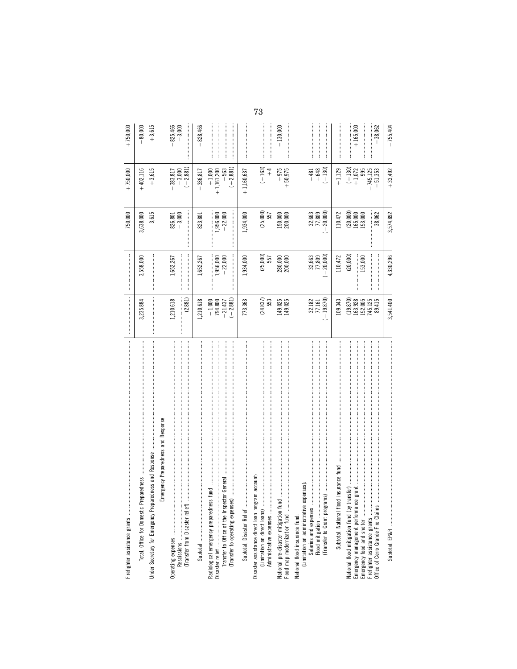| Firefighter assistance grants                                                                                   |                                                                |                                                              | 750,000                          | $+750,000$                           | $+750,000$             |
|-----------------------------------------------------------------------------------------------------------------|----------------------------------------------------------------|--------------------------------------------------------------|----------------------------------|--------------------------------------|------------------------|
|                                                                                                                 | 3,235,884                                                      | 3,558,000                                                    | 3,638,000                        | $+402,116$                           | $+80,000$              |
| Under Secretary for Emergency Preparedness and Response                                                         |                                                                |                                                              | 3,615                            | $+3,615$                             | $+3,615$               |
| Emergency Preparedness and Response                                                                             |                                                                |                                                              |                                  |                                      |                        |
|                                                                                                                 | 1,210,618                                                      | 1,652,267                                                    | $826,801$<br>$-3,000$            |                                      | $-825,466$<br>$-3,000$ |
|                                                                                                                 | (2, 881)                                                       |                                                              |                                  | $-383,817$<br>$-3,000$<br>$(-2,881)$ |                        |
|                                                                                                                 | 1,210,618                                                      | 1,652,267                                                    | 823,801                          | $-386,817$                           | 828,466                |
|                                                                                                                 |                                                                |                                                              |                                  | $+1,000$<br>+1,161,200               |                        |
|                                                                                                                 | $(-2, 881)$<br>$-1,000$<br>$794,800$<br>$-21,437$              | $1,956,000$<br>$-22,000$                                     | $1,956,000$<br>$-22,000$         | $(+2,881)$<br>$-563$                 |                        |
| Subtotal, Disaster Relief                                                                                       | 773,363                                                        | 1,934,000                                                    | 1,934,000                        | $+1,160,637$                         |                        |
| ram account:<br>Disaster assistance direct loan prog<br>(Limitation on direct loans)<br>Administrative expenses | $(24, 837)$<br>553                                             | (25,000)<br>557                                              | (25,000)<br>557                  | $(+163)$<br>$+4$                     |                        |
| <br>National pre-disaster mitigation fund<br>Flood map modernization fund                                       | 149,025<br>149,025                                             | <b>280,000</b><br>200,000                                    | 150,000<br>200,000               | $+975$<br>$+50,975$                  | $-130,000$             |
| (Limitation on administrative expenses)<br>National flood insurance fund:                                       | $(-19, 870)$<br>32,182<br>77,161                               | $\begin{array}{r} 32,663 \\ 77,809 \\ (-20,000) \end{array}$ | $-20,000$<br>32,663<br>77,809    | $+648$<br>$-130$<br>$+481$           |                        |
| Subtotal, National flood insurance fund                                                                         | 109,343                                                        | 110,472                                                      | 110,472                          | $+1,129$                             |                        |
| National flood mitigation fund (by transfer)<br>Emergency management performance grant                          | $(19,870)$<br>$163,928$<br>$152,005$<br>$745,125$<br>$745,125$ | (20, 000)<br>153,000                                         | $(20,000)$<br>165,000<br>153,000 | $(+130)$<br>+1,072<br>$+995$         | $+165,000$             |
| Office of Cerro Grande Fire Claims                                                                              |                                                                |                                                              | 38,062                           | $-745,125$<br>$-51,353$              | $+38,062$              |
|                                                                                                                 | 3,541,400                                                      | 4,330,296                                                    | 3,574,892                        | $+33,492$                            | $-755,404$             |